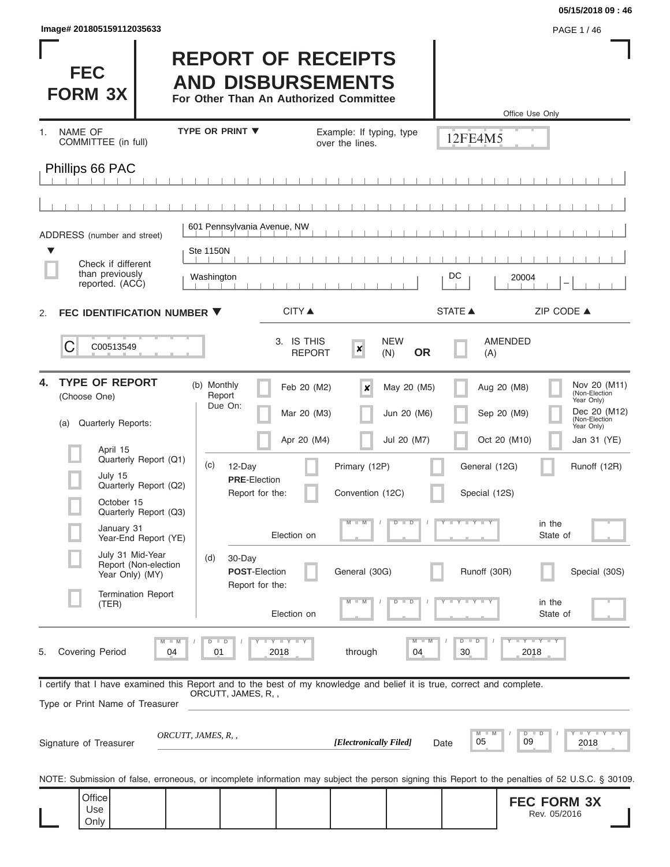| PAGE 1/46 |
|-----------|
|           |

Г

 $\overline{\phantom{a}}$ 

## **05/15/2018 09 : 46**

I

I

| <b>FEC</b><br><b>FORM 3X</b>                                                                                                                               |                                                                           |                                                   | <b>REPORT OF RECEIPTS</b><br><b>AND DISBURSEMENTS</b><br>For Other Than An Authorized Committee |                                             |                                                                                    |                                                       | Office Use Only                                                                                                                                                                   |
|------------------------------------------------------------------------------------------------------------------------------------------------------------|---------------------------------------------------------------------------|---------------------------------------------------|-------------------------------------------------------------------------------------------------|---------------------------------------------|------------------------------------------------------------------------------------|-------------------------------------------------------|-----------------------------------------------------------------------------------------------------------------------------------------------------------------------------------|
| <b>NAME OF</b><br>1.<br>COMMITTEE (in full)                                                                                                                |                                                                           | <b>TYPE OR PRINT ▼</b>                            |                                                                                                 | Example: If typing, type<br>over the lines. |                                                                                    | 12FE4M5                                               |                                                                                                                                                                                   |
| Phillips 66 PAC                                                                                                                                            |                                                                           |                                                   |                                                                                                 |                                             |                                                                                    |                                                       |                                                                                                                                                                                   |
|                                                                                                                                                            |                                                                           |                                                   |                                                                                                 |                                             |                                                                                    |                                                       |                                                                                                                                                                                   |
| ADDRESS (number and street)                                                                                                                                |                                                                           |                                                   | 601 Pennsylvania Avenue, NW                                                                     |                                             |                                                                                    |                                                       |                                                                                                                                                                                   |
| ▼<br>Check if different                                                                                                                                    |                                                                           | <b>Ste 1150N</b>                                  |                                                                                                 |                                             |                                                                                    |                                                       |                                                                                                                                                                                   |
| than previously<br>reported. (ACC)                                                                                                                         |                                                                           | Washington                                        |                                                                                                 |                                             |                                                                                    | DC                                                    | 20004                                                                                                                                                                             |
| FEC IDENTIFICATION NUMBER ▼<br>2.                                                                                                                          |                                                                           |                                                   | CITY ▲                                                                                          |                                             |                                                                                    | <b>STATE ▲</b>                                        | ZIP CODE ▲                                                                                                                                                                        |
| C<br>C00513549                                                                                                                                             |                                                                           |                                                   | 3. IS THIS<br><b>REPORT</b>                                                                     | $\boldsymbol{x}$                            | <b>NEW</b><br><b>OR</b><br>(N)                                                     | (A)                                                   | AMENDED                                                                                                                                                                           |
| <b>TYPE OF REPORT</b><br>4.<br>(Choose One)<br>Quarterly Reports:<br>(a)<br>April 15<br>July 15<br>October 15<br>January 31                                | Quarterly Report (Q1)<br>Quarterly Report (Q2)<br>Quarterly Report (Q3)   | (b) Monthly<br>Report<br>Due On:<br>(c)<br>12-Day | Feb 20 (M2)<br>Mar 20 (M3)<br>Apr 20 (M4)<br><b>PRE-Election</b><br>Report for the:             | ×<br>Primary (12P)<br>Convention (12C)<br>M | May 20 (M5)<br>Jun 20 (M6)<br>Jul 20 (M7)<br>$D$ $\Box$<br>$\overline{\mathbb{D}}$ | General (12G)<br>Special (12S)<br>$T$ $Y$ $T$ $Y$ $T$ | Nov 20 (M11)<br>Aug 20 (M8)<br>(Non-Election<br>Year Only)<br>Dec 20 (M12)<br>Sep 20 (M9)<br>(Non-Election<br>Year Only)<br>Oct 20 (M10)<br>Jan 31 (YE)<br>Runoff (12R)<br>in the |
| July 31 Mid-Year<br>Year Only) (MY)<br>(TER)                                                                                                               | Year-End Report (YE)<br>Report (Non-election<br><b>Termination Report</b> | (d)<br>30-Day                                     | Election on<br><b>POST-Election</b><br>Report for the:                                          | General (30G)<br>$-W$                       | $D$ $D$                                                                            | Runoff (30R)<br>$T - Y - T - Y - T - Y$               | State of<br>Special (30S)<br>in the                                                                                                                                               |
| 5.<br><b>Covering Period</b>                                                                                                                               | 04                                                                        | $D$ $D$<br>01                                     | Election on<br>$T$ $T$ $T$ $T$ $T$ $T$ $T$ $T$ $T$<br>2018                                      | through                                     | $M - M$<br>04                                                                      | $D$ $D$<br>30                                         | State of<br>$Y - Y - Y - I - Y$<br>2018                                                                                                                                           |
| I certify that I have examined this Report and to the best of my knowledge and belief it is true, correct and complete.<br>Type or Print Name of Treasurer |                                                                           | ORCUTT, JAMES, R,,                                |                                                                                                 |                                             |                                                                                    |                                                       |                                                                                                                                                                                   |
| Signature of Treasurer                                                                                                                                     |                                                                           | ORCUTT, JAMES, R, ,                               |                                                                                                 | [Electronically Filed]                      |                                                                                    | M<br>M<br>05<br>Date                                  | Y I Y I Y I Y<br>$D$ $D$<br>09<br>2018                                                                                                                                            |
|                                                                                                                                                            |                                                                           |                                                   |                                                                                                 |                                             |                                                                                    |                                                       | NOTE: Submission of false, erroneous, or incomplete information may subject the person signing this Report to the penalties of 52 U.S.C. § 30109.                                 |
| Office<br>Use<br>Only                                                                                                                                      |                                                                           |                                                   |                                                                                                 |                                             |                                                                                    |                                                       | <b>FEC FORM 3X</b><br>Rev. 05/2016                                                                                                                                                |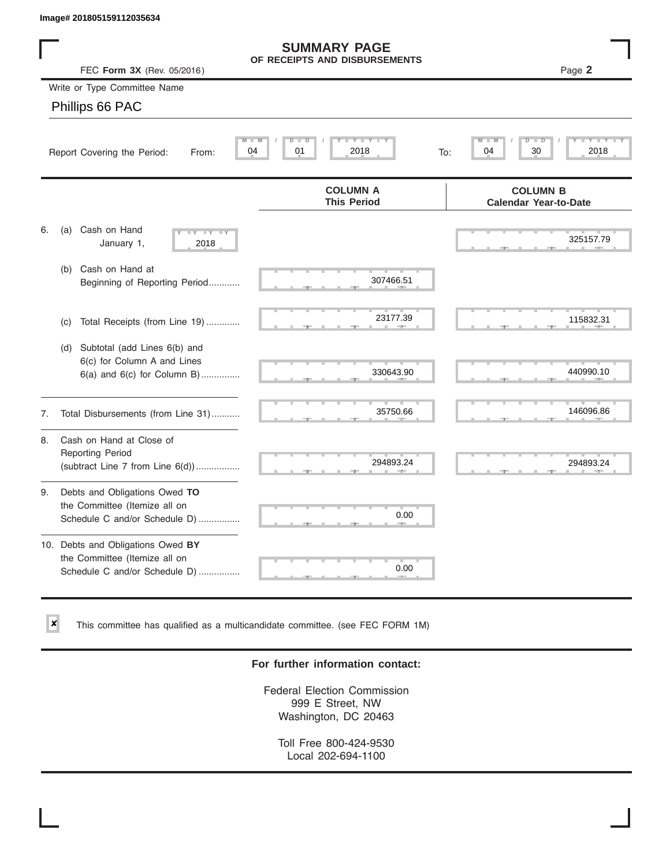$\vert x \vert$ 

|    | Image# 201805159112035634                                                                           |                                                         |                                                 |
|----|-----------------------------------------------------------------------------------------------------|---------------------------------------------------------|-------------------------------------------------|
|    | FEC Form 3X (Rev. 05/2016)                                                                          | <b>SUMMARY PAGE</b><br>OF RECEIPTS AND DISBURSEMENTS    | Page 2                                          |
|    | Write or Type Committee Name                                                                        |                                                         |                                                 |
|    | Phillips 66 PAC                                                                                     |                                                         |                                                 |
|    | Report Covering the Period:<br>From:                                                                | $Y - Y - I$<br>M<br>$D$ $\Box$<br>D<br>04<br>2018<br>01 | D<br>D<br>30<br>2018<br>04<br>To:               |
|    |                                                                                                     | <b>COLUMN A</b><br><b>This Period</b>                   | <b>COLUMN B</b><br><b>Calendar Year-to-Date</b> |
| 6. | Cash on Hand<br>(a)<br>$-Y - Y - Y$<br>January 1,<br>2018                                           |                                                         | 325157.79                                       |
|    | Cash on Hand at<br>(b)<br>Beginning of Reporting Period                                             | 307466.51                                               |                                                 |
|    | Total Receipts (from Line 19)<br>(c)                                                                | 23177.39                                                | 115832.31                                       |
|    | Subtotal (add Lines 6(b) and<br>(d)<br>6(c) for Column A and Lines<br>6(a) and 6(c) for Column B)   | 330643.90                                               | 440990.10                                       |
| 7. | Total Disbursements (from Line 31)                                                                  | 35750.66                                                | 146096.86                                       |
| 8. | Cash on Hand at Close of<br><b>Reporting Period</b><br>(subtract Line $7$ from Line $6(d)$ )        | 294893.24                                               | 294893.24                                       |
| 9. | Debts and Obligations Owed TO<br>the Committee (Itemize all on<br>Schedule C and/or Schedule D)     | 0.00                                                    |                                                 |
|    | 10. Debts and Obligations Owed BY<br>the Committee (Itemize all on<br>Schedule C and/or Schedule D) | T.<br>0.00                                              |                                                 |

This committee has qualified as a multicandidate committee. (see FEC FORM 1M)

## **For further information contact:**

Federal Election Commission 999 E Street, NW Washington, DC 20463

Toll Free 800-424-9530 Local 202-694-1100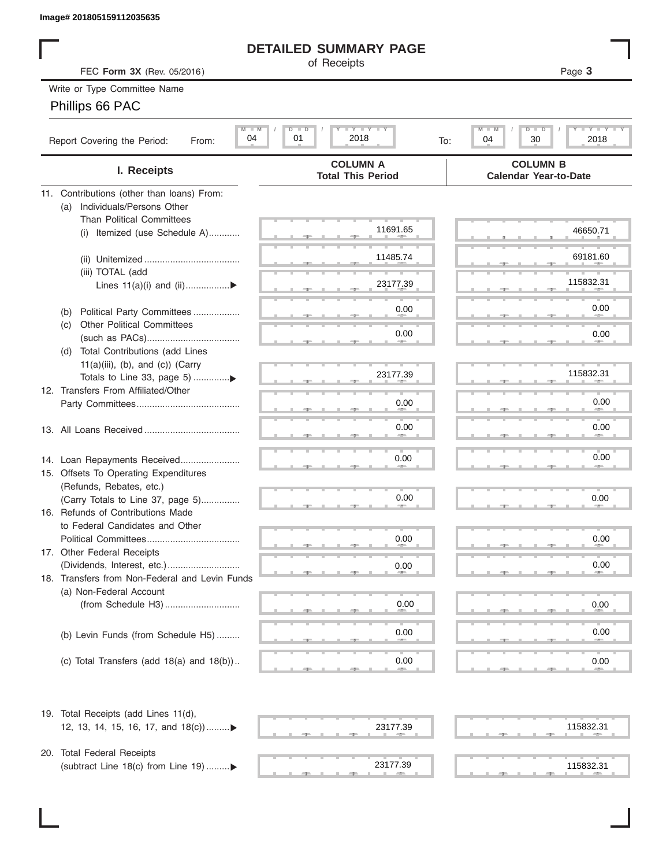## **DETAILED SUMMARY PAGE**

## Phillips 66 PAC

|                                                                            | <b>DETAILED SUMMARY PAGE</b>                            |                                                                          |
|----------------------------------------------------------------------------|---------------------------------------------------------|--------------------------------------------------------------------------|
| FEC Form 3X (Rev. 05/2016)                                                 | of Receipts                                             | Page 3                                                                   |
| Write or Type Committee Name                                               |                                                         |                                                                          |
| Phillips 66 PAC                                                            |                                                         |                                                                          |
|                                                                            |                                                         |                                                                          |
| $M - M$<br>04<br>Report Covering the Period:<br>From:                      | $I - Y - I - Y - I - Y$<br>$D$ $D$<br>01<br>2018<br>To: | $T - Y$ $T - Y$ $T - Y$<br>$M$ $M$<br>$D$ $\Box$ $D$<br>30<br>2018<br>04 |
| I. Receipts                                                                | <b>COLUMN A</b><br><b>Total This Period</b>             | <b>COLUMN B</b><br><b>Calendar Year-to-Date</b>                          |
| 11. Contributions (other than loans) From:                                 |                                                         |                                                                          |
| Individuals/Persons Other<br>(a)                                           |                                                         |                                                                          |
| <b>Than Political Committees</b>                                           | 11691.65                                                |                                                                          |
| Itemized (use Schedule A)<br>(i)                                           |                                                         | 46650.71                                                                 |
|                                                                            | 11485.74                                                | 69181.60                                                                 |
| (iii) TOTAL (add                                                           |                                                         |                                                                          |
| Lines $11(a)(i)$ and $(ii)$                                                | 23177.39                                                | 115832.31                                                                |
|                                                                            |                                                         |                                                                          |
| Political Party Committees<br>(b)                                          | 0.00                                                    | 0.00                                                                     |
| <b>Other Political Committees</b><br>(C)                                   |                                                         |                                                                          |
|                                                                            | 0.00                                                    | 0.00                                                                     |
| Total Contributions (add Lines<br>(d)                                      |                                                         |                                                                          |
| $11(a)(iii)$ , (b), and (c)) (Carry                                        |                                                         |                                                                          |
| Totals to Line 33, page 5) ▶                                               | 23177.39                                                | 115832.31                                                                |
| 12. Transfers From Affiliated/Other                                        |                                                         |                                                                          |
|                                                                            | 0.00                                                    | 0.00                                                                     |
|                                                                            |                                                         |                                                                          |
|                                                                            | 0.00                                                    | 0.00                                                                     |
|                                                                            |                                                         |                                                                          |
| 14. Loan Repayments Received                                               | 0.00                                                    | 0.00                                                                     |
| 15. Offsets To Operating Expenditures                                      |                                                         |                                                                          |
| (Refunds, Rebates, etc.)                                                   |                                                         |                                                                          |
| (Carry Totals to Line 37, page 5)                                          | 0.00                                                    | 0.00                                                                     |
| 16. Refunds of Contributions Made                                          |                                                         |                                                                          |
| to Federal Candidates and Other                                            | 0.00                                                    |                                                                          |
| Political Committees<br>17. Other Federal Receipts                         |                                                         | 0.00                                                                     |
|                                                                            | 0.00                                                    | 0.00                                                                     |
| 18. Transfers from Non-Federal and Levin Funds                             |                                                         |                                                                          |
| (a) Non-Federal Account                                                    |                                                         |                                                                          |
|                                                                            | 0.00                                                    | 0.00                                                                     |
|                                                                            |                                                         |                                                                          |
| (b) Levin Funds (from Schedule H5)                                         | 0.00                                                    | 0.00                                                                     |
|                                                                            |                                                         |                                                                          |
| (c) Total Transfers (add $18(a)$ and $18(b)$ )                             | 0.00                                                    | 0.00                                                                     |
| 19. Total Receipts (add Lines 11(d),<br>12, 13, 14, 15, 16, 17, and 18(c)) | 23177.39                                                | 115832.31                                                                |
|                                                                            |                                                         |                                                                          |
| 20. Total Federal Receipts                                                 |                                                         |                                                                          |
| (subtract Line 18(c) from Line 19) ▶                                       | 23177.39                                                | 115832.31                                                                |
|                                                                            |                                                         |                                                                          |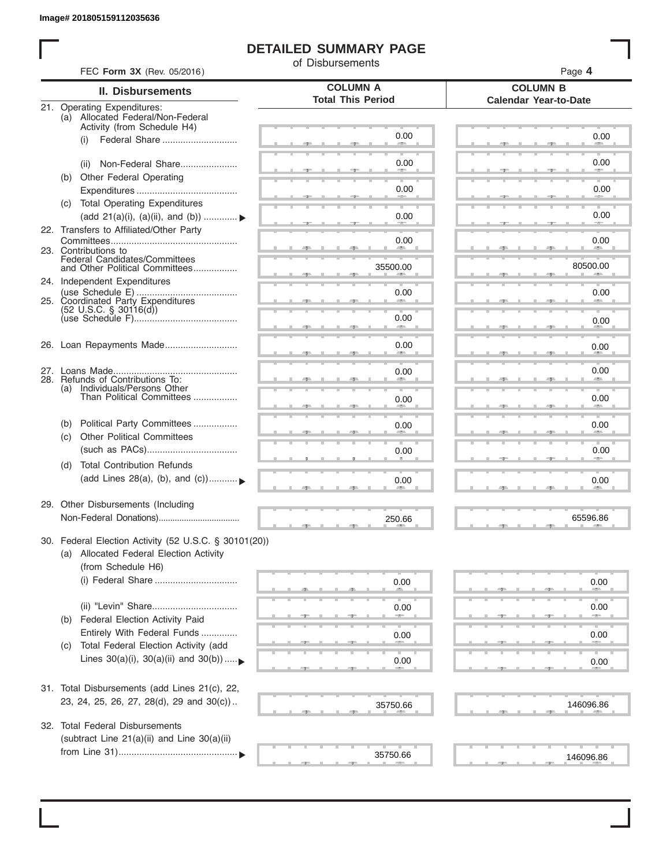I

## **DETAILED SUMMARY PAGE**

of Disbursements

| <b>II. Disbursements</b><br>21. Operating Expenditures:<br>(a) Allocated Federal/Non-Federal<br>Activity (from Schedule H4)<br>(i)<br>Non-Federal Share<br>(ii)<br>Other Federal Operating<br>(b) | <b>COLUMN A</b><br><b>Total This Period</b><br>0.00                                                                                                                                                                                                                                                                                                                                                                                                                                                                                                                                                                                                                                                                                                                                                                                                                                        | <b>COLUMN B</b><br><b>Calendar Year-to-Date</b><br>0.00                                           |
|---------------------------------------------------------------------------------------------------------------------------------------------------------------------------------------------------|--------------------------------------------------------------------------------------------------------------------------------------------------------------------------------------------------------------------------------------------------------------------------------------------------------------------------------------------------------------------------------------------------------------------------------------------------------------------------------------------------------------------------------------------------------------------------------------------------------------------------------------------------------------------------------------------------------------------------------------------------------------------------------------------------------------------------------------------------------------------------------------------|---------------------------------------------------------------------------------------------------|
|                                                                                                                                                                                                   |                                                                                                                                                                                                                                                                                                                                                                                                                                                                                                                                                                                                                                                                                                                                                                                                                                                                                            |                                                                                                   |
|                                                                                                                                                                                                   |                                                                                                                                                                                                                                                                                                                                                                                                                                                                                                                                                                                                                                                                                                                                                                                                                                                                                            |                                                                                                   |
|                                                                                                                                                                                                   |                                                                                                                                                                                                                                                                                                                                                                                                                                                                                                                                                                                                                                                                                                                                                                                                                                                                                            |                                                                                                   |
|                                                                                                                                                                                                   |                                                                                                                                                                                                                                                                                                                                                                                                                                                                                                                                                                                                                                                                                                                                                                                                                                                                                            | 0.00                                                                                              |
|                                                                                                                                                                                                   | 0.00                                                                                                                                                                                                                                                                                                                                                                                                                                                                                                                                                                                                                                                                                                                                                                                                                                                                                       |                                                                                                   |
|                                                                                                                                                                                                   | 0.00                                                                                                                                                                                                                                                                                                                                                                                                                                                                                                                                                                                                                                                                                                                                                                                                                                                                                       | 0.00                                                                                              |
| (c) Total Operating Expenditures                                                                                                                                                                  | 0.00                                                                                                                                                                                                                                                                                                                                                                                                                                                                                                                                                                                                                                                                                                                                                                                                                                                                                       | 0.00                                                                                              |
|                                                                                                                                                                                                   |                                                                                                                                                                                                                                                                                                                                                                                                                                                                                                                                                                                                                                                                                                                                                                                                                                                                                            |                                                                                                   |
|                                                                                                                                                                                                   |                                                                                                                                                                                                                                                                                                                                                                                                                                                                                                                                                                                                                                                                                                                                                                                                                                                                                            | 0.00<br><b>Allen</b>                                                                              |
|                                                                                                                                                                                                   | 35500.00                                                                                                                                                                                                                                                                                                                                                                                                                                                                                                                                                                                                                                                                                                                                                                                                                                                                                   | 80500.00                                                                                          |
|                                                                                                                                                                                                   | 0.00                                                                                                                                                                                                                                                                                                                                                                                                                                                                                                                                                                                                                                                                                                                                                                                                                                                                                       | 0.00                                                                                              |
|                                                                                                                                                                                                   |                                                                                                                                                                                                                                                                                                                                                                                                                                                                                                                                                                                                                                                                                                                                                                                                                                                                                            |                                                                                                   |
|                                                                                                                                                                                                   | <b>Allen</b>                                                                                                                                                                                                                                                                                                                                                                                                                                                                                                                                                                                                                                                                                                                                                                                                                                                                               | 0.00                                                                                              |
|                                                                                                                                                                                                   | 0.00                                                                                                                                                                                                                                                                                                                                                                                                                                                                                                                                                                                                                                                                                                                                                                                                                                                                                       | 0.00                                                                                              |
|                                                                                                                                                                                                   | 0.00                                                                                                                                                                                                                                                                                                                                                                                                                                                                                                                                                                                                                                                                                                                                                                                                                                                                                       | 0.00                                                                                              |
|                                                                                                                                                                                                   |                                                                                                                                                                                                                                                                                                                                                                                                                                                                                                                                                                                                                                                                                                                                                                                                                                                                                            |                                                                                                   |
|                                                                                                                                                                                                   | 0.00                                                                                                                                                                                                                                                                                                                                                                                                                                                                                                                                                                                                                                                                                                                                                                                                                                                                                       | 0.00                                                                                              |
| Political Party Committees                                                                                                                                                                        | 0.00                                                                                                                                                                                                                                                                                                                                                                                                                                                                                                                                                                                                                                                                                                                                                                                                                                                                                       | 0.00                                                                                              |
|                                                                                                                                                                                                   |                                                                                                                                                                                                                                                                                                                                                                                                                                                                                                                                                                                                                                                                                                                                                                                                                                                                                            | 0.00                                                                                              |
| <b>Total Contribution Refunds</b>                                                                                                                                                                 |                                                                                                                                                                                                                                                                                                                                                                                                                                                                                                                                                                                                                                                                                                                                                                                                                                                                                            |                                                                                                   |
|                                                                                                                                                                                                   | 0.00                                                                                                                                                                                                                                                                                                                                                                                                                                                                                                                                                                                                                                                                                                                                                                                                                                                                                       | 0.00                                                                                              |
|                                                                                                                                                                                                   |                                                                                                                                                                                                                                                                                                                                                                                                                                                                                                                                                                                                                                                                                                                                                                                                                                                                                            |                                                                                                   |
|                                                                                                                                                                                                   | 250.66                                                                                                                                                                                                                                                                                                                                                                                                                                                                                                                                                                                                                                                                                                                                                                                                                                                                                     | 65596.86                                                                                          |
|                                                                                                                                                                                                   |                                                                                                                                                                                                                                                                                                                                                                                                                                                                                                                                                                                                                                                                                                                                                                                                                                                                                            |                                                                                                   |
|                                                                                                                                                                                                   |                                                                                                                                                                                                                                                                                                                                                                                                                                                                                                                                                                                                                                                                                                                                                                                                                                                                                            |                                                                                                   |
|                                                                                                                                                                                                   | 0.00                                                                                                                                                                                                                                                                                                                                                                                                                                                                                                                                                                                                                                                                                                                                                                                                                                                                                       | 0.00                                                                                              |
|                                                                                                                                                                                                   |                                                                                                                                                                                                                                                                                                                                                                                                                                                                                                                                                                                                                                                                                                                                                                                                                                                                                            | 0.00                                                                                              |
| Federal Election Activity Paid                                                                                                                                                                    |                                                                                                                                                                                                                                                                                                                                                                                                                                                                                                                                                                                                                                                                                                                                                                                                                                                                                            |                                                                                                   |
|                                                                                                                                                                                                   | 0.00                                                                                                                                                                                                                                                                                                                                                                                                                                                                                                                                                                                                                                                                                                                                                                                                                                                                                       | 0.00                                                                                              |
| Lines $30(a)(i)$ , $30(a)(ii)$ and $30(b))$                                                                                                                                                       | 0.00                                                                                                                                                                                                                                                                                                                                                                                                                                                                                                                                                                                                                                                                                                                                                                                                                                                                                       | 0.00                                                                                              |
|                                                                                                                                                                                                   |                                                                                                                                                                                                                                                                                                                                                                                                                                                                                                                                                                                                                                                                                                                                                                                                                                                                                            |                                                                                                   |
|                                                                                                                                                                                                   |                                                                                                                                                                                                                                                                                                                                                                                                                                                                                                                                                                                                                                                                                                                                                                                                                                                                                            | 146096.86                                                                                         |
|                                                                                                                                                                                                   |                                                                                                                                                                                                                                                                                                                                                                                                                                                                                                                                                                                                                                                                                                                                                                                                                                                                                            |                                                                                                   |
|                                                                                                                                                                                                   |                                                                                                                                                                                                                                                                                                                                                                                                                                                                                                                                                                                                                                                                                                                                                                                                                                                                                            |                                                                                                   |
|                                                                                                                                                                                                   | 35750.66                                                                                                                                                                                                                                                                                                                                                                                                                                                                                                                                                                                                                                                                                                                                                                                                                                                                                   | 146096.86                                                                                         |
|                                                                                                                                                                                                   | (add 21(a)(i), (a)(ii), and (b))<br>22. Transfers to Affiliated/Other Party<br>23. Contributions to<br>Federal Candidates/Committees<br>and Other Political Committees<br>24. Independent Expenditures<br>25. Coordinated Party Expenditures<br>$(52 \text{ U.S.C. }$ § 30116(d))<br>26. Loan Repayments Made<br>28. Refunds of Contributions To:<br>(a) Individuals/Persons Other<br>Than Political Committees<br>(b)<br><b>Other Political Committees</b><br>(C)<br>(d)<br>(add Lines 28(a), (b), and (c))<br>29. Other Disbursements (Including<br>(a) Allocated Federal Election Activity<br>(from Schedule H6)<br>(b)<br>Entirely With Federal Funds<br>Total Federal Election Activity (add<br>(C)<br>31. Total Disbursements (add Lines 21(c), 22,<br>23, 24, 25, 26, 27, 28(d), 29 and 30(c))<br><b>Total Federal Disbursements</b><br>(subtract Line 21(a)(ii) and Line 30(a)(ii) | 0.00<br>0.00<br>0.00<br>30. Federal Election Activity (52 U.S.C. § 30101(20))<br>0.00<br>35750.66 |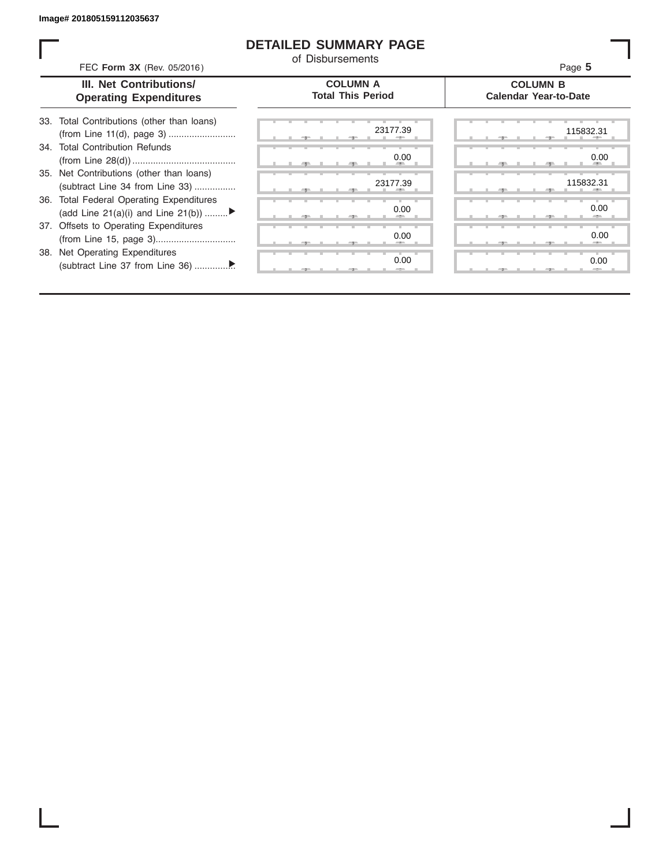ı

## **DETAILED SUMMARY PAGE**

of Disbursements

| FEC Form 3X (Rev. 05/2016)                                                     | <u>u Disnaiseilleilis</u>                   | Page 5                                          |
|--------------------------------------------------------------------------------|---------------------------------------------|-------------------------------------------------|
| <b>III. Net Contributions/</b><br><b>Operating Expenditures</b>                | <b>COLUMN A</b><br><b>Total This Period</b> | <b>COLUMN B</b><br><b>Calendar Year-to-Date</b> |
| 33. Total Contributions (other than loans)                                     | 23177.39                                    | 115832.31                                       |
| 34. Total Contribution Refunds                                                 | 0.00                                        | 0.00                                            |
| 35. Net Contributions (other than loans)<br>(subtract Line 34 from Line 33)    | 23177.39                                    | 115832.31                                       |
| 36. Total Federal Operating Expenditures<br>(add Line 21(a)(i) and Line 21(b)) | 0.00                                        | 0.00                                            |
| 37. Offsets to Operating Expenditures                                          | 0.00                                        | 0.00                                            |
| 38. Net Operating Expenditures                                                 | 0.00                                        | 0.00                                            |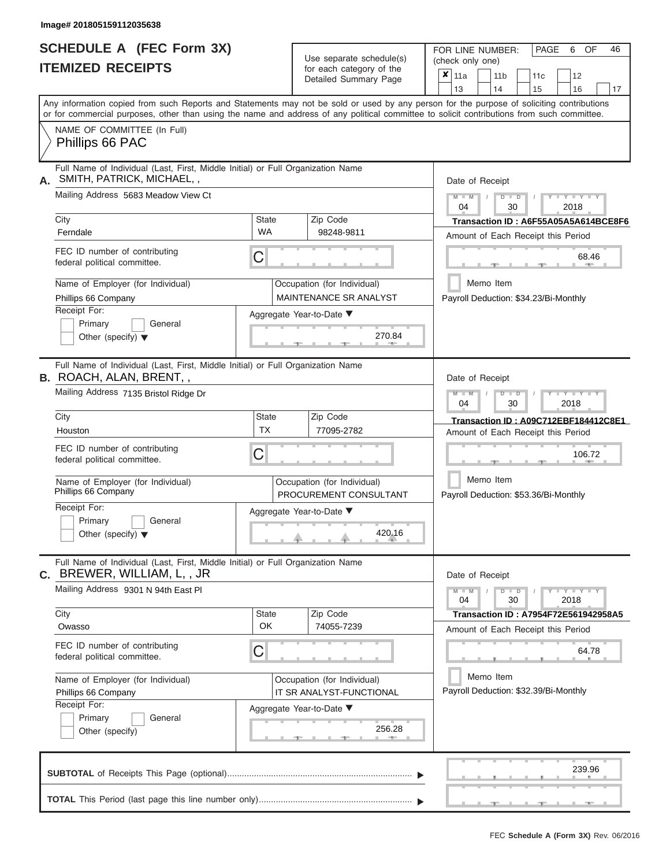## **SCHEDULE A (FEC Form 3X) ITEMIZED RECEIPTS**

| SCHEDULE A (FEC Form 3X)<br><b>ITEMIZED RECEIPTS</b>                                                                                                                                                                                                                                                                                                                                      |                         | Use separate schedule(s)<br>for each category of the<br>Detailed Summary Page                                                              | FOR LINE NUMBER:<br>PAGE<br>6<br>OF<br>46<br>(check only one)<br>$\overline{\mathbf{x}}$   11a<br>11 <sub>b</sub><br>12<br>11c                                                                                                                                                                                                                 |
|-------------------------------------------------------------------------------------------------------------------------------------------------------------------------------------------------------------------------------------------------------------------------------------------------------------------------------------------------------------------------------------------|-------------------------|--------------------------------------------------------------------------------------------------------------------------------------------|------------------------------------------------------------------------------------------------------------------------------------------------------------------------------------------------------------------------------------------------------------------------------------------------------------------------------------------------|
| Any information copied from such Reports and Statements may not be sold or used by any person for the purpose of soliciting contributions<br>or for commercial purposes, other than using the name and address of any political committee to solicit contributions from such committee.<br>NAME OF COMMITTEE (In Full)<br>Phillips 66 PAC                                                 |                         |                                                                                                                                            | 13<br>14<br>15<br>16<br>17                                                                                                                                                                                                                                                                                                                     |
| Full Name of Individual (Last, First, Middle Initial) or Full Organization Name<br>SMITH, PATRICK, MICHAEL,,<br>А.<br>Mailing Address 5683 Meadow View Ct<br>City<br>Ferndale<br>FEC ID number of contributing<br>federal political committee.<br>Name of Employer (for Individual)<br>Phillips 66 Company<br>Receipt For:<br>Primary<br>General<br>Other (specify) $\blacktriangledown$  | State<br><b>WA</b><br>С | Zip Code<br>98248-9811<br>Occupation (for Individual)<br>MAINTENANCE SR ANALYST<br>Aggregate Year-to-Date ▼<br>270.84<br><b>CONTRACTOR</b> | Date of Receipt<br>$M - M$<br>$Y - Y - Y$<br>$D$ $D$<br>04<br>30<br>2018<br>Transaction ID: A6F55A05A5A614BCE8F6<br>Amount of Each Receipt this Period<br>68.46<br><b>AND</b><br>Memo Item<br>Payroll Deduction: \$34.23/Bi-Monthly                                                                                                            |
| Full Name of Individual (Last, First, Middle Initial) or Full Organization Name<br><b>B.</b> ROACH, ALAN, BRENT, ,<br>Mailing Address 7135 Bristol Ridge Dr<br>City<br>Houston<br>FEC ID number of contributing<br>federal political committee.<br>Name of Employer (for Individual)<br>Phillips 66 Company<br>Receipt For:<br>Primary<br>General<br>Other (specify) $\blacktriangledown$ | State<br><b>TX</b><br>С | Zip Code<br>77095-2782<br>Occupation (for Individual)<br>PROCUREMENT CONSULTANT<br>Aggregate Year-to-Date ▼<br>420.16                      | Date of Receipt<br>$M - M$<br>$D$ $D$<br>$\blacksquare \blacksquare \blacksquare \blacksquare \blacksquare \blacksquare \blacksquare \blacksquare \blacksquare \blacksquare$<br>04<br>30<br>2018<br>Transaction ID: A09C712EBF184412C8E1<br>Amount of Each Receipt this Period<br>106.72<br>Memo Item<br>Payroll Deduction: \$53.36/Bi-Monthly |
| Full Name of Individual (Last, First, Middle Initial) or Full Organization Name<br>BREWER, WILLIAM, L,, JR<br>С.<br>Mailing Address 9301 N 94th East Pl<br>City<br>Owasso<br>FEC ID number of contributing<br>federal political committee.<br>Name of Employer (for Individual)<br>Phillips 66 Company<br>Receipt For:<br>Primary<br>General<br>Other (specify)                           | State<br><b>OK</b><br>С | Zip Code<br>74055-7239<br>Occupation (for Individual)<br>IT SR ANALYST-FUNCTIONAL<br>Aggregate Year-to-Date ▼<br>256.28                    | Date of Receipt<br>$M - M$<br>$D$ $\Box$ $D$<br>$Y - Y - Y - Y - Y$<br>04<br>30<br>2018<br>Transaction ID: A7954F72E561942958A5<br>Amount of Each Receipt this Period<br>64.78<br>Memo Item<br>Payroll Deduction: \$32.39/Bi-Monthly                                                                                                           |
|                                                                                                                                                                                                                                                                                                                                                                                           |                         |                                                                                                                                            | 239.96                                                                                                                                                                                                                                                                                                                                         |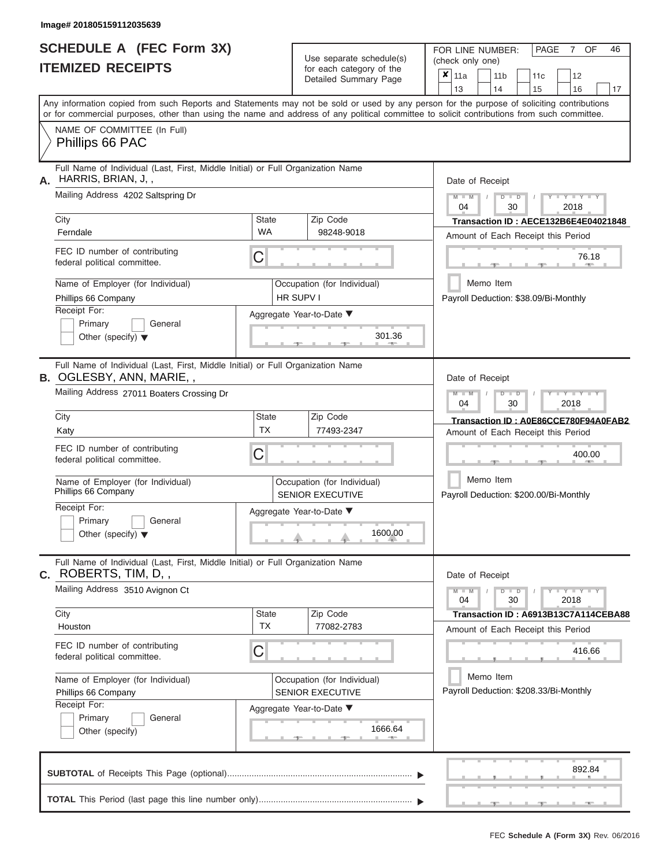|                          | <b>SCHEDULE A (FEC Form 3X)</b> |
|--------------------------|---------------------------------|
| <b>ITEMIZED RECEIPTS</b> |                                 |

| SCHEDULE A (FEC Form 3X)<br><b>ITEMIZED RECEIPTS</b>                                                                                       |                                                                                 | Use separate schedule(s)<br>for each category of the<br>Detailed Summary Page | 46<br>FOR LINE NUMBER:<br>PAGE<br>OF<br>7<br>(check only one)<br>$\overline{\mathbf{x}}$   11a<br>11 <sub>b</sub><br>12<br>11 <sub>c</sub> |
|--------------------------------------------------------------------------------------------------------------------------------------------|---------------------------------------------------------------------------------|-------------------------------------------------------------------------------|--------------------------------------------------------------------------------------------------------------------------------------------|
|                                                                                                                                            |                                                                                 |                                                                               | 13<br>14<br>15<br>16<br>17                                                                                                                 |
| or for commercial purposes, other than using the name and address of any political committee to solicit contributions from such committee. |                                                                                 |                                                                               | Any information copied from such Reports and Statements may not be sold or used by any person for the purpose of soliciting contributions  |
| NAME OF COMMITTEE (In Full)<br>Phillips 66 PAC                                                                                             |                                                                                 |                                                                               |                                                                                                                                            |
| Full Name of Individual (Last, First, Middle Initial) or Full Organization Name<br>HARRIS, BRIAN, J,,                                      |                                                                                 |                                                                               | Date of Receipt                                                                                                                            |
| Mailing Address 4202 Saltspring Dr                                                                                                         |                                                                                 |                                                                               | $M = M$ /<br>$\cdots$ Y $\cdots$ Y $\cdots$ Y<br>$D$ $D$<br>04<br>30<br>2018                                                               |
| City<br>Ferndale                                                                                                                           | <b>State</b><br><b>WA</b>                                                       | Zip Code<br>98248-9018                                                        | Transaction ID: AECE132B6E4E04021848<br>Amount of Each Receipt this Period                                                                 |
| FEC ID number of contributing<br>federal political committee.                                                                              | C                                                                               |                                                                               | 76.18<br><b>AND</b><br>-10                                                                                                                 |
| Name of Employer (for Individual)<br>Phillips 66 Company                                                                                   |                                                                                 | Occupation (for Individual)<br>HR SUPV I                                      | Memo Item<br>Payroll Deduction: \$38.09/Bi-Monthly                                                                                         |
| Receipt For:<br>Primary<br>General<br>Other (specify) $\blacktriangledown$                                                                 |                                                                                 | Aggregate Year-to-Date ▼<br>301.36<br><b>British Allen</b>                    |                                                                                                                                            |
| <b>B.</b> OGLESBY, ANN, MARIE,,<br>Mailing Address 27011 Boaters Crossing Dr                                                               | Full Name of Individual (Last, First, Middle Initial) or Full Organization Name |                                                                               | Date of Receipt<br>$M - M$<br>$D$ $D$<br>$\Box$ $\Upsilon$ $\Box$ $\Upsilon$ $\Upsilon$ $\Upsilon$                                         |
| City                                                                                                                                       | <b>State</b>                                                                    | Zip Code                                                                      | 04<br>30<br>2018                                                                                                                           |
| Katy                                                                                                                                       | <b>TX</b>                                                                       | 77493-2347                                                                    | Transaction ID: A0E86CCE780F94A0FAB2<br>Amount of Each Receipt this Period                                                                 |
| FEC ID number of contributing<br>federal political committee.                                                                              | C                                                                               |                                                                               | 400.00                                                                                                                                     |
| Name of Employer (for Individual)<br>Phillips 66 Company                                                                                   |                                                                                 | Occupation (for Individual)<br><b>SENIOR EXECUTIVE</b>                        | Memo Item<br>Payroll Deduction: \$200.00/Bi-Monthly                                                                                        |
| Receipt For:<br>Primary<br>General                                                                                                         |                                                                                 | Aggregate Year-to-Date ▼                                                      |                                                                                                                                            |
| Other (specify) $\blacktriangledown$                                                                                                       |                                                                                 | 1600.00                                                                       |                                                                                                                                            |
| Full Name of Individual (Last, First, Middle Initial) or Full Organization Name<br>$C.$ ROBERTS, TIM, D,,                                  |                                                                                 |                                                                               | Date of Receipt                                                                                                                            |
| Mailing Address 3510 Avignon Ct                                                                                                            |                                                                                 |                                                                               | $M - M$<br>$D$ $D$<br>$  Y$ $  Y$ $  Y$<br>30<br>2018<br>04                                                                                |
| City<br>Houston                                                                                                                            | <b>State</b><br><b>TX</b>                                                       | Zip Code<br>77082-2783                                                        | Transaction ID: A6913B13C7A114CEBA88<br>Amount of Each Receipt this Period                                                                 |
| FEC ID number of contributing<br>federal political committee.                                                                              | C                                                                               |                                                                               | 416.66                                                                                                                                     |
| Name of Employer (for Individual)<br>Phillips 66 Company                                                                                   |                                                                                 | Occupation (for Individual)<br><b>SENIOR EXECUTIVE</b>                        | Memo Item<br>Payroll Deduction: \$208.33/Bi-Monthly                                                                                        |
| Receipt For:<br>Primary<br>General<br>Other (specify)                                                                                      |                                                                                 | Aggregate Year-to-Date ▼<br>1666.64                                           |                                                                                                                                            |
|                                                                                                                                            |                                                                                 |                                                                               | 892.84                                                                                                                                     |
|                                                                                                                                            |                                                                                 |                                                                               | $-$                                                                                                                                        |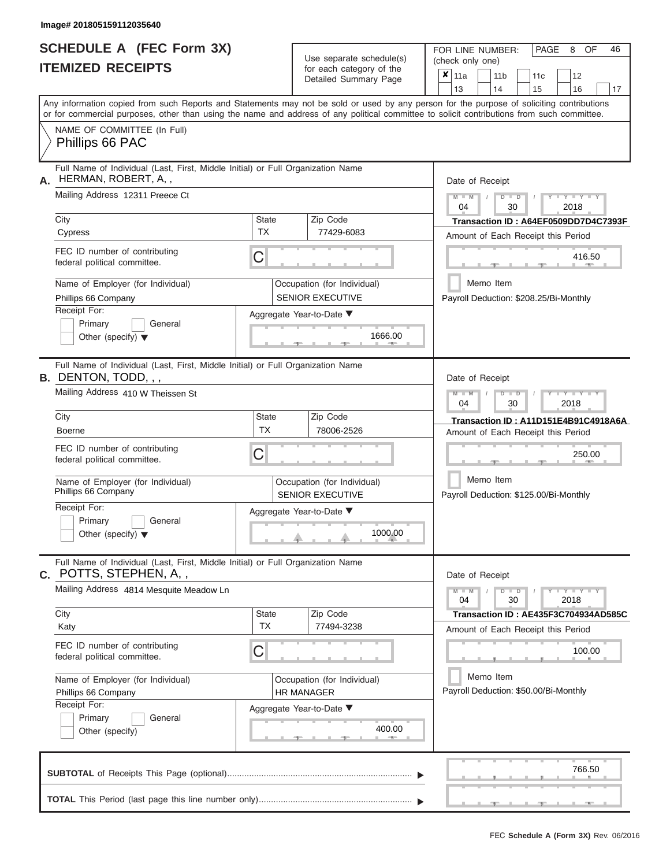ı

|                          | <b>SCHEDULE A (FEC Form 3X)</b> |
|--------------------------|---------------------------------|
| <b>ITEMIZED RECEIPTS</b> |                                 |

Use separate schedule(s)<br>for each category of the

FOR LINE NUMBER:

PAGE 8 OF 46

| <b>ITEMIZED RECEIPTS</b>                                                                                          |                           | Use separate schedule(s)                               | (check only one)                                                                                                                                                                                                                                                                        |  |  |
|-------------------------------------------------------------------------------------------------------------------|---------------------------|--------------------------------------------------------|-----------------------------------------------------------------------------------------------------------------------------------------------------------------------------------------------------------------------------------------------------------------------------------------|--|--|
|                                                                                                                   |                           | for each category of the<br>Detailed Summary Page      | $x _{11a}$<br>12<br>11 <sub>b</sub><br>11c<br>13<br>14<br>15<br>17<br>16                                                                                                                                                                                                                |  |  |
|                                                                                                                   |                           |                                                        | Any information copied from such Reports and Statements may not be sold or used by any person for the purpose of soliciting contributions<br>or for commercial purposes, other than using the name and address of any political committee to solicit contributions from such committee. |  |  |
| NAME OF COMMITTEE (In Full)<br>Phillips 66 PAC                                                                    |                           |                                                        |                                                                                                                                                                                                                                                                                         |  |  |
| Full Name of Individual (Last, First, Middle Initial) or Full Organization Name<br>HERMAN, ROBERT, A,,<br>А.      |                           |                                                        | Date of Receipt                                                                                                                                                                                                                                                                         |  |  |
| Mailing Address 12311 Preece Ct                                                                                   |                           |                                                        | $M - M$<br>$Y - Y - Y$<br>$D$ $D$<br>04<br>30<br>2018                                                                                                                                                                                                                                   |  |  |
| City<br>Cypress                                                                                                   | <b>State</b><br><b>TX</b> | Zip Code<br>77429-6083                                 | Transaction ID: A64EF0509DD7D4C7393F<br>Amount of Each Receipt this Period                                                                                                                                                                                                              |  |  |
| FEC ID number of contributing<br>federal political committee.                                                     | C                         |                                                        | 416.50                                                                                                                                                                                                                                                                                  |  |  |
| Name of Employer (for Individual)<br>Phillips 66 Company                                                          |                           | Occupation (for Individual)<br><b>SENIOR EXECUTIVE</b> | Memo Item<br>Payroll Deduction: \$208.25/Bi-Monthly                                                                                                                                                                                                                                     |  |  |
| Receipt For:<br>Primary<br>General<br>Other (specify) $\blacktriangledown$                                        |                           | Aggregate Year-to-Date ▼<br>1666.00                    |                                                                                                                                                                                                                                                                                         |  |  |
| Full Name of Individual (Last, First, Middle Initial) or Full Organization Name<br><b>B.</b> DENTON, TODD, , ,    |                           |                                                        | Date of Receipt                                                                                                                                                                                                                                                                         |  |  |
| Mailing Address 410 W Theissen St                                                                                 |                           |                                                        | $M - M$<br>$T - Y - T - Y - T - Y$<br>$D$ $\Box$ $D$<br>04<br>30<br>2018                                                                                                                                                                                                                |  |  |
| City<br><b>Boerne</b>                                                                                             | State<br><b>TX</b>        | Zip Code<br>78006-2526                                 | Transaction ID: A11D151E4B91C4918A6A<br>Amount of Each Receipt this Period                                                                                                                                                                                                              |  |  |
| FEC ID number of contributing<br>federal political committee.                                                     | C                         |                                                        | 250.00                                                                                                                                                                                                                                                                                  |  |  |
| Name of Employer (for Individual)<br>Phillips 66 Company                                                          |                           | Occupation (for Individual)<br><b>SENIOR EXECUTIVE</b> | Memo Item<br>Payroll Deduction: \$125.00/Bi-Monthly                                                                                                                                                                                                                                     |  |  |
| Receipt For:<br>Primary<br>General<br>Other (specify) $\blacktriangledown$                                        |                           | Aggregate Year-to-Date ▼<br>1000.00                    |                                                                                                                                                                                                                                                                                         |  |  |
| Full Name of Individual (Last, First, Middle Initial) or Full Organization Name<br><b>c.</b> POTTS, STEPHEN, A, , |                           |                                                        | Date of Receipt                                                                                                                                                                                                                                                                         |  |  |
| Mailing Address 4814 Mesquite Meadow Ln                                                                           |                           |                                                        | $Y = Y = Y' + Y'$<br>$M - M$<br>$D$ $D$<br>04<br>30<br>2018                                                                                                                                                                                                                             |  |  |
| City<br>Katy                                                                                                      | State<br><b>TX</b>        | Zip Code<br>77494-3238                                 | Transaction ID: AE435F3C704934AD585C<br>Amount of Each Receipt this Period                                                                                                                                                                                                              |  |  |
| FEC ID number of contributing<br>federal political committee.                                                     | С                         |                                                        | 100.00                                                                                                                                                                                                                                                                                  |  |  |
| Name of Employer (for Individual)<br>Phillips 66 Company<br>Receipt For:                                          |                           | Occupation (for Individual)<br><b>HR MANAGER</b>       | Memo Item<br>Payroll Deduction: \$50.00/Bi-Monthly                                                                                                                                                                                                                                      |  |  |
| Primary<br>General<br>Other (specify)                                                                             |                           | Aggregate Year-to-Date ▼<br>400.00<br>4800             |                                                                                                                                                                                                                                                                                         |  |  |
|                                                                                                                   |                           |                                                        | 766.50                                                                                                                                                                                                                                                                                  |  |  |
|                                                                                                                   |                           |                                                        |                                                                                                                                                                                                                                                                                         |  |  |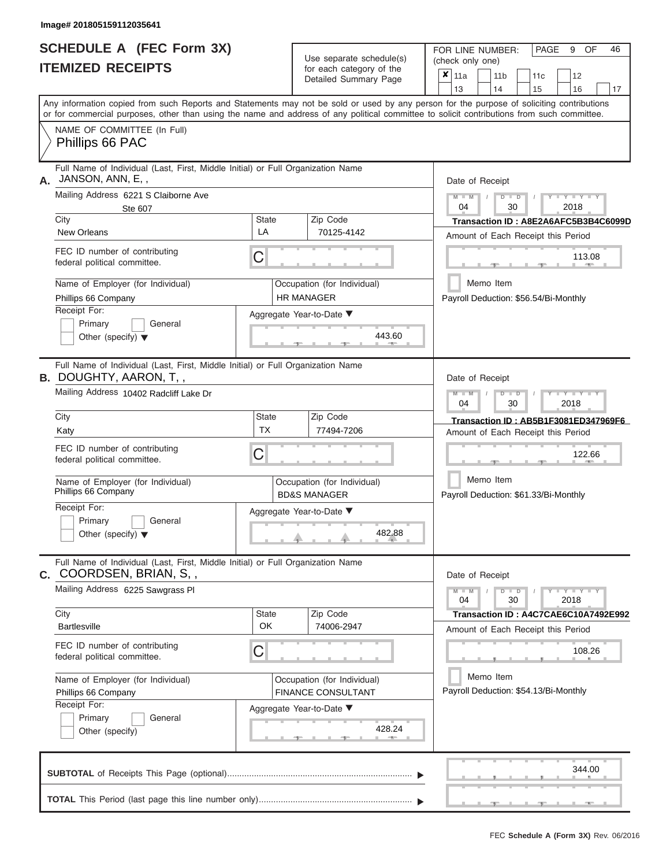# **SCHEDULE A (FEC Form 3X)**

 $Use$  separate schedule(s)

FOR LINE NUMBER:

PAGE 9 OF 46

|    | <b>ITEMIZED RECEIPTS</b>                                                                                                                                                                                                                                                                |                                                                                      | Ose separate surreguels)<br>for each category of the<br>Detailed Summary Page | (check only one)<br>$x _{11a}$<br>11 <sub>b</sub><br>12<br>11c<br>13<br>14<br>15<br>16<br>17 |
|----|-----------------------------------------------------------------------------------------------------------------------------------------------------------------------------------------------------------------------------------------------------------------------------------------|--------------------------------------------------------------------------------------|-------------------------------------------------------------------------------|----------------------------------------------------------------------------------------------|
|    | Any information copied from such Reports and Statements may not be sold or used by any person for the purpose of soliciting contributions<br>or for commercial purposes, other than using the name and address of any political committee to solicit contributions from such committee. |                                                                                      |                                                                               |                                                                                              |
|    | NAME OF COMMITTEE (In Full)<br>Phillips 66 PAC                                                                                                                                                                                                                                          |                                                                                      |                                                                               |                                                                                              |
| А. | Full Name of Individual (Last, First, Middle Initial) or Full Organization Name<br>JANSON, ANN, E,,                                                                                                                                                                                     |                                                                                      |                                                                               | Date of Receipt                                                                              |
|    | Mailing Address 6221 S Claiborne Ave<br>Ste 607                                                                                                                                                                                                                                         |                                                                                      |                                                                               | $ Y - I$<br>$M - M$<br>$D$ $D$<br>2018<br>04<br>30                                           |
|    | City                                                                                                                                                                                                                                                                                    | <b>State</b>                                                                         | Zip Code                                                                      | Transaction ID: A8E2A6AFC5B3B4C6099D                                                         |
|    | New Orleans                                                                                                                                                                                                                                                                             | LA                                                                                   | 70125-4142                                                                    | Amount of Each Receipt this Period                                                           |
|    | FEC ID number of contributing<br>federal political committee.                                                                                                                                                                                                                           | С                                                                                    |                                                                               | 113.08                                                                                       |
|    | Name of Employer (for Individual)                                                                                                                                                                                                                                                       |                                                                                      | Occupation (for Individual)                                                   | Memo Item                                                                                    |
|    | Phillips 66 Company                                                                                                                                                                                                                                                                     |                                                                                      | <b>HR MANAGER</b>                                                             | Payroll Deduction: \$56.54/Bi-Monthly                                                        |
|    | Receipt For:                                                                                                                                                                                                                                                                            |                                                                                      | Aggregate Year-to-Date ▼                                                      |                                                                                              |
|    | Primary<br>General<br>Other (specify) $\blacktriangledown$                                                                                                                                                                                                                              |                                                                                      | 443.60                                                                        |                                                                                              |
|    | Full Name of Individual (Last, First, Middle Initial) or Full Organization Name<br><b>B.</b> DOUGHTY, AARON, T, ,                                                                                                                                                                       |                                                                                      |                                                                               | Date of Receipt                                                                              |
|    | Mailing Address 10402 Radcliff Lake Dr                                                                                                                                                                                                                                                  |                                                                                      | Y TYT<br>$\Box$<br>D<br>04<br>2018<br>30                                      |                                                                                              |
|    | City                                                                                                                                                                                                                                                                                    | State<br>Zip Code                                                                    |                                                                               | Transaction ID: AB5B1F3081ED347969F6                                                         |
|    | Katy                                                                                                                                                                                                                                                                                    | <b>TX</b><br>77494-7206                                                              |                                                                               | Amount of Each Receipt this Period                                                           |
|    | FEC ID number of contributing<br>federal political committee.                                                                                                                                                                                                                           | C                                                                                    |                                                                               | 122.66                                                                                       |
|    | Name of Employer (for Individual)<br>Phillips 66 Company                                                                                                                                                                                                                                |                                                                                      | Occupation (for Individual)<br><b>BD&amp;S MANAGER</b>                        | Memo Item<br>Payroll Deduction: \$61.33/Bi-Monthly                                           |
|    | Receipt For:<br>Primary<br>General<br>Other (specify) $\blacktriangledown$                                                                                                                                                                                                              |                                                                                      | Aggregate Year-to-Date ▼<br>482.88                                            |                                                                                              |
| С. | Full Name of Individual (Last, First, Middle Initial) or Full Organization Name<br>COORDSEN, BRIAN, S,,                                                                                                                                                                                 |                                                                                      |                                                                               | Date of Receipt                                                                              |
|    | Mailing Address 6225 Sawgrass PI                                                                                                                                                                                                                                                        |                                                                                      |                                                                               | $T - Y = Y + Y$<br>$M - M$<br>$D$ $D$<br>04<br>30<br>2018                                    |
|    | City<br><b>Bartlesville</b>                                                                                                                                                                                                                                                             | State<br>OK                                                                          | Zip Code<br>74006-2947                                                        | Transaction ID: A4C7CAE6C10A7492E992                                                         |
|    |                                                                                                                                                                                                                                                                                         |                                                                                      |                                                                               | Amount of Each Receipt this Period                                                           |
|    | FEC ID number of contributing<br>federal political committee.                                                                                                                                                                                                                           | C                                                                                    |                                                                               | 108.26                                                                                       |
|    | Name of Employer (for Individual)                                                                                                                                                                                                                                                       | Occupation (for Individual)<br><b>FINANCE CONSULTANT</b><br>Aggregate Year-to-Date ▼ |                                                                               | Memo Item                                                                                    |
|    | Phillips 66 Company<br>Receipt For:                                                                                                                                                                                                                                                     |                                                                                      |                                                                               | Payroll Deduction: \$54.13/Bi-Monthly                                                        |
|    | Primary<br>General                                                                                                                                                                                                                                                                      |                                                                                      |                                                                               |                                                                                              |
|    | Other (specify)                                                                                                                                                                                                                                                                         |                                                                                      | 428.24                                                                        |                                                                                              |
|    |                                                                                                                                                                                                                                                                                         |                                                                                      |                                                                               | 344.00                                                                                       |
|    |                                                                                                                                                                                                                                                                                         |                                                                                      |                                                                               |                                                                                              |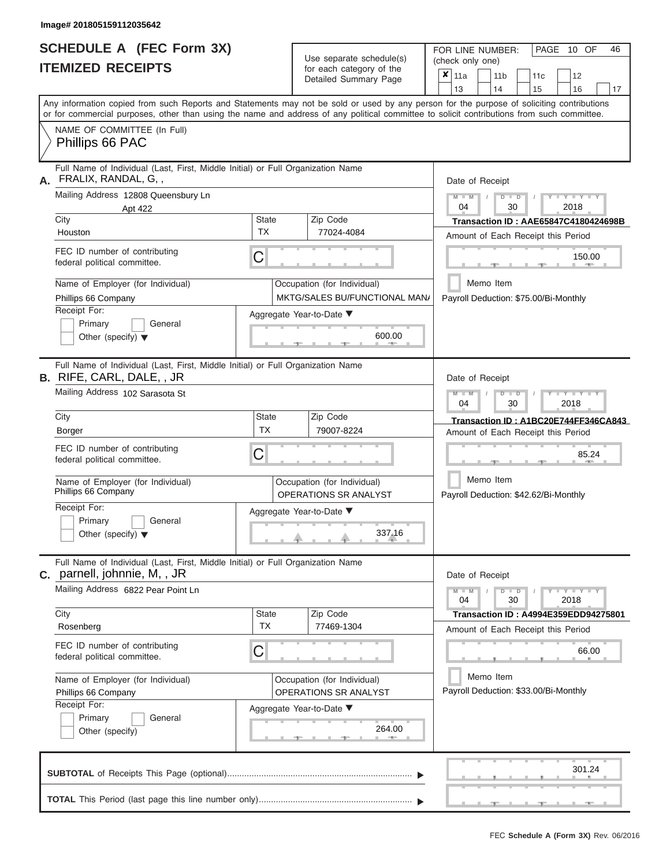ı

|                          | <b>SCHEDULE A (FEC Form 3X)</b> |  |
|--------------------------|---------------------------------|--|
| <b>ITEMIZED RECEIPTS</b> |                                 |  |

Use separate schedule(s)<br>for each category of the

FOR LINE NUMBER:<br>(check only one)

PAGE 10 OF 46

|                                                                                                              | HEMILED REVEIL I                                                                                                                                                                                                                                                                        |                                                             | iui cauli ualcyuly ul lilo<br>Detailed Summary Page            | x | 11a<br>13                                          |                                                                                   | 14 | 11 <sub>b</sub> |  | 11 <sub>c</sub><br>15 | 12<br>16                             |                      | 17 |  |  |
|--------------------------------------------------------------------------------------------------------------|-----------------------------------------------------------------------------------------------------------------------------------------------------------------------------------------------------------------------------------------------------------------------------------------|-------------------------------------------------------------|----------------------------------------------------------------|---|----------------------------------------------------|-----------------------------------------------------------------------------------|----|-----------------|--|-----------------------|--------------------------------------|----------------------|----|--|--|
|                                                                                                              | Any information copied from such Reports and Statements may not be sold or used by any person for the purpose of soliciting contributions<br>or for commercial purposes, other than using the name and address of any political committee to solicit contributions from such committee. |                                                             |                                                                |   |                                                    |                                                                                   |    |                 |  |                       |                                      |                      |    |  |  |
|                                                                                                              | NAME OF COMMITTEE (In Full)<br>Phillips 66 PAC                                                                                                                                                                                                                                          |                                                             |                                                                |   |                                                    |                                                                                   |    |                 |  |                       |                                      |                      |    |  |  |
| Full Name of Individual (Last, First, Middle Initial) or Full Organization Name<br>FRALIX, RANDAL, G,,<br>А. |                                                                                                                                                                                                                                                                                         |                                                             |                                                                |   |                                                    | Date of Receipt                                                                   |    |                 |  |                       |                                      |                      |    |  |  |
| Mailing Address 12808 Queensbury Ln<br>Apt 422                                                               |                                                                                                                                                                                                                                                                                         |                                                             |                                                                |   |                                                    |                                                                                   |    | $D$ $D$<br>30   |  |                       | 2018                                 | $Y + Y$              |    |  |  |
|                                                                                                              | City<br>Houston                                                                                                                                                                                                                                                                         | <b>State</b><br>Zip Code<br><b>TX</b><br>77024-4084         |                                                                |   |                                                    | <b>Transaction ID: AAE65847C4180424698B</b><br>Amount of Each Receipt this Period |    |                 |  |                       |                                      |                      |    |  |  |
|                                                                                                              | FEC ID number of contributing<br>federal political committee.                                                                                                                                                                                                                           | C                                                           |                                                                |   |                                                    |                                                                                   |    |                 |  |                       |                                      | 150.00<br><b>AND</b> |    |  |  |
|                                                                                                              | Name of Employer (for Individual)<br>Phillips 66 Company                                                                                                                                                                                                                                |                                                             | Occupation (for Individual)<br>MKTG/SALES BU/FUNCTIONAL MAN/   |   | Payroll Deduction: \$75.00/Bi-Monthly              | Memo Item                                                                         |    |                 |  |                       |                                      |                      |    |  |  |
|                                                                                                              | Receipt For:<br>Primary<br>General<br>Other (specify) $\blacktriangledown$                                                                                                                                                                                                              |                                                             | Aggregate Year-to-Date ▼<br>600.00<br><b>Contract Contract</b> |   |                                                    |                                                                                   |    |                 |  |                       |                                      |                      |    |  |  |
|                                                                                                              | Full Name of Individual (Last, First, Middle Initial) or Full Organization Name<br>B. RIFE, CARL, DALE, , JR                                                                                                                                                                            |                                                             |                                                                |   | Date of Receipt                                    |                                                                                   |    |                 |  |                       |                                      |                      |    |  |  |
|                                                                                                              | Mailing Address 102 Sarasota St                                                                                                                                                                                                                                                         |                                                             |                                                                |   | $M - M$<br>04                                      |                                                                                   |    | $D$ $D$<br>30   |  |                       | Y L Y L Y<br>2018                    |                      |    |  |  |
|                                                                                                              | City<br>Borger                                                                                                                                                                                                                                                                          | State<br><b>TX</b>                                          | Zip Code<br>79007-8224                                         |   | Amount of Each Receipt this Period                 |                                                                                   |    |                 |  |                       | Transaction ID: A1BC20E744FF346CA843 |                      |    |  |  |
|                                                                                                              | FEC ID number of contributing<br>federal political committee.                                                                                                                                                                                                                           | C                                                           |                                                                |   |                                                    | 85.24                                                                             |    |                 |  |                       |                                      |                      |    |  |  |
|                                                                                                              | Name of Employer (for Individual)<br>Phillips 66 Company                                                                                                                                                                                                                                | Occupation (for Individual)<br><b>OPERATIONS SR ANALYST</b> |                                                                |   | Memo Item<br>Payroll Deduction: \$42.62/Bi-Monthly |                                                                                   |    |                 |  |                       |                                      |                      |    |  |  |
|                                                                                                              | Receipt For:<br>Primary<br>General<br>Other (specify) $\blacktriangledown$                                                                                                                                                                                                              |                                                             | Aggregate Year-to-Date ▼<br>337.16                             |   |                                                    |                                                                                   |    |                 |  |                       |                                      |                      |    |  |  |
|                                                                                                              | Full Name of Individual (Last, First, Middle Initial) or Full Organization Name<br>C. parnell, johnnie, M., JR                                                                                                                                                                          |                                                             |                                                                |   | Date of Receipt                                    |                                                                                   |    |                 |  |                       |                                      |                      |    |  |  |
|                                                                                                              | Mailing Address 6822 Pear Point Ln                                                                                                                                                                                                                                                      |                                                             |                                                                |   | $M - M$<br>04                                      |                                                                                   |    | $D$ $D$<br>30   |  |                       | $-Y - Y - Y - Y$<br>2018             |                      |    |  |  |
|                                                                                                              | City<br>Rosenberg                                                                                                                                                                                                                                                                       | State<br><b>TX</b>                                          | Zip Code<br>77469-1304                                         |   | Amount of Each Receipt this Period                 |                                                                                   |    |                 |  |                       | Transaction ID: A4994E359EDD94275801 |                      |    |  |  |
|                                                                                                              | FEC ID number of contributing<br>federal political committee.                                                                                                                                                                                                                           | С                                                           |                                                                |   |                                                    |                                                                                   |    |                 |  |                       |                                      | 66.00                |    |  |  |
|                                                                                                              | Name of Employer (for Individual)<br>Phillips 66 Company                                                                                                                                                                                                                                | Occupation (for Individual)<br>OPERATIONS SR ANALYST        |                                                                |   |                                                    | Memo Item<br>Payroll Deduction: \$33.00/Bi-Monthly                                |    |                 |  |                       |                                      |                      |    |  |  |
|                                                                                                              | Receipt For:<br>Primary<br>General<br>Other (specify)                                                                                                                                                                                                                                   |                                                             | Aggregate Year-to-Date ▼<br>264.00                             |   |                                                    |                                                                                   |    |                 |  |                       |                                      |                      |    |  |  |
|                                                                                                              |                                                                                                                                                                                                                                                                                         |                                                             |                                                                |   |                                                    |                                                                                   |    |                 |  |                       |                                      | 301.24               |    |  |  |
|                                                                                                              |                                                                                                                                                                                                                                                                                         |                                                             |                                                                |   |                                                    |                                                                                   |    |                 |  |                       |                                      |                      |    |  |  |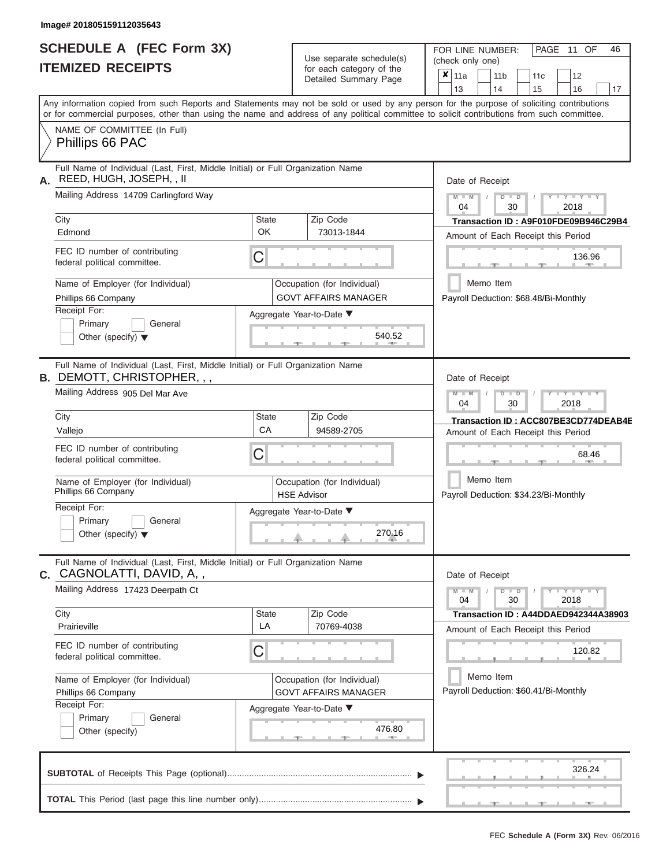|                          | <b>SCHEDULE A (FEC Form 3X)</b> |
|--------------------------|---------------------------------|
| <b>ITEMIZED RECEIPTS</b> |                                 |

Use separate schedule(s)<br>for each category of the

FOR LINE NUMBER:

PAGE 11 OF 46

|                                                                                                                     |                    | Use separate schedule(s)                                   | (check only one)                                                                                                                                                                                                                                                                        |  |  |  |  |  |  |  |
|---------------------------------------------------------------------------------------------------------------------|--------------------|------------------------------------------------------------|-----------------------------------------------------------------------------------------------------------------------------------------------------------------------------------------------------------------------------------------------------------------------------------------|--|--|--|--|--|--|--|
| <b>ITEMIZED RECEIPTS</b>                                                                                            |                    | for each category of the<br>Detailed Summary Page          | $\overline{\mathbf{x}}$   11a<br>12<br>11 <sub>b</sub><br>11 <sub>c</sub><br>13<br>14<br>15<br>16<br>17                                                                                                                                                                                 |  |  |  |  |  |  |  |
|                                                                                                                     |                    |                                                            | Any information copied from such Reports and Statements may not be sold or used by any person for the purpose of soliciting contributions<br>or for commercial purposes, other than using the name and address of any political committee to solicit contributions from such committee. |  |  |  |  |  |  |  |
| NAME OF COMMITTEE (In Full)<br>Phillips 66 PAC                                                                      |                    |                                                            |                                                                                                                                                                                                                                                                                         |  |  |  |  |  |  |  |
| Full Name of Individual (Last, First, Middle Initial) or Full Organization Name<br>REED, HUGH, JOSEPH, , II<br>А.   |                    |                                                            | Date of Receipt                                                                                                                                                                                                                                                                         |  |  |  |  |  |  |  |
| Mailing Address 14709 Carlingford Way                                                                               |                    |                                                            | $+Y+Y+Y$<br>$M - M$<br>$D$ $\Box$ $D$<br>04<br>30<br>2018                                                                                                                                                                                                                               |  |  |  |  |  |  |  |
| City<br>Edmond                                                                                                      | <b>State</b><br>OK | Zip Code<br>73013-1844                                     | Transaction ID: A9F010FDE09B946C29B4<br>Amount of Each Receipt this Period                                                                                                                                                                                                              |  |  |  |  |  |  |  |
| FEC ID number of contributing<br>federal political committee.                                                       | C                  |                                                            | 136.96                                                                                                                                                                                                                                                                                  |  |  |  |  |  |  |  |
| Name of Employer (for Individual)<br>Phillips 66 Company                                                            |                    | Occupation (for Individual)<br><b>GOVT AFFAIRS MANAGER</b> | Memo Item<br>Payroll Deduction: \$68.48/Bi-Monthly                                                                                                                                                                                                                                      |  |  |  |  |  |  |  |
| Receipt For:<br>Primary<br>General<br>Other (specify) $\blacktriangledown$                                          |                    | Aggregate Year-to-Date ▼<br>540.52                         |                                                                                                                                                                                                                                                                                         |  |  |  |  |  |  |  |
| Full Name of Individual (Last, First, Middle Initial) or Full Organization Name<br>B. DEMOTT, CHRISTOPHER, , ,      |                    |                                                            | Date of Receipt                                                                                                                                                                                                                                                                         |  |  |  |  |  |  |  |
| Mailing Address 905 Del Mar Ave                                                                                     |                    |                                                            | $M - M$<br>$T - Y = Y - T Y$<br>$D$ $D$<br>04<br>30<br>2018                                                                                                                                                                                                                             |  |  |  |  |  |  |  |
| City<br>Vallejo                                                                                                     | <b>State</b><br>СA | Zip Code<br>94589-2705                                     | Transaction ID: ACC807BE3CD774DEAB4E<br>Amount of Each Receipt this Period                                                                                                                                                                                                              |  |  |  |  |  |  |  |
| FEC ID number of contributing<br>federal political committee.                                                       | C                  |                                                            | 68.46                                                                                                                                                                                                                                                                                   |  |  |  |  |  |  |  |
| Name of Employer (for Individual)<br>Phillips 66 Company                                                            |                    | Occupation (for Individual)<br><b>HSE Advisor</b>          | Memo Item<br>Payroll Deduction: \$34.23/Bi-Monthly                                                                                                                                                                                                                                      |  |  |  |  |  |  |  |
| Receipt For:<br>Primary<br>General<br>Other (specify) $\blacktriangledown$                                          |                    | Aggregate Year-to-Date ▼<br>270.16                         |                                                                                                                                                                                                                                                                                         |  |  |  |  |  |  |  |
| Full Name of Individual (Last, First, Middle Initial) or Full Organization Name<br><b>c.</b> CAGNOLATTI, DAVID, A,, |                    |                                                            | Date of Receipt                                                                                                                                                                                                                                                                         |  |  |  |  |  |  |  |
| Mailing Address 17423 Deerpath Ct                                                                                   |                    |                                                            | $Y - Y - Y - Y - Y$<br>$M - M$<br>$D$ $\Box$ $D$<br>$\sqrt{2}$<br>04<br>30<br>2018                                                                                                                                                                                                      |  |  |  |  |  |  |  |
| City<br>Prairieville                                                                                                | <b>State</b><br>LA | Zip Code<br>70769-4038                                     | Transaction ID: A44DDAED942344A38903<br>Amount of Each Receipt this Period                                                                                                                                                                                                              |  |  |  |  |  |  |  |
| FEC ID number of contributing<br>federal political committee.                                                       | С                  |                                                            | 120.82                                                                                                                                                                                                                                                                                  |  |  |  |  |  |  |  |
| Name of Employer (for Individual)<br>Phillips 66 Company                                                            |                    | Occupation (for Individual)<br><b>GOVT AFFAIRS MANAGER</b> | Memo Item<br>Payroll Deduction: \$60.41/Bi-Monthly                                                                                                                                                                                                                                      |  |  |  |  |  |  |  |
| Receipt For:<br>Primary<br>General<br>Other (specify)                                                               |                    | Aggregate Year-to-Date ▼<br>476.80<br><b>CONTRACTOR</b>    |                                                                                                                                                                                                                                                                                         |  |  |  |  |  |  |  |
|                                                                                                                     |                    |                                                            | 326.24                                                                                                                                                                                                                                                                                  |  |  |  |  |  |  |  |
|                                                                                                                     |                    |                                                            |                                                                                                                                                                                                                                                                                         |  |  |  |  |  |  |  |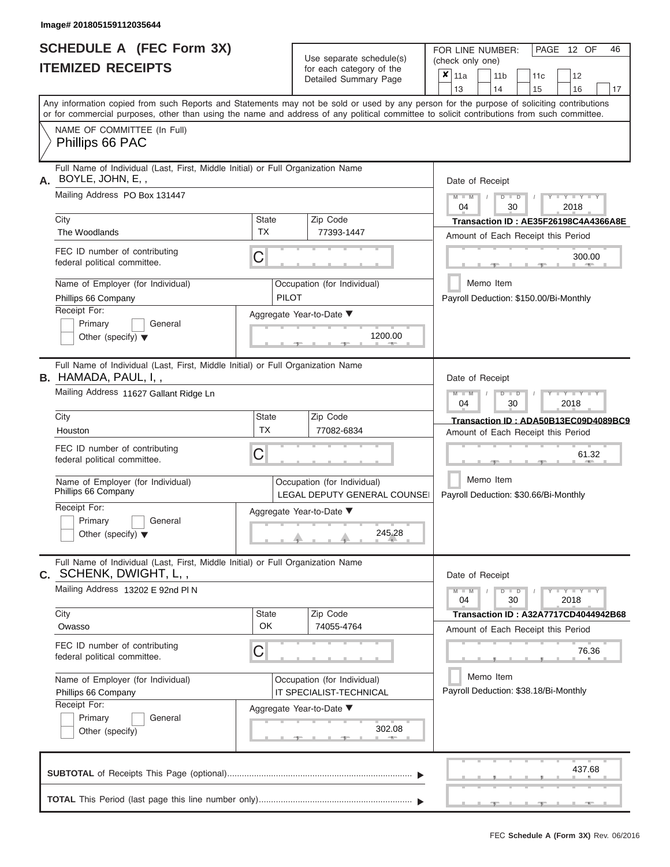|                          | <b>SCHEDULE A (FEC Form 3X)</b> |
|--------------------------|---------------------------------|
| <b>ITEMIZED RECEIPTS</b> |                                 |

Use separate schedule(s) (check only one)<br>for each category of the  $\begin{array}{|c|c|c|c|c|}\n\hline\n\text{Initial Summary goes} & & \text{with } & \text{with } & \text{with } & \text{with } & \text{with } & \text{with } & \text{with } & \text{with } & \text{with } & \text{with } & \text{with } & \text{with } & \text{with } & \text{with } & \text{with } & \text{with } & \text{with } & \text{with } & \text{with } & \text{with } & \text$ 

FOR LINE NUMBER:

PAGE 12 OF 46

|                                                                                                                |              | Detailed Summary Page                                       | <b>×</b> ∣11a<br>11 b<br>11c<br>12                                                                                                                                      |
|----------------------------------------------------------------------------------------------------------------|--------------|-------------------------------------------------------------|-------------------------------------------------------------------------------------------------------------------------------------------------------------------------|
|                                                                                                                |              |                                                             | 13<br>14<br>15<br>16<br>17<br>Any information copied from such Reports and Statements may not be sold or used by any person for the purpose of soliciting contributions |
|                                                                                                                |              |                                                             | or for commercial purposes, other than using the name and address of any political committee to solicit contributions from such committee.                              |
| NAME OF COMMITTEE (In Full)<br>Phillips 66 PAC                                                                 |              |                                                             |                                                                                                                                                                         |
| Full Name of Individual (Last, First, Middle Initial) or Full Organization Name<br>BOYLE, JOHN, E,,<br>А.      |              |                                                             | Date of Receipt                                                                                                                                                         |
| Mailing Address PO Box 131447                                                                                  |              |                                                             | $T - Y = Y + Y$<br>$M - M$<br>$D$ $\Box$ $D$<br>$\sqrt{ }$<br>04<br>30<br>2018                                                                                          |
| City                                                                                                           | <b>State</b> | Zip Code                                                    | Transaction ID: AE35F26198C4A4366A8E                                                                                                                                    |
| The Woodlands                                                                                                  | TX           | 77393-1447                                                  | Amount of Each Receipt this Period                                                                                                                                      |
| FEC ID number of contributing<br>federal political committee.                                                  | C            |                                                             | 300.00<br><b>CONTRACTOR</b>                                                                                                                                             |
| Name of Employer (for Individual)                                                                              |              | Occupation (for Individual)                                 | Memo Item                                                                                                                                                               |
| Phillips 66 Company                                                                                            | <b>PILOT</b> |                                                             | Payroll Deduction: \$150.00/Bi-Monthly                                                                                                                                  |
| Receipt For:                                                                                                   |              | Aggregate Year-to-Date ▼                                    |                                                                                                                                                                         |
| Primary<br>General                                                                                             |              |                                                             |                                                                                                                                                                         |
| Other (specify) $\blacktriangledown$                                                                           |              | 1200.00                                                     |                                                                                                                                                                         |
| Full Name of Individual (Last, First, Middle Initial) or Full Organization Name<br><b>B.</b> HAMADA, PAUL, I,, |              |                                                             | Date of Receipt                                                                                                                                                         |
| Mailing Address 11627 Gallant Ridge Ln                                                                         |              |                                                             | $D - I - D$<br>$Y - Y - Y - Y - Y$<br>$M - M$<br>04<br>30<br>2018                                                                                                       |
| City                                                                                                           | <b>State</b> | Zip Code                                                    | Transaction ID: ADA50B13EC09D4089BC9                                                                                                                                    |
| Houston                                                                                                        | ТX           | 77082-6834                                                  | Amount of Each Receipt this Period                                                                                                                                      |
| FEC ID number of contributing<br>federal political committee.                                                  | C            |                                                             | 61.32                                                                                                                                                                   |
| Name of Employer (for Individual)<br>Phillips 66 Company                                                       |              | Occupation (for Individual)<br>LEGAL DEPUTY GENERAL COUNSEI | Memo Item<br>Payroll Deduction: \$30.66/Bi-Monthly                                                                                                                      |
| Receipt For:                                                                                                   |              | Aggregate Year-to-Date ▼                                    |                                                                                                                                                                         |
| Primary<br>General                                                                                             |              |                                                             |                                                                                                                                                                         |
| Other (specify) $\blacktriangledown$                                                                           |              | 245.28                                                      |                                                                                                                                                                         |
| Full Name of Individual (Last, First, Middle Initial) or Full Organization Name<br>C. SCHENK, DWIGHT, L,,      |              |                                                             | Date of Receipt                                                                                                                                                         |
| Mailing Address 13202 E 92nd PIN                                                                               |              |                                                             | $Y - Y - Y - Y - Y$<br>$M - M$<br>$D$ $\Box$ $D$<br>04<br>30<br>2018                                                                                                    |
| City                                                                                                           | <b>State</b> | Zip Code                                                    | Transaction ID: A32A7717CD4044942B68                                                                                                                                    |
| Owasso                                                                                                         | OK           | 74055-4764                                                  | Amount of Each Receipt this Period                                                                                                                                      |
| FEC ID number of contributing<br>federal political committee.                                                  | C            |                                                             | 76.36                                                                                                                                                                   |
| Name of Employer (for Individual)<br>Phillips 66 Company                                                       |              | Occupation (for Individual)<br>IT SPECIALIST-TECHNICAL      | Memo Item<br>Payroll Deduction: \$38.18/Bi-Monthly                                                                                                                      |
| Receipt For:                                                                                                   |              |                                                             |                                                                                                                                                                         |
| Primary<br>General                                                                                             |              | Aggregate Year-to-Date ▼                                    |                                                                                                                                                                         |
| Other (specify)                                                                                                |              | 302.08                                                      |                                                                                                                                                                         |
|                                                                                                                |              |                                                             | 437.68                                                                                                                                                                  |
|                                                                                                                |              |                                                             |                                                                                                                                                                         |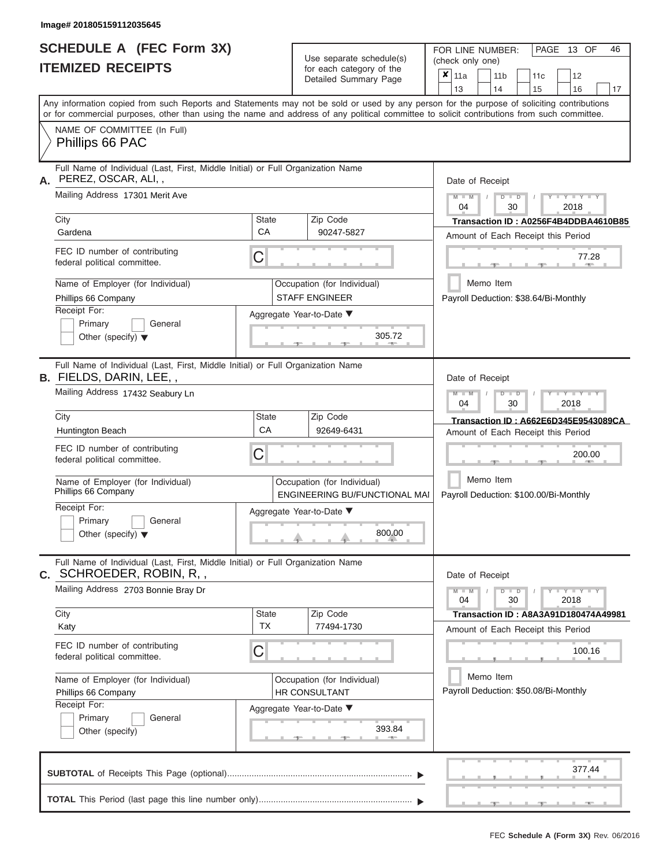|                          | <b>SCHEDULE A (FEC Form 3X)</b> |
|--------------------------|---------------------------------|
| <b>ITEMIZED RECEIPTS</b> |                                 |

| SCHEDULE A (FEC Form 3X)<br><b>ITEMIZED RECEIPTS</b>                                                                                           | Use separate schedule(s)<br>for each category of the         |                                                            | FOR LINE NUMBER:<br>PAGE 13 OF<br>46<br>(check only one)<br>$\overline{\mathbf{x}}$   11a<br>11 <sub>b</sub><br>12<br>11 <sub>c</sub>     |
|------------------------------------------------------------------------------------------------------------------------------------------------|--------------------------------------------------------------|------------------------------------------------------------|-------------------------------------------------------------------------------------------------------------------------------------------|
|                                                                                                                                                |                                                              | Detailed Summary Page                                      | 13<br>14<br>15<br>16<br>17                                                                                                                |
| or for commercial purposes, other than using the name and address of any political committee to solicit contributions from such committee.     |                                                              |                                                            | Any information copied from such Reports and Statements may not be sold or used by any person for the purpose of soliciting contributions |
| NAME OF COMMITTEE (In Full)<br>Phillips 66 PAC                                                                                                 |                                                              |                                                            |                                                                                                                                           |
| Full Name of Individual (Last, First, Middle Initial) or Full Organization Name<br>PEREZ, OSCAR, ALI,,                                         |                                                              |                                                            | Date of Receipt                                                                                                                           |
| Mailing Address 17301 Merit Ave                                                                                                                |                                                              |                                                            | $M = M$ /<br>$+Y+Y+Y$<br>$D$ $D$<br>04<br>30<br>2018                                                                                      |
| City<br>Gardena                                                                                                                                | <b>State</b><br>CA                                           | Zip Code<br>90247-5827                                     | Transaction ID: A0256F4B4DDBA4610B85<br>Amount of Each Receipt this Period                                                                |
| FEC ID number of contributing<br>federal political committee.                                                                                  | C                                                            |                                                            | 77.28<br><b>AND</b><br>$-1$                                                                                                               |
| Name of Employer (for Individual)<br>Phillips 66 Company                                                                                       |                                                              | Occupation (for Individual)<br><b>STAFF ENGINEER</b>       | Memo Item<br>Payroll Deduction: \$38.64/Bi-Monthly                                                                                        |
| Receipt For:<br>Primary<br>General<br>Other (specify) $\blacktriangledown$                                                                     |                                                              | Aggregate Year-to-Date ▼<br>305.72<br><b>British Allen</b> |                                                                                                                                           |
| Full Name of Individual (Last, First, Middle Initial) or Full Organization Name<br>B. FIELDS, DARIN, LEE,,<br>Mailing Address 17432 Seabury Ln |                                                              |                                                            | Date of Receipt<br>$M - M$<br>$D$ $D$<br>$\Box$ $\Upsilon$ $\Box$ $\Upsilon$ $\Upsilon$ $\Upsilon$<br>$\prime$                            |
| City                                                                                                                                           | <b>State</b>                                                 | Zip Code                                                   | 04<br>30<br>2018                                                                                                                          |
| Huntington Beach                                                                                                                               | CA                                                           | 92649-6431                                                 | Transaction ID: A662E6D345E9543089CA<br>Amount of Each Receipt this Period                                                                |
| FEC ID number of contributing<br>federal political committee.                                                                                  | C                                                            |                                                            | 200.00                                                                                                                                    |
| Name of Employer (for Individual)<br>Phillips 66 Company                                                                                       | Occupation (for Individual)<br>ENGINEERING BU/FUNCTIONAL MAI |                                                            | Memo Item<br>Payroll Deduction: \$100.00/Bi-Monthly                                                                                       |
| Receipt For:<br>Primary<br>General                                                                                                             |                                                              | Aggregate Year-to-Date ▼                                   |                                                                                                                                           |
| Other (specify) $\blacktriangledown$                                                                                                           |                                                              | 800.00                                                     |                                                                                                                                           |
| Full Name of Individual (Last, First, Middle Initial) or Full Organization Name<br>C. SCHROEDER, ROBIN, R,,                                    |                                                              |                                                            | Date of Receipt                                                                                                                           |
| Mailing Address 2703 Bonnie Bray Dr                                                                                                            |                                                              |                                                            | $M - M$<br>$D$ $D$<br>$Y - Y - Y - Y$<br>30<br>2018<br>04                                                                                 |
| City<br>Katy                                                                                                                                   | State<br><b>TX</b>                                           | Zip Code<br>77494-1730                                     | Transaction ID: A8A3A91D180474A49981<br>Amount of Each Receipt this Period                                                                |
| FEC ID number of contributing<br>federal political committee.                                                                                  | C                                                            |                                                            | 100.16                                                                                                                                    |
| Name of Employer (for Individual)<br>Phillips 66 Company                                                                                       |                                                              | Occupation (for Individual)<br><b>HR CONSULTANT</b>        | Memo Item<br>Payroll Deduction: \$50.08/Bi-Monthly                                                                                        |
| Receipt For:<br>Primary<br>General<br>Other (specify)                                                                                          |                                                              | Aggregate Year-to-Date ▼<br>393.84                         |                                                                                                                                           |
|                                                                                                                                                |                                                              |                                                            | 377.44                                                                                                                                    |
|                                                                                                                                                |                                                              |                                                            | ___ <del>___</del> ______<br>$-$                                                                                                          |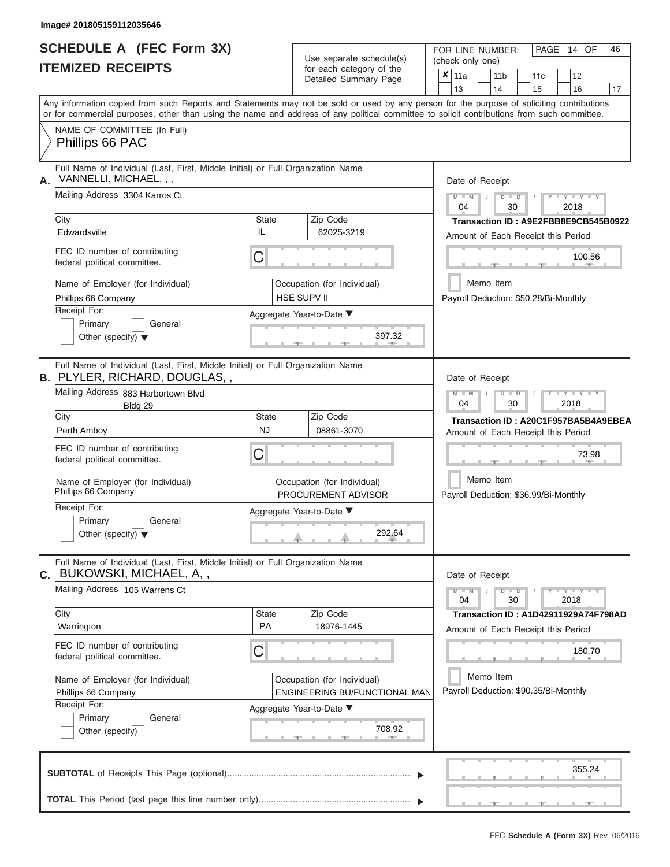|                          | <b>SCHEDULE A (FEC Form 3X)</b> |
|--------------------------|---------------------------------|
| <b>ITEMIZED RECEIPTS</b> |                                 |

Use separate schedule(s)<br>for each category of the

FOR LINE NUMBER:<br>(check only one)

PAGE 14 OF 46

|                                                                                                                                                                                                                                                                                         |                                                    | $\alpha$<br>Detailed Summary Page          |                                       | $x \mid$ 11a                                       |           | 11 <sub>b</sub> |                                      | 11 <sub>c</sub> | 12                                                                              |    |  |  |  |  |  |  |
|-----------------------------------------------------------------------------------------------------------------------------------------------------------------------------------------------------------------------------------------------------------------------------------------|----------------------------------------------------|--------------------------------------------|---------------------------------------|----------------------------------------------------|-----------|-----------------|--------------------------------------|-----------------|---------------------------------------------------------------------------------|----|--|--|--|--|--|--|
| Any information copied from such Reports and Statements may not be sold or used by any person for the purpose of soliciting contributions<br>or for commercial purposes, other than using the name and address of any political committee to solicit contributions from such committee. |                                                    |                                            |                                       | 13                                                 |           | 14              |                                      | 15              | 16                                                                              | 17 |  |  |  |  |  |  |
| NAME OF COMMITTEE (In Full)<br>Phillips 66 PAC                                                                                                                                                                                                                                          |                                                    |                                            |                                       |                                                    |           |                 |                                      |                 |                                                                                 |    |  |  |  |  |  |  |
| Full Name of Individual (Last, First, Middle Initial) or Full Organization Name<br>VANNELLI, MICHAEL, , ,<br>А.                                                                                                                                                                         |                                                    |                                            |                                       | Date of Receipt                                    |           |                 |                                      |                 |                                                                                 |    |  |  |  |  |  |  |
| Mailing Address 3304 Karros Ct                                                                                                                                                                                                                                                          |                                                    |                                            |                                       | $M - M$<br>04                                      |           |                 | $D$ $D$<br>30                        |                 | $Y - Y - Y$<br>2018                                                             |    |  |  |  |  |  |  |
| City                                                                                                                                                                                                                                                                                    | <b>State</b>                                       | Zip Code                                   |                                       |                                                    |           |                 | Transaction ID: A9E2FBB8E9CB545B0922 |                 |                                                                                 |    |  |  |  |  |  |  |
| Edwardsville                                                                                                                                                                                                                                                                            | IL                                                 | 62025-3219                                 |                                       |                                                    |           |                 |                                      |                 | Amount of Each Receipt this Period                                              |    |  |  |  |  |  |  |
| FEC ID number of contributing<br>federal political committee.                                                                                                                                                                                                                           | С                                                  |                                            |                                       |                                                    |           |                 |                                      |                 | 100.56                                                                          |    |  |  |  |  |  |  |
| Name of Employer (for Individual)<br>Phillips 66 Company                                                                                                                                                                                                                                |                                                    | Occupation (for Individual)<br>HSE SUPV II |                                       |                                                    | Memo Item |                 |                                      |                 |                                                                                 |    |  |  |  |  |  |  |
| Receipt For:                                                                                                                                                                                                                                                                            |                                                    | Aggregate Year-to-Date ▼                   | Payroll Deduction: \$50.28/Bi-Monthly |                                                    |           |                 |                                      |                 |                                                                                 |    |  |  |  |  |  |  |
| Primary<br>General<br>Other (specify) $\blacktriangledown$                                                                                                                                                                                                                              |                                                    | 397.32                                     |                                       |                                                    |           |                 |                                      |                 |                                                                                 |    |  |  |  |  |  |  |
| Full Name of Individual (Last, First, Middle Initial) or Full Organization Name<br><b>B.</b> PLYLER, RICHARD, DOUGLAS, ,                                                                                                                                                                |                                                    |                                            |                                       | Date of Receipt                                    |           |                 |                                      |                 |                                                                                 |    |  |  |  |  |  |  |
| Mailing Address 883 Harbortown Blvd<br>Bldg 29                                                                                                                                                                                                                                          |                                                    |                                            |                                       | $M - M$<br>04                                      |           |                 | $D$ $D$<br>30                        |                 | Y TYT<br>2018                                                                   |    |  |  |  |  |  |  |
| City                                                                                                                                                                                                                                                                                    | State<br><b>NJ</b>                                 | Zip Code                                   |                                       |                                                    |           |                 |                                      |                 | Transaction ID: A20C1F957BA5B4A9EBEA                                            |    |  |  |  |  |  |  |
| Perth Amboy                                                                                                                                                                                                                                                                             |                                                    | 08861-3070                                 |                                       |                                                    |           |                 |                                      |                 | Amount of Each Receipt this Period                                              |    |  |  |  |  |  |  |
| FEC ID number of contributing<br>federal political committee.                                                                                                                                                                                                                           | С                                                  |                                            |                                       |                                                    |           |                 |                                      |                 | 73.98                                                                           |    |  |  |  |  |  |  |
| Name of Employer (for Individual)<br>Phillips 66 Company                                                                                                                                                                                                                                | Occupation (for Individual)<br>PROCUREMENT ADVISOR |                                            |                                       | Memo Item<br>Payroll Deduction: \$36.99/Bi-Monthly |           |                 |                                      |                 |                                                                                 |    |  |  |  |  |  |  |
| Receipt For:                                                                                                                                                                                                                                                                            |                                                    | Aggregate Year-to-Date ▼                   |                                       |                                                    |           |                 |                                      |                 |                                                                                 |    |  |  |  |  |  |  |
| Primary<br>General<br>Other (specify) $\blacktriangledown$                                                                                                                                                                                                                              |                                                    | 292.64                                     |                                       |                                                    |           |                 |                                      |                 |                                                                                 |    |  |  |  |  |  |  |
| Full Name of Individual (Last, First, Middle Initial) or Full Organization Name<br>C. BUKOWSKI, MICHAEL, A,,                                                                                                                                                                            |                                                    |                                            |                                       | Date of Receipt                                    |           |                 |                                      |                 |                                                                                 |    |  |  |  |  |  |  |
| Mailing Address 105 Warrens Ct                                                                                                                                                                                                                                                          |                                                    |                                            |                                       | $M - M$<br>04                                      |           |                 | $D$ $D$<br>30                        |                 | $\overline{Y} \perp \overline{Y} \perp \overline{Y} \perp \overline{Y}$<br>2018 |    |  |  |  |  |  |  |
| City<br>Warrington                                                                                                                                                                                                                                                                      | State<br>PA                                        | Zip Code<br>18976-1445                     |                                       |                                                    |           |                 |                                      |                 | Transaction ID: A1D42911929A74F798AD                                            |    |  |  |  |  |  |  |
|                                                                                                                                                                                                                                                                                         |                                                    |                                            |                                       |                                                    |           |                 |                                      |                 | Amount of Each Receipt this Period                                              |    |  |  |  |  |  |  |
| FEC ID number of contributing<br>federal political committee.                                                                                                                                                                                                                           | С                                                  |                                            |                                       |                                                    |           |                 |                                      |                 | 180.70                                                                          |    |  |  |  |  |  |  |
| Name of Employer (for Individual)                                                                                                                                                                                                                                                       |                                                    | Occupation (for Individual)                |                                       |                                                    | Memo Item |                 |                                      |                 |                                                                                 |    |  |  |  |  |  |  |
| Phillips 66 Company<br>Receipt For:                                                                                                                                                                                                                                                     |                                                    | ENGINEERING BU/FUNCTIONAL MAN              |                                       |                                                    |           |                 |                                      |                 | Payroll Deduction: \$90.35/Bi-Monthly                                           |    |  |  |  |  |  |  |
| Primary<br>General                                                                                                                                                                                                                                                                      |                                                    | Aggregate Year-to-Date ▼                   |                                       |                                                    |           |                 |                                      |                 |                                                                                 |    |  |  |  |  |  |  |
| Other (specify)                                                                                                                                                                                                                                                                         |                                                    | 708.92                                     |                                       |                                                    |           |                 |                                      |                 |                                                                                 |    |  |  |  |  |  |  |
|                                                                                                                                                                                                                                                                                         |                                                    |                                            |                                       |                                                    |           |                 |                                      |                 | 355.24                                                                          |    |  |  |  |  |  |  |
|                                                                                                                                                                                                                                                                                         |                                                    |                                            |                                       |                                                    |           |                 |                                      |                 |                                                                                 |    |  |  |  |  |  |  |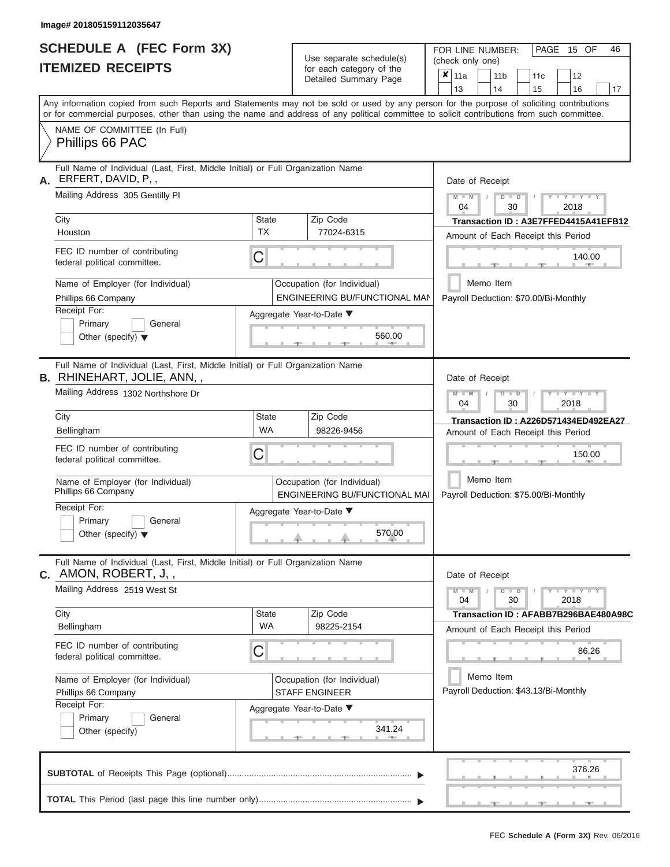|                          | SCHEDULE A (FEC Form 3X) |
|--------------------------|--------------------------|
| <b>ITEMIZED RECEIPTS</b> |                          |

Use separate schedule(s)<br>for each category of the

FOR LINE NUMBER:

PAGE 15 OF 46

|                                                                                                                       |                           | Use separate schedule(s)                                     | (check only one)                                                                                                                                                                                                                                                                        |  |  |  |  |  |  |  |  |  |
|-----------------------------------------------------------------------------------------------------------------------|---------------------------|--------------------------------------------------------------|-----------------------------------------------------------------------------------------------------------------------------------------------------------------------------------------------------------------------------------------------------------------------------------------|--|--|--|--|--|--|--|--|--|
| <b>ITEMIZED RECEIPTS</b>                                                                                              |                           | for each category of the<br>Detailed Summary Page            | $\overline{\mathbf{x}}$   11a<br>12<br>11 <sub>b</sub><br>11 <sub>c</sub><br>13<br>14<br>17<br>15<br>16                                                                                                                                                                                 |  |  |  |  |  |  |  |  |  |
|                                                                                                                       |                           |                                                              | Any information copied from such Reports and Statements may not be sold or used by any person for the purpose of soliciting contributions<br>or for commercial purposes, other than using the name and address of any political committee to solicit contributions from such committee. |  |  |  |  |  |  |  |  |  |
| NAME OF COMMITTEE (In Full)<br>Phillips 66 PAC                                                                        |                           |                                                              |                                                                                                                                                                                                                                                                                         |  |  |  |  |  |  |  |  |  |
| Full Name of Individual (Last, First, Middle Initial) or Full Organization Name<br>ERFERT, DAVID, P,,<br>А.           |                           |                                                              | Date of Receipt                                                                                                                                                                                                                                                                         |  |  |  |  |  |  |  |  |  |
| Mailing Address 305 Gentilly PI                                                                                       |                           |                                                              | $Y = Y = Y$<br>$M - M$<br>$\Box$<br>D<br>04<br>30<br>2018                                                                                                                                                                                                                               |  |  |  |  |  |  |  |  |  |
| City<br>Houston                                                                                                       | <b>State</b><br><b>TX</b> | Zip Code<br>77024-6315                                       | Transaction ID: A3E7FFED4415A41EFB12<br>Amount of Each Receipt this Period                                                                                                                                                                                                              |  |  |  |  |  |  |  |  |  |
| FEC ID number of contributing<br>federal political committee.                                                         | C                         |                                                              | 140.00                                                                                                                                                                                                                                                                                  |  |  |  |  |  |  |  |  |  |
| Name of Employer (for Individual)<br>Phillips 66 Company                                                              |                           | Occupation (for Individual)<br>ENGINEERING BU/FUNCTIONAL MAN | Memo Item<br>Payroll Deduction: \$70.00/Bi-Monthly                                                                                                                                                                                                                                      |  |  |  |  |  |  |  |  |  |
| Receipt For:<br>Primary<br>General<br>Other (specify) $\blacktriangledown$                                            |                           | Aggregate Year-to-Date ▼<br>560.00                           |                                                                                                                                                                                                                                                                                         |  |  |  |  |  |  |  |  |  |
| Full Name of Individual (Last, First, Middle Initial) or Full Organization Name<br><b>B.</b> RHINEHART, JOLIE, ANN, , |                           |                                                              | Date of Receipt                                                                                                                                                                                                                                                                         |  |  |  |  |  |  |  |  |  |
| Mailing Address 1302 Northshore Dr                                                                                    |                           |                                                              | YIYIY<br>$\Box$<br>04<br>30<br>2018                                                                                                                                                                                                                                                     |  |  |  |  |  |  |  |  |  |
| City<br>Bellingham                                                                                                    | State<br><b>WA</b>        | Zip Code<br>98226-9456                                       | Transaction ID: A226D571434ED492EA27<br>Amount of Each Receipt this Period                                                                                                                                                                                                              |  |  |  |  |  |  |  |  |  |
| FEC ID number of contributing<br>C<br>federal political committee.                                                    |                           |                                                              | 150.00                                                                                                                                                                                                                                                                                  |  |  |  |  |  |  |  |  |  |
| Name of Employer (for Individual)<br>Phillips 66 Company                                                              |                           | Occupation (for Individual)<br>ENGINEERING BU/FUNCTIONAL MAI | Memo Item<br>Payroll Deduction: \$75.00/Bi-Monthly                                                                                                                                                                                                                                      |  |  |  |  |  |  |  |  |  |
| Receipt For:<br>Primary<br>General<br>Other (specify) $\blacktriangledown$                                            |                           | Aggregate Year-to-Date ▼<br>570.00                           |                                                                                                                                                                                                                                                                                         |  |  |  |  |  |  |  |  |  |
| Full Name of Individual (Last, First, Middle Initial) or Full Organization Name<br>$c.$ AMON, ROBERT, J,,             |                           |                                                              | Date of Receipt                                                                                                                                                                                                                                                                         |  |  |  |  |  |  |  |  |  |
| Mailing Address 2519 West St                                                                                          |                           |                                                              | $Y = Y = Y$<br>$\Box$<br>$M - M$<br>04<br>30<br>2018                                                                                                                                                                                                                                    |  |  |  |  |  |  |  |  |  |
| City<br>Bellingham                                                                                                    | <b>State</b><br><b>WA</b> | Zip Code<br>98225-2154                                       | Transaction ID: AFABB7B296BAE480A98C<br>Amount of Each Receipt this Period                                                                                                                                                                                                              |  |  |  |  |  |  |  |  |  |
| FEC ID number of contributing<br>federal political committee.                                                         | С                         |                                                              | 86.26                                                                                                                                                                                                                                                                                   |  |  |  |  |  |  |  |  |  |
| Name of Employer (for Individual)<br>Phillips 66 Company                                                              |                           | Occupation (for Individual)<br><b>STAFF ENGINEER</b>         | Memo Item<br>Payroll Deduction: \$43.13/Bi-Monthly                                                                                                                                                                                                                                      |  |  |  |  |  |  |  |  |  |
| Receipt For:<br>Primary<br>General<br>Other (specify)                                                                 |                           | Aggregate Year-to-Date ▼<br>341.24                           |                                                                                                                                                                                                                                                                                         |  |  |  |  |  |  |  |  |  |
|                                                                                                                       |                           |                                                              | 376.26                                                                                                                                                                                                                                                                                  |  |  |  |  |  |  |  |  |  |
|                                                                                                                       |                           |                                                              |                                                                                                                                                                                                                                                                                         |  |  |  |  |  |  |  |  |  |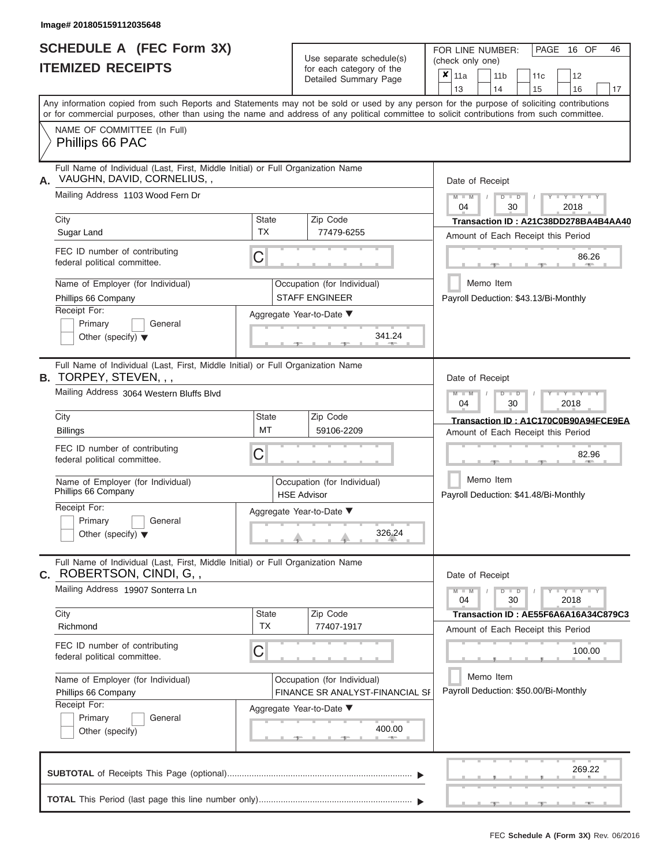|                          | <b>SCHEDULE A (FEC Form 3X)</b> |
|--------------------------|---------------------------------|
| <b>ITEMIZED RECEIPTS</b> |                                 |

Use separate schedule(s) (check only one) (one)

FOR LINE NUMBER:

PAGE 16 OF 46

|    |                                                                                                                                            |                                                                | $0.0011$ $0.000901$<br>Detailed Summary Page         | x                                                  | 11a                                |           |    | 11 <sub>b</sub>                                    |  | 11 <sub>c</sub> | 12                                    |    |  |  |  |  |
|----|--------------------------------------------------------------------------------------------------------------------------------------------|----------------------------------------------------------------|------------------------------------------------------|----------------------------------------------------|------------------------------------|-----------|----|----------------------------------------------------|--|-----------------|---------------------------------------|----|--|--|--|--|
|    | Any information copied from such Reports and Statements may not be sold or used by any person for the purpose of soliciting contributions  |                                                                |                                                      |                                                    | 13                                 |           | 14 |                                                    |  | 15              | 16                                    | 17 |  |  |  |  |
|    | or for commercial purposes, other than using the name and address of any political committee to solicit contributions from such committee. |                                                                |                                                      |                                                    |                                    |           |    |                                                    |  |                 |                                       |    |  |  |  |  |
|    | NAME OF COMMITTEE (In Full)<br>Phillips 66 PAC                                                                                             |                                                                |                                                      |                                                    |                                    |           |    |                                                    |  |                 |                                       |    |  |  |  |  |
| А. | Full Name of Individual (Last, First, Middle Initial) or Full Organization Name<br>VAUGHN, DAVID, CORNELIUS, ,                             |                                                                |                                                      | Date of Receipt                                    |                                    |           |    |                                                    |  |                 |                                       |    |  |  |  |  |
|    | Mailing Address 1103 Wood Fern Dr                                                                                                          |                                                                |                                                      |                                                    | $M - M$<br>04                      |           |    | $D$ $D$<br>30                                      |  |                 | $Y - Y - I$<br>2018                   |    |  |  |  |  |
|    | City                                                                                                                                       | State                                                          | Zip Code                                             |                                                    |                                    |           |    |                                                    |  |                 | Transaction ID: A21C38DD278BA4B4AA40  |    |  |  |  |  |
|    | Sugar Land                                                                                                                                 | <b>TX</b>                                                      | 77479-6255                                           |                                                    | Amount of Each Receipt this Period |           |    |                                                    |  |                 |                                       |    |  |  |  |  |
|    | FEC ID number of contributing<br>federal political committee.                                                                              | С                                                              |                                                      | 86.26                                              |                                    |           |    |                                                    |  |                 |                                       |    |  |  |  |  |
|    | Name of Employer (for Individual)<br>Phillips 66 Company                                                                                   |                                                                | Occupation (for Individual)<br><b>STAFF ENGINEER</b> |                                                    |                                    | Memo Item |    |                                                    |  |                 | Payroll Deduction: \$43.13/Bi-Monthly |    |  |  |  |  |
|    | Receipt For:                                                                                                                               |                                                                | Aggregate Year-to-Date ▼                             |                                                    |                                    |           |    |                                                    |  |                 |                                       |    |  |  |  |  |
|    | Primary<br>General<br>Other (specify) $\blacktriangledown$                                                                                 |                                                                | 341.24                                               |                                                    |                                    |           |    |                                                    |  |                 |                                       |    |  |  |  |  |
|    | Full Name of Individual (Last, First, Middle Initial) or Full Organization Name<br><b>B.</b> TORPEY, STEVEN, , ,                           |                                                                |                                                      |                                                    | Date of Receipt                    |           |    |                                                    |  |                 |                                       |    |  |  |  |  |
|    | Mailing Address 3064 Western Bluffs Blvd                                                                                                   |                                                                |                                                      | $M - M$<br>Y TYT<br>$D$ $D$<br>04<br>30<br>2018    |                                    |           |    |                                                    |  |                 |                                       |    |  |  |  |  |
|    | City                                                                                                                                       | <b>State</b>                                                   | Zip Code<br>59106-2209                               |                                                    |                                    |           |    |                                                    |  |                 | Transaction ID: A1C170C0B90A94FCE9EA  |    |  |  |  |  |
|    | <b>Billings</b>                                                                                                                            | MT                                                             |                                                      | Amount of Each Receipt this Period                 |                                    |           |    |                                                    |  |                 |                                       |    |  |  |  |  |
|    | FEC ID number of contributing<br>federal political committee.                                                                              | С                                                              |                                                      |                                                    |                                    |           |    |                                                    |  | 82.96           |                                       |    |  |  |  |  |
|    | Name of Employer (for Individual)<br>Phillips 66 Company                                                                                   | Occupation (for Individual)<br><b>HSE Advisor</b>              |                                                      | Memo Item<br>Payroll Deduction: \$41.48/Bi-Monthly |                                    |           |    |                                                    |  |                 |                                       |    |  |  |  |  |
|    | Receipt For:<br>Primary<br>General                                                                                                         |                                                                | Aggregate Year-to-Date ▼                             |                                                    |                                    |           |    |                                                    |  |                 |                                       |    |  |  |  |  |
|    | Other (specify) $\blacktriangledown$                                                                                                       |                                                                | 326.24                                               |                                                    |                                    |           |    |                                                    |  |                 |                                       |    |  |  |  |  |
|    | Full Name of Individual (Last, First, Middle Initial) or Full Organization Name<br>C. ROBERTSON, CINDI, G,,                                |                                                                |                                                      |                                                    | Date of Receipt                    |           |    |                                                    |  |                 |                                       |    |  |  |  |  |
|    | Mailing Address 19907 Sonterra Ln                                                                                                          |                                                                |                                                      |                                                    | $M - M$<br>04                      |           |    | $D$ $D$<br>30                                      |  |                 | $Y - Y - Y - Y - Y$<br>2018           |    |  |  |  |  |
|    | City<br>Richmond                                                                                                                           | <b>State</b><br><b>TX</b>                                      | Zip Code<br>77407-1917                               |                                                    |                                    |           |    |                                                    |  |                 | Transaction ID: AE55F6A6A16A34C879C3  |    |  |  |  |  |
|    |                                                                                                                                            |                                                                |                                                      |                                                    |                                    |           |    |                                                    |  |                 | Amount of Each Receipt this Period    |    |  |  |  |  |
|    | FEC ID number of contributing<br>federal political committee.                                                                              | С                                                              |                                                      |                                                    |                                    |           |    |                                                    |  |                 | 100.00                                |    |  |  |  |  |
|    | Name of Employer (for Individual)<br>Phillips 66 Company                                                                                   | Occupation (for Individual)<br>FINANCE SR ANALYST-FINANCIAL SF |                                                      |                                                    |                                    |           |    | Memo Item<br>Payroll Deduction: \$50.00/Bi-Monthly |  |                 |                                       |    |  |  |  |  |
|    | Receipt For:                                                                                                                               |                                                                | Aggregate Year-to-Date ▼                             |                                                    |                                    |           |    |                                                    |  |                 |                                       |    |  |  |  |  |
|    | Primary<br>General<br>Other (specify)                                                                                                      |                                                                | 400.00                                               |                                                    |                                    |           |    |                                                    |  |                 |                                       |    |  |  |  |  |
|    |                                                                                                                                            |                                                                |                                                      |                                                    |                                    |           |    |                                                    |  |                 |                                       |    |  |  |  |  |
|    |                                                                                                                                            |                                                                |                                                      |                                                    |                                    |           |    |                                                    |  |                 | 269.22                                |    |  |  |  |  |
|    |                                                                                                                                            |                                                                |                                                      |                                                    |                                    |           |    |                                                    |  |                 |                                       |    |  |  |  |  |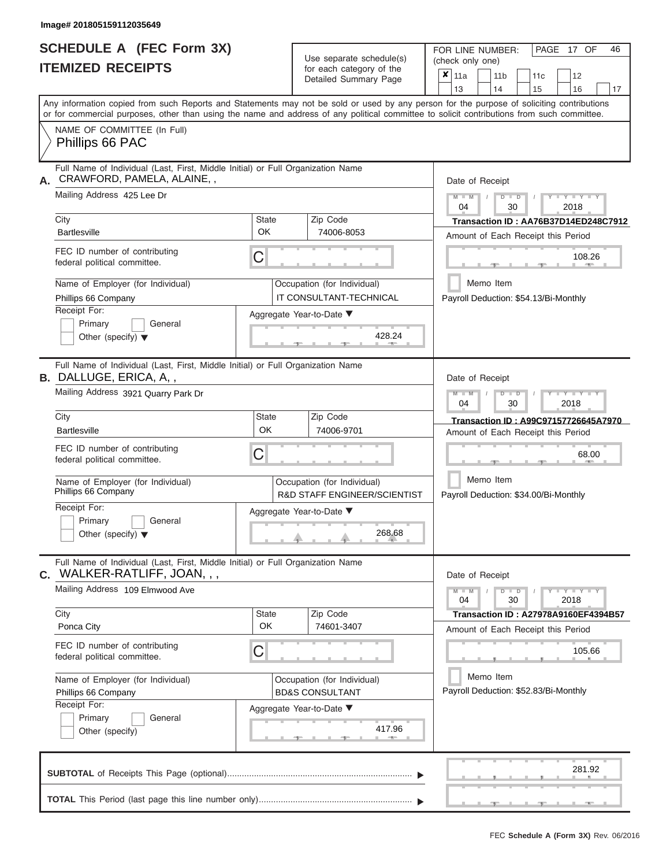# **SCHEDULE A (FEC Form 3X)**

| SCHEDULE A (FEC Form 3X)<br><b>ITEMIZED RECEIPTS</b>                                                                                                                                                                                                                                                                                                                                              |                         | Use separate schedule(s)<br>for each category of the<br>Detailed Summary Page                                                   | FOR LINE NUMBER:<br>PAGE 17 OF<br>46<br>(check only one)<br>$\overline{\mathbf{x}}$   11a<br>11 <sub>b</sub><br>11 <sub>c</sub><br>12                                                                                         |
|---------------------------------------------------------------------------------------------------------------------------------------------------------------------------------------------------------------------------------------------------------------------------------------------------------------------------------------------------------------------------------------------------|-------------------------|---------------------------------------------------------------------------------------------------------------------------------|-------------------------------------------------------------------------------------------------------------------------------------------------------------------------------------------------------------------------------|
| Any information copied from such Reports and Statements may not be sold or used by any person for the purpose of soliciting contributions<br>or for commercial purposes, other than using the name and address of any political committee to solicit contributions from such committee.<br>NAME OF COMMITTEE (In Full)                                                                            |                         |                                                                                                                                 | 13<br>14<br>15<br>16<br>17                                                                                                                                                                                                    |
| Phillips 66 PAC                                                                                                                                                                                                                                                                                                                                                                                   |                         |                                                                                                                                 |                                                                                                                                                                                                                               |
| Full Name of Individual (Last, First, Middle Initial) or Full Organization Name<br>CRAWFORD, PAMELA, ALAINE,,<br>А.<br>Mailing Address 425 Lee Dr<br>City<br><b>Bartlesville</b><br>FEC ID number of contributing<br>federal political committee.                                                                                                                                                 | State<br><b>OK</b><br>C | Zip Code<br>74006-8053                                                                                                          | Date of Receipt<br>$M - M$ /<br>$Y - Y - Y$<br>$D$ $D$<br>04<br>30<br>2018<br>Transaction ID: AA76B37D14ED248C7912<br>Amount of Each Receipt this Period<br>108.26<br><b>1. 400</b>                                           |
| Name of Employer (for Individual)<br>Phillips 66 Company<br>Receipt For:<br>Primary<br>General<br>Other (specify) $\blacktriangledown$                                                                                                                                                                                                                                                            |                         | Occupation (for Individual)<br>IT CONSULTANT-TECHNICAL<br>Aggregate Year-to-Date ▼<br>428.24                                    | Memo Item<br>Payroll Deduction: \$54.13/Bi-Monthly                                                                                                                                                                            |
| Full Name of Individual (Last, First, Middle Initial) or Full Organization Name<br><b>B.</b> DALLUGE, ERICA, A,,<br>Mailing Address 3921 Quarry Park Dr<br>City<br><b>Bartlesville</b><br>FEC ID number of contributing<br>federal political committee.<br>Name of Employer (for Individual)<br>Phillips 66 Company<br>Receipt For:<br>Primary<br>General<br>Other (specify) $\blacktriangledown$ | State<br>OK<br>С        | Zip Code<br>74006-9701<br>Occupation (for Individual)<br>R&D STAFF ENGINEER/SCIENTIST<br>Aggregate Year-to-Date ▼<br>268.68     | Date of Receipt<br>$M - M$<br>$D$ $D$<br>$-Y - Y - Y$<br>04<br>30<br>2018<br>Transaction ID: A99C97157726645A7970<br>Amount of Each Receipt this Period<br>68.00<br>Memo Item<br>Payroll Deduction: \$34.00/Bi-Monthly        |
| Full Name of Individual (Last, First, Middle Initial) or Full Organization Name<br>WALKER-RATLIFF, JOAN, , ,<br>С.<br>Mailing Address 109 Elmwood Ave<br>City<br>Ponca City<br>FEC ID number of contributing<br>federal political committee.<br>Name of Employer (for Individual)<br>Phillips 66 Company<br>Receipt For:<br>Primary<br>General<br>Other (specify)                                 | State<br><b>OK</b><br>С | Zip Code<br>74601-3407<br>Occupation (for Individual)<br><b>BD&amp;S CONSULTANT</b><br>Aggregate Year-to-Date ▼<br>417.96<br>-- | Date of Receipt<br>$M - M$<br>$D$ $D$<br>$  Y$ $  Y$ $  Y$<br>04<br>30<br>2018<br>Transaction ID : A27978A9160EF4394B57<br>Amount of Each Receipt this Period<br>105.66<br>Memo Item<br>Payroll Deduction: \$52.83/Bi-Monthly |
|                                                                                                                                                                                                                                                                                                                                                                                                   |                         |                                                                                                                                 | 281.92<br>$-9$<br>$-$                                                                                                                                                                                                         |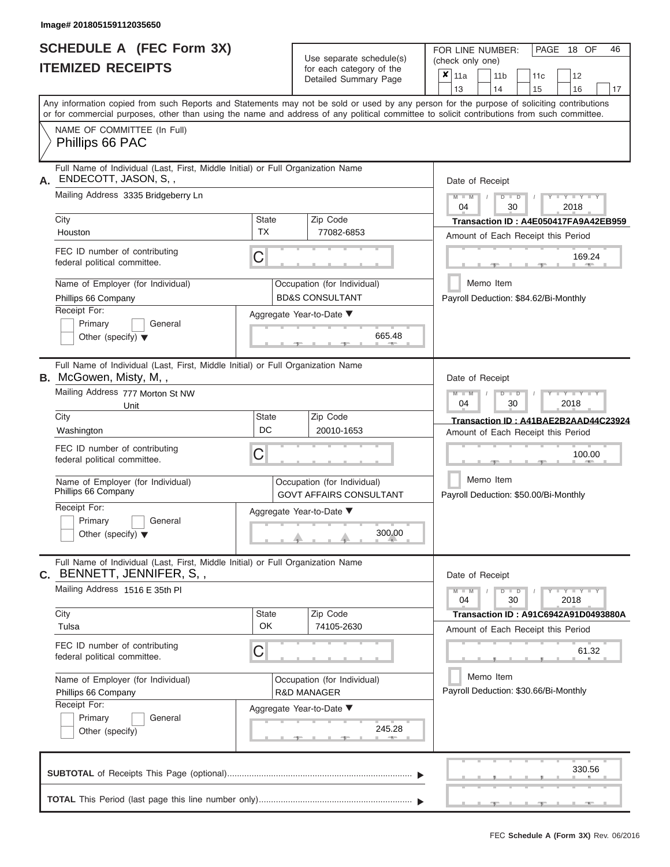|                          | <b>SCHEDULE A (FEC Form 3X)</b> |
|--------------------------|---------------------------------|
| <b>ITEMIZED RECEIPTS</b> |                                 |

Use separate schedule(s)<br>for each category of the

FOR LINE NUMBER:<br>(check only one)

PAGE 18 OF 46

|    | IIEMIZED REJEIPIJ                                                                                                                          |                                                               |                                                           | for each category of the<br>Detailed Summary Page | ×      | 11a                                                |                                                    | 11 <sub>b</sub> |                      | 11 <sub>c</sub> |  | 12                                 |                                             |  |  |  |  |
|----|--------------------------------------------------------------------------------------------------------------------------------------------|---------------------------------------------------------------|-----------------------------------------------------------|---------------------------------------------------|--------|----------------------------------------------------|----------------------------------------------------|-----------------|----------------------|-----------------|--|------------------------------------|---------------------------------------------|--|--|--|--|
|    | Any information copied from such Reports and Statements may not be sold or used by any person for the purpose of soliciting contributions  |                                                               |                                                           |                                                   |        | 13                                                 |                                                    | 14              |                      | 15              |  | 16                                 | 17                                          |  |  |  |  |
|    | or for commercial purposes, other than using the name and address of any political committee to solicit contributions from such committee. |                                                               |                                                           |                                                   |        |                                                    |                                                    |                 |                      |                 |  |                                    |                                             |  |  |  |  |
|    | NAME OF COMMITTEE (In Full)<br>Phillips 66 PAC                                                                                             |                                                               |                                                           |                                                   |        |                                                    |                                                    |                 |                      |                 |  |                                    |                                             |  |  |  |  |
|    | Full Name of Individual (Last, First, Middle Initial) or Full Organization Name<br>ENDECOTT, JASON, S.,                                    |                                                               | Date of Receipt                                           |                                                   |        |                                                    |                                                    |                 |                      |                 |  |                                    |                                             |  |  |  |  |
| А. | Mailing Address 3335 Bridgeberry Ln                                                                                                        |                                                               |                                                           |                                                   |        |                                                    |                                                    |                 |                      |                 |  |                                    |                                             |  |  |  |  |
|    |                                                                                                                                            |                                                               |                                                           |                                                   |        | $M - M$<br>04                                      |                                                    |                 | $D$ $D$<br>30        |                 |  | $I - Y - I - Y - I - Y$<br>2018    |                                             |  |  |  |  |
|    | City                                                                                                                                       | <b>State</b><br><b>TX</b>                                     | Zip Code                                                  | 77082-6853                                        |        |                                                    |                                                    |                 |                      |                 |  |                                    | Transaction ID: A4E050417FA9A42EB959        |  |  |  |  |
|    | Houston                                                                                                                                    |                                                               |                                                           |                                                   |        | Amount of Each Receipt this Period                 |                                                    |                 |                      |                 |  |                                    |                                             |  |  |  |  |
|    | FEC ID number of contributing<br>federal political committee.                                                                              | C                                                             |                                                           |                                                   | 169.24 |                                                    |                                                    |                 |                      |                 |  |                                    |                                             |  |  |  |  |
|    | Name of Employer (for Individual)<br>Phillips 66 Company                                                                                   |                                                               | Occupation (for Individual)<br><b>BD&amp;S CONSULTANT</b> |                                                   |        | Memo Item<br>Payroll Deduction: \$84.62/Bi-Monthly |                                                    |                 |                      |                 |  |                                    |                                             |  |  |  |  |
|    | Receipt For:                                                                                                                               |                                                               | Aggregate Year-to-Date ▼                                  |                                                   |        |                                                    |                                                    |                 |                      |                 |  |                                    |                                             |  |  |  |  |
|    | Primary<br>General<br>Other (specify) $\blacktriangledown$                                                                                 |                                                               |                                                           | 665.48                                            |        |                                                    |                                                    |                 |                      |                 |  |                                    |                                             |  |  |  |  |
|    |                                                                                                                                            |                                                               |                                                           |                                                   |        |                                                    |                                                    |                 |                      |                 |  |                                    |                                             |  |  |  |  |
|    | Full Name of Individual (Last, First, Middle Initial) or Full Organization Name<br><b>B.</b> McGowen, Misty, M,,                           |                                                               |                                                           |                                                   |        | Date of Receipt                                    |                                                    |                 |                      |                 |  |                                    |                                             |  |  |  |  |
|    | Mailing Address 777 Morton St NW<br>Unit                                                                                                   |                                                               |                                                           |                                                   |        | $M - M$<br>04                                      |                                                    |                 | $D$ $\Box$ $D$<br>30 |                 |  | $T - Y = T - Y = T - Y$<br>2018    |                                             |  |  |  |  |
|    | City                                                                                                                                       | <b>State</b>                                                  | Zip Code                                                  |                                                   |        | Transaction ID: A41BAE2B2AAD44C23924               |                                                    |                 |                      |                 |  |                                    |                                             |  |  |  |  |
|    | Washington                                                                                                                                 | DC<br>20010-1653                                              |                                                           |                                                   |        |                                                    |                                                    |                 |                      |                 |  | Amount of Each Receipt this Period |                                             |  |  |  |  |
|    | FEC ID number of contributing<br>federal political committee.                                                                              | С                                                             |                                                           |                                                   |        |                                                    |                                                    |                 |                      |                 |  | 100.00                             |                                             |  |  |  |  |
|    | Name of Employer (for Individual)<br>Phillips 66 Company                                                                                   | Occupation (for Individual)<br><b>GOVT AFFAIRS CONSULTANT</b> |                                                           |                                                   |        |                                                    | Memo Item<br>Payroll Deduction: \$50.00/Bi-Monthly |                 |                      |                 |  |                                    |                                             |  |  |  |  |
|    | Receipt For:                                                                                                                               |                                                               | Aggregate Year-to-Date ▼                                  |                                                   |        |                                                    |                                                    |                 |                      |                 |  |                                    |                                             |  |  |  |  |
|    | Primary<br>General<br>Other (specify) $\blacktriangledown$                                                                                 |                                                               |                                                           | 300.00                                            |        |                                                    |                                                    |                 |                      |                 |  |                                    |                                             |  |  |  |  |
|    | Full Name of Individual (Last, First, Middle Initial) or Full Organization Name<br>C. BENNETT, JENNIFER, S.,                               |                                                               |                                                           |                                                   |        | Date of Receipt                                    |                                                    |                 |                      |                 |  |                                    |                                             |  |  |  |  |
|    | Mailing Address 1516 E 35th Pl                                                                                                             |                                                               |                                                           |                                                   |        | $M - M$<br>04                                      |                                                    |                 | $D$ $D$<br>30        | $\prime$        |  | $Y - Y - Y - Y - Y$<br>2018        |                                             |  |  |  |  |
|    | City                                                                                                                                       | <b>State</b>                                                  | Zip Code                                                  |                                                   |        |                                                    |                                                    |                 |                      |                 |  |                                    | <b>Transaction ID: A91C6942A91D0493880A</b> |  |  |  |  |
|    | Tulsa                                                                                                                                      | OK                                                            | 74105-2630                                                |                                                   |        |                                                    |                                                    |                 |                      |                 |  | Amount of Each Receipt this Period |                                             |  |  |  |  |
|    | FEC ID number of contributing<br>C<br>federal political committee.                                                                         |                                                               |                                                           |                                                   |        |                                                    |                                                    |                 |                      | 61.32           |  |                                    |                                             |  |  |  |  |
|    | Name of Employer (for Individual)<br>Phillips 66 Company                                                                                   |                                                               | Occupation (for Individual)<br><b>R&amp;D MANAGER</b>     |                                                   |        | Memo Item<br>Payroll Deduction: \$30.66/Bi-Monthly |                                                    |                 |                      |                 |  |                                    |                                             |  |  |  |  |
|    | Receipt For:                                                                                                                               | Aggregate Year-to-Date ▼                                      |                                                           |                                                   |        |                                                    |                                                    |                 |                      |                 |  |                                    |                                             |  |  |  |  |
|    | Primary<br>General                                                                                                                         |                                                               |                                                           |                                                   |        |                                                    |                                                    |                 |                      |                 |  |                                    |                                             |  |  |  |  |
|    | Other (specify)                                                                                                                            |                                                               |                                                           | 245.28<br>$1 - 400$                               |        |                                                    |                                                    |                 |                      |                 |  |                                    |                                             |  |  |  |  |
|    |                                                                                                                                            |                                                               |                                                           |                                                   |        |                                                    |                                                    |                 |                      |                 |  | 330.56                             |                                             |  |  |  |  |
|    |                                                                                                                                            |                                                               |                                                           |                                                   |        |                                                    |                                                    |                 |                      |                 |  |                                    |                                             |  |  |  |  |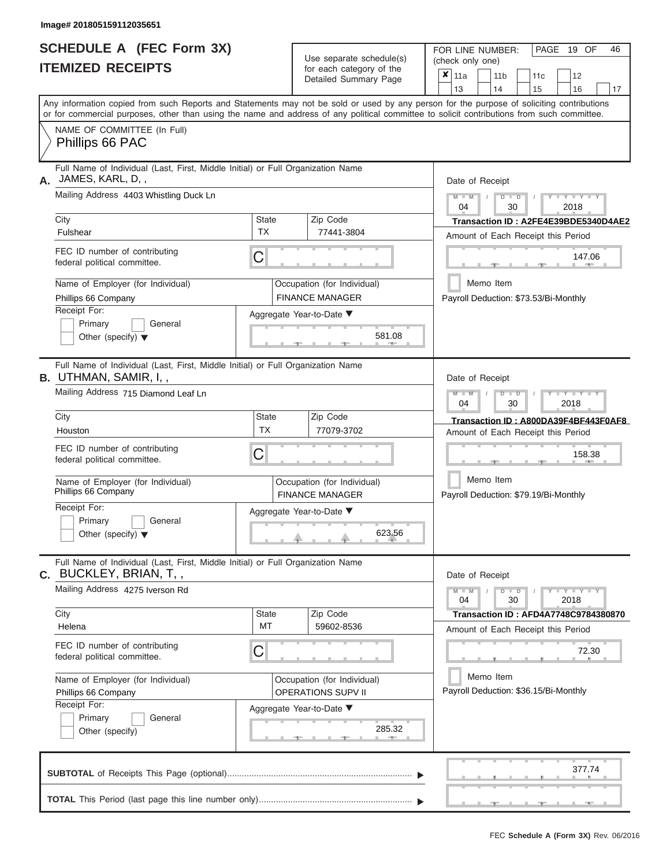|                          | SCHEDULE A (FEC Form 3X) |
|--------------------------|--------------------------|
| <b>ITEMIZED RECEIPTS</b> |                          |

Use separate schedule(s)<br>for each category of the

FOR LINE NUMBER:<br>(check only one)

PAGE 19 OF 46

|    |                                                                                                                                                                                                                                                                                         |                                                          |  | badii balogory of life<br>Detailed Summary Page       |  | $x \mid$ 11a<br>13                                 |                                                                            |                                             | 11 <sub>b</sub><br>14                 |  | 11c<br>15                                                                  |      | 12<br>16                    | 17 |  |  |  |  |
|----|-----------------------------------------------------------------------------------------------------------------------------------------------------------------------------------------------------------------------------------------------------------------------------------------|----------------------------------------------------------|--|-------------------------------------------------------|--|----------------------------------------------------|----------------------------------------------------------------------------|---------------------------------------------|---------------------------------------|--|----------------------------------------------------------------------------|------|-----------------------------|----|--|--|--|--|
|    | Any information copied from such Reports and Statements may not be sold or used by any person for the purpose of soliciting contributions<br>or for commercial purposes, other than using the name and address of any political committee to solicit contributions from such committee. |                                                          |  |                                                       |  |                                                    |                                                                            |                                             |                                       |  |                                                                            |      |                             |    |  |  |  |  |
|    | NAME OF COMMITTEE (In Full)<br>Phillips 66 PAC                                                                                                                                                                                                                                          |                                                          |  |                                                       |  |                                                    |                                                                            |                                             |                                       |  |                                                                            |      |                             |    |  |  |  |  |
| А. | Full Name of Individual (Last, First, Middle Initial) or Full Organization Name<br>JAMES, KARL, D,,                                                                                                                                                                                     |                                                          |  |                                                       |  | Date of Receipt                                    |                                                                            |                                             |                                       |  |                                                                            |      |                             |    |  |  |  |  |
|    | Mailing Address 4403 Whistling Duck Ln                                                                                                                                                                                                                                                  |                                                          |  | Zip Code                                              |  | $M - M$<br>04                                      |                                                                            |                                             | $D$ $D$<br>30                         |  |                                                                            |      | Y I Y I<br>2018             |    |  |  |  |  |
|    | City<br>Fulshear                                                                                                                                                                                                                                                                        | State<br><b>TX</b>                                       |  |                                                       |  |                                                    | Transaction ID: A2FE4E39BDE5340D4AE2<br>Amount of Each Receipt this Period |                                             |                                       |  |                                                                            |      |                             |    |  |  |  |  |
|    | FEC ID number of contributing<br>federal political committee.                                                                                                                                                                                                                           | C                                                        |  |                                                       |  | 147.06<br><b>AND</b>                               |                                                                            |                                             |                                       |  |                                                                            |      |                             |    |  |  |  |  |
|    | Name of Employer (for Individual)<br>Phillips 66 Company                                                                                                                                                                                                                                |                                                          |  | Occupation (for Individual)<br><b>FINANCE MANAGER</b> |  | Memo Item<br>Payroll Deduction: \$73.53/Bi-Monthly |                                                                            |                                             |                                       |  |                                                                            |      |                             |    |  |  |  |  |
|    | Receipt For:<br>Primary<br>General<br>Other (specify) $\blacktriangledown$                                                                                                                                                                                                              | Aggregate Year-to-Date ▼<br>581.08<br>一                  |  |                                                       |  |                                                    |                                                                            |                                             |                                       |  |                                                                            |      |                             |    |  |  |  |  |
|    | Full Name of Individual (Last, First, Middle Initial) or Full Organization Name<br><b>B.</b> UTHMAN, SAMIR, I, ,                                                                                                                                                                        |                                                          |  |                                                       |  | Date of Receipt                                    |                                                                            |                                             |                                       |  |                                                                            |      |                             |    |  |  |  |  |
|    | Mailing Address 715 Diamond Leaf Ln                                                                                                                                                                                                                                                     |                                                          |  |                                                       |  | $M - M$<br>04                                      |                                                                            |                                             | $D$ $D$<br>30                         |  |                                                                            | 2018 | Y Y Y                       |    |  |  |  |  |
|    | City<br>Houston                                                                                                                                                                                                                                                                         | State<br><b>TX</b>                                       |  | Zip Code<br>77079-3702                                |  |                                                    |                                                                            |                                             |                                       |  | Transaction ID: A800DA39F4BF443F0AF8<br>Amount of Each Receipt this Period |      |                             |    |  |  |  |  |
|    | FEC ID number of contributing<br>federal political committee.                                                                                                                                                                                                                           | С                                                        |  |                                                       |  | 158.38                                             |                                                                            |                                             |                                       |  |                                                                            |      |                             |    |  |  |  |  |
|    | Name of Employer (for Individual)<br>Phillips 66 Company                                                                                                                                                                                                                                | Occupation (for Individual)<br><b>FINANCE MANAGER</b>    |  | Memo Item<br>Payroll Deduction: \$79.19/Bi-Monthly    |  |                                                    |                                                                            |                                             |                                       |  |                                                                            |      |                             |    |  |  |  |  |
|    | Receipt For:<br>Primary<br>General<br>Other (specify) $\blacktriangledown$                                                                                                                                                                                                              |                                                          |  | Aggregate Year-to-Date ▼<br>623.56                    |  |                                                    |                                                                            |                                             |                                       |  |                                                                            |      |                             |    |  |  |  |  |
|    | Full Name of Individual (Last, First, Middle Initial) or Full Organization Name<br>C. BUCKLEY, BRIAN, T,,                                                                                                                                                                               |                                                          |  |                                                       |  | Date of Receipt                                    |                                                                            |                                             |                                       |  |                                                                            |      |                             |    |  |  |  |  |
|    | Mailing Address 4275 Iverson Rd                                                                                                                                                                                                                                                         |                                                          |  |                                                       |  | $M - M$<br>04                                      |                                                                            |                                             | $D$ $D$<br>30                         |  |                                                                            |      | $Y - Y - Y - Y - Y$<br>2018 |    |  |  |  |  |
|    | City<br>Helena                                                                                                                                                                                                                                                                          | State<br>MT                                              |  | Zip Code<br>59602-8536                                |  |                                                    |                                                                            |                                             |                                       |  | <b>Transaction ID: AFD4A7748C9784380870</b>                                |      |                             |    |  |  |  |  |
|    | FEC ID number of contributing<br>federal political committee.                                                                                                                                                                                                                           | С                                                        |  |                                                       |  |                                                    |                                                                            | Amount of Each Receipt this Period<br>72.30 |                                       |  |                                                                            |      |                             |    |  |  |  |  |
|    | Name of Employer (for Individual)<br>Phillips 66 Company                                                                                                                                                                                                                                | Occupation (for Individual)<br><b>OPERATIONS SUPV II</b> |  |                                                       |  |                                                    | Memo Item                                                                  |                                             | Payroll Deduction: \$36.15/Bi-Monthly |  |                                                                            |      |                             |    |  |  |  |  |
|    | Receipt For:<br>Primary<br>General<br>Other (specify)                                                                                                                                                                                                                                   |                                                          |  | Aggregate Year-to-Date ▼<br>285.32                    |  |                                                    |                                                                            |                                             |                                       |  |                                                                            |      |                             |    |  |  |  |  |
|    |                                                                                                                                                                                                                                                                                         |                                                          |  |                                                       |  |                                                    |                                                                            |                                             |                                       |  |                                                                            |      | 377.74                      |    |  |  |  |  |
|    |                                                                                                                                                                                                                                                                                         |                                                          |  |                                                       |  |                                                    |                                                                            |                                             |                                       |  | ____________                                                               |      | <b>START OF ALL</b>         |    |  |  |  |  |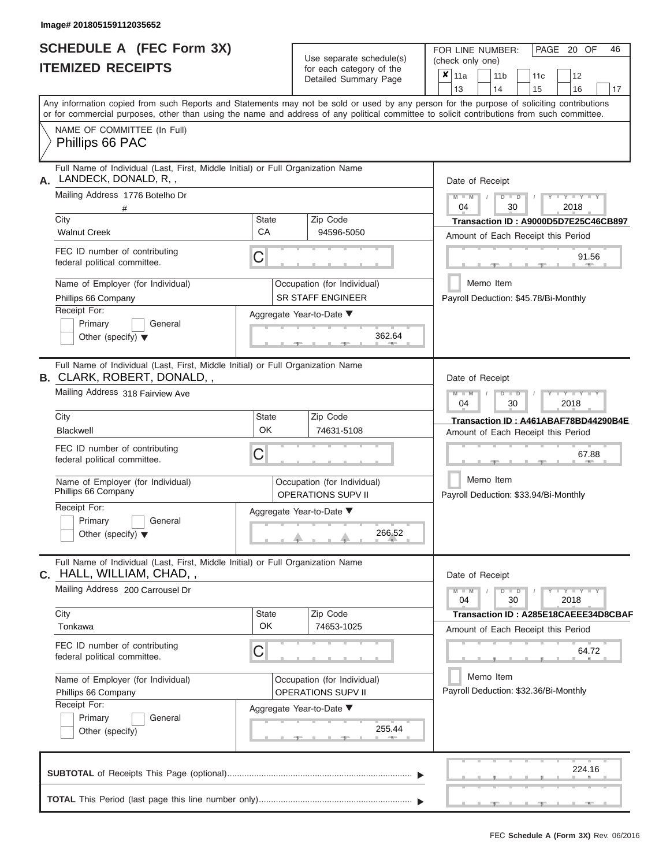|                          | <b>SCHEDULE A (FEC Form 3X)</b> |
|--------------------------|---------------------------------|
| <b>ITEMIZED RECEIPTS</b> |                                 |

| SCHEDULE A (FEC Form 3X)<br><b>ITEMIZED RECEIPTS</b>                                                                 |                    | Use separate schedule(s)<br>for each category of the<br>Detailed Summary Page | FOR LINE NUMBER:<br>PAGE 20 OF<br>46<br>(check only one)<br>$\boldsymbol{x}$<br>11a<br>11 <sub>b</sub><br>12<br>11c                                                                                                                                                                     |
|----------------------------------------------------------------------------------------------------------------------|--------------------|-------------------------------------------------------------------------------|-----------------------------------------------------------------------------------------------------------------------------------------------------------------------------------------------------------------------------------------------------------------------------------------|
|                                                                                                                      |                    |                                                                               | 13<br>14<br>15<br>16<br>17                                                                                                                                                                                                                                                              |
|                                                                                                                      |                    |                                                                               | Any information copied from such Reports and Statements may not be sold or used by any person for the purpose of soliciting contributions<br>or for commercial purposes, other than using the name and address of any political committee to solicit contributions from such committee. |
| NAME OF COMMITTEE (In Full)<br>Phillips 66 PAC                                                                       |                    |                                                                               |                                                                                                                                                                                                                                                                                         |
| Full Name of Individual (Last, First, Middle Initial) or Full Organization Name<br>LANDECK, DONALD, R,,<br>А.        |                    |                                                                               | Date of Receipt                                                                                                                                                                                                                                                                         |
| Mailing Address 1776 Botelho Dr                                                                                      |                    |                                                                               | $M - M$ /<br>$T - Y = Y - T Y$<br>$D$ $D$<br>04<br>30<br>2018                                                                                                                                                                                                                           |
| City<br><b>Walnut Creek</b>                                                                                          | State<br>CA        | Zip Code<br>94596-5050                                                        | Transaction ID: A9000D5D7E25C46CB897<br>Amount of Each Receipt this Period                                                                                                                                                                                                              |
| FEC ID number of contributing<br>federal political committee.                                                        | С                  |                                                                               | 91.56<br><b>COLLECTION</b>                                                                                                                                                                                                                                                              |
| Name of Employer (for Individual)<br>Phillips 66 Company                                                             |                    | Occupation (for Individual)<br><b>SR STAFF ENGINEER</b>                       | Memo Item<br>Payroll Deduction: \$45.78/Bi-Monthly                                                                                                                                                                                                                                      |
| Receipt For:<br>Primary<br>General<br>Other (specify) $\blacktriangledown$                                           |                    | Aggregate Year-to-Date ▼<br>362.64                                            |                                                                                                                                                                                                                                                                                         |
| Full Name of Individual (Last, First, Middle Initial) or Full Organization Name<br><b>B. CLARK, ROBERT, DONALD,,</b> |                    |                                                                               | Date of Receipt                                                                                                                                                                                                                                                                         |
| Mailing Address 318 Fairview Ave                                                                                     |                    |                                                                               | $M - M$<br>$D$ $D$<br>$T - Y = T - Y = T$<br>04<br>30<br>2018                                                                                                                                                                                                                           |
| City<br>Blackwell                                                                                                    | State<br>OK        | Zip Code<br>74631-5108                                                        | Transaction ID: A461ABAF78BD44290B4E<br>Amount of Each Receipt this Period                                                                                                                                                                                                              |
| FEC ID number of contributing<br>federal political committee.                                                        | С                  |                                                                               | 67.88                                                                                                                                                                                                                                                                                   |
| Name of Employer (for Individual)<br>Phillips 66 Company                                                             |                    | Occupation (for Individual)<br><b>OPERATIONS SUPV II</b>                      | Memo Item<br>Payroll Deduction: \$33.94/Bi-Monthly                                                                                                                                                                                                                                      |
| Receipt For:<br>Primary<br>General                                                                                   |                    | Aggregate Year-to-Date ▼                                                      |                                                                                                                                                                                                                                                                                         |
| Other (specify) $\blacktriangledown$                                                                                 |                    | 266.52                                                                        |                                                                                                                                                                                                                                                                                         |
| Full Name of Individual (Last, First, Middle Initial) or Full Organization Name<br>C. HALL, WILLIAM, CHAD,,          |                    |                                                                               | Date of Receipt                                                                                                                                                                                                                                                                         |
| Mailing Address 200 Carrousel Dr                                                                                     |                    |                                                                               | $M - M$<br>$D$ $D$<br>$Y - Y - Y - Y - Y$<br>04<br>30<br>2018                                                                                                                                                                                                                           |
| City<br>Tonkawa                                                                                                      | State<br><b>OK</b> | Zip Code<br>74653-1025                                                        | Transaction ID: A285E18CAEEE34D8CBAF<br>Amount of Each Receipt this Period                                                                                                                                                                                                              |
| FEC ID number of contributing<br>federal political committee.                                                        | С                  |                                                                               | 64.72                                                                                                                                                                                                                                                                                   |
| Name of Employer (for Individual)<br>Phillips 66 Company                                                             |                    | Occupation (for Individual)<br>OPERATIONS SUPV II                             | Memo Item<br>Payroll Deduction: \$32.36/Bi-Monthly                                                                                                                                                                                                                                      |
| Receipt For:<br>Primary<br>General<br>Other (specify)                                                                |                    | Aggregate Year-to-Date ▼<br>255.44                                            |                                                                                                                                                                                                                                                                                         |
|                                                                                                                      |                    |                                                                               | 224.16                                                                                                                                                                                                                                                                                  |
|                                                                                                                      |                    |                                                                               | $-$                                                                                                                                                                                                                                                                                     |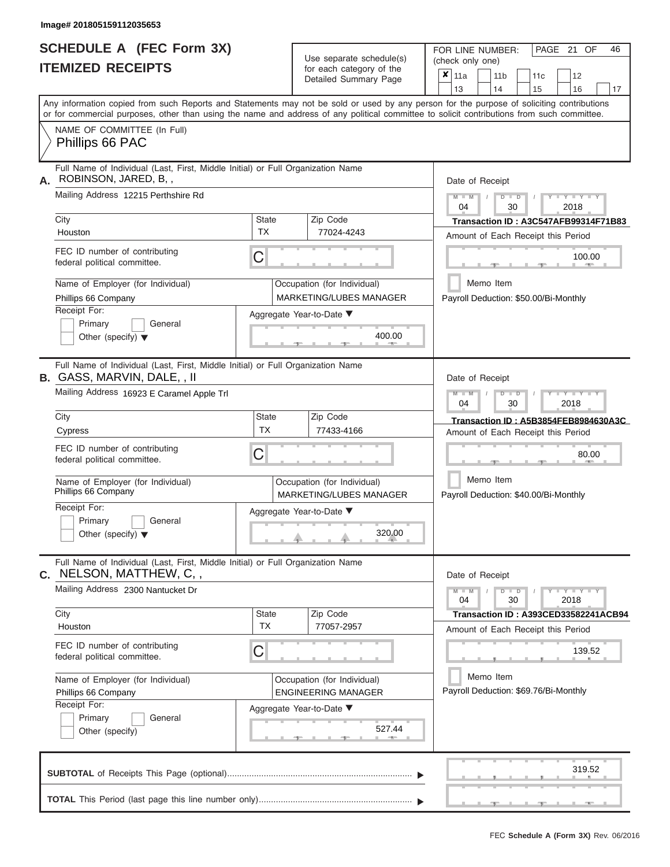|                          | <b>SCHEDULE A (FEC Form 3X)</b> |
|--------------------------|---------------------------------|
| <b>ITEMIZED RECEIPTS</b> |                                 |

Use separate schedule(s)<br>for each category of the

FOR LINE NUMBER:<br>(check only one)

PAGE 21 OF 46

|                                                                    | IILMILLU NLVLIF IJ                                                                                                                                                                                                                                                                      |                           |  | iul each caleguly of the<br>Detailed Summary Page         | $\boldsymbol{\mathsf{x}}$          | 11a<br>13                                          |                                              | 14 | 11 <sub>b</sub>           |  | 11c<br>15 |      | 12<br>16              | 17                                   |  |  |  |  |  |
|--------------------------------------------------------------------|-----------------------------------------------------------------------------------------------------------------------------------------------------------------------------------------------------------------------------------------------------------------------------------------|---------------------------|--|-----------------------------------------------------------|------------------------------------|----------------------------------------------------|----------------------------------------------|----|---------------------------|--|-----------|------|-----------------------|--------------------------------------|--|--|--|--|--|
|                                                                    | Any information copied from such Reports and Statements may not be sold or used by any person for the purpose of soliciting contributions<br>or for commercial purposes, other than using the name and address of any political committee to solicit contributions from such committee. |                           |  |                                                           |                                    |                                                    |                                              |    |                           |  |           |      |                       |                                      |  |  |  |  |  |
|                                                                    | NAME OF COMMITTEE (In Full)<br>Phillips 66 PAC                                                                                                                                                                                                                                          |                           |  |                                                           |                                    |                                                    |                                              |    |                           |  |           |      |                       |                                      |  |  |  |  |  |
| Α.                                                                 | Full Name of Individual (Last, First, Middle Initial) or Full Organization Name<br>ROBINSON, JARED, B,,                                                                                                                                                                                 |                           |  |                                                           | Date of Receipt                    |                                                    |                                              |    |                           |  |           |      |                       |                                      |  |  |  |  |  |
|                                                                    | Mailing Address 12215 Perthshire Rd                                                                                                                                                                                                                                                     |                           |  |                                                           |                                    | $M - M$<br>04                                      |                                              |    | $D$ $D$<br>30             |  |           |      | $Y = Y = Y$<br>2018   |                                      |  |  |  |  |  |
|                                                                    | City<br>Houston                                                                                                                                                                                                                                                                         | <b>State</b><br><b>TX</b> |  | Zip Code<br>77024-4243                                    |                                    |                                                    |                                              |    |                           |  |           |      |                       | Transaction ID: A3C547AFB99314F71B83 |  |  |  |  |  |
|                                                                    | FEC ID number of contributing<br>federal political committee.                                                                                                                                                                                                                           | С                         |  |                                                           |                                    |                                                    | Amount of Each Receipt this Period<br>100.00 |    |                           |  |           |      |                       |                                      |  |  |  |  |  |
|                                                                    | Name of Employer (for Individual)<br>Phillips 66 Company                                                                                                                                                                                                                                |                           |  | Occupation (for Individual)<br>MARKETING/LUBES MANAGER    |                                    | Payroll Deduction: \$50.00/Bi-Monthly              | Memo Item                                    |    |                           |  |           |      |                       |                                      |  |  |  |  |  |
|                                                                    | Receipt For:<br>Primary<br>General<br>Other (specify) $\blacktriangledown$                                                                                                                                                                                                              |                           |  | Aggregate Year-to-Date ▼<br>400.00                        |                                    |                                                    |                                              |    |                           |  |           |      |                       |                                      |  |  |  |  |  |
|                                                                    | Full Name of Individual (Last, First, Middle Initial) or Full Organization Name<br><b>B.</b> GASS, MARVIN, DALE, , II                                                                                                                                                                   |                           |  |                                                           |                                    | Date of Receipt                                    |                                              |    |                           |  |           |      |                       |                                      |  |  |  |  |  |
|                                                                    | Mailing Address 16923 E Caramel Apple Trl                                                                                                                                                                                                                                               |                           |  |                                                           |                                    | $M - M$<br>04                                      |                                              |    | т<br>$\blacksquare$<br>30 |  |           | 2018 | Y TYT                 |                                      |  |  |  |  |  |
|                                                                    | City<br>Cypress                                                                                                                                                                                                                                                                         | State<br><b>TX</b>        |  | Zip Code<br>77433-4166                                    |                                    |                                                    |                                              |    |                           |  |           |      |                       | Transaction ID: A5B3854FEB8984630A3C |  |  |  |  |  |
| FEC ID number of contributing<br>С<br>federal political committee. |                                                                                                                                                                                                                                                                                         |                           |  |                                                           | Amount of Each Receipt this Period |                                                    |                                              |    |                           |  |           |      |                       | 80.00                                |  |  |  |  |  |
|                                                                    | Name of Employer (for Individual)<br>Phillips 66 Company                                                                                                                                                                                                                                |                           |  | Occupation (for Individual)<br>MARKETING/LUBES MANAGER    |                                    | Memo Item<br>Payroll Deduction: \$40.00/Bi-Monthly |                                              |    |                           |  |           |      |                       |                                      |  |  |  |  |  |
|                                                                    | Receipt For:<br>Primary<br>General<br>Other (specify) $\blacktriangledown$                                                                                                                                                                                                              |                           |  | Aggregate Year-to-Date ▼<br>320.00                        |                                    |                                                    |                                              |    |                           |  |           |      |                       |                                      |  |  |  |  |  |
| С.                                                                 | Full Name of Individual (Last, First, Middle Initial) or Full Organization Name<br>NELSON, MATTHEW, C,,                                                                                                                                                                                 |                           |  |                                                           |                                    | Date of Receipt                                    |                                              |    |                           |  |           |      |                       |                                      |  |  |  |  |  |
|                                                                    | Mailing Address 2300 Nantucket Dr                                                                                                                                                                                                                                                       |                           |  |                                                           |                                    | $M - M$<br>04                                      |                                              |    | $D$ $D$<br>30             |  |           | 2018 | $  Y - 1 - Y - 1 - Y$ |                                      |  |  |  |  |  |
|                                                                    | City<br>Houston                                                                                                                                                                                                                                                                         | <b>State</b><br>ТX        |  | Zip Code<br>77057-2957                                    |                                    | Amount of Each Receipt this Period                 |                                              |    |                           |  |           |      |                       | Transaction ID: A393CED33582241ACB94 |  |  |  |  |  |
|                                                                    | FEC ID number of contributing<br>federal political committee.                                                                                                                                                                                                                           | С                         |  |                                                           |                                    |                                                    |                                              |    |                           |  |           |      | 139.52                |                                      |  |  |  |  |  |
|                                                                    | Name of Employer (for Individual)<br>Phillips 66 Company                                                                                                                                                                                                                                |                           |  | Occupation (for Individual)<br><b>ENGINEERING MANAGER</b> |                                    | Payroll Deduction: \$69.76/Bi-Monthly              | Memo Item                                    |    |                           |  |           |      |                       |                                      |  |  |  |  |  |
|                                                                    | Receipt For:<br>General<br>Primary<br>Other (specify)                                                                                                                                                                                                                                   |                           |  | Aggregate Year-to-Date ▼<br>527.44                        |                                    |                                                    |                                              |    |                           |  |           |      |                       |                                      |  |  |  |  |  |
|                                                                    |                                                                                                                                                                                                                                                                                         |                           |  |                                                           |                                    |                                                    |                                              |    |                           |  |           |      | 319.52                |                                      |  |  |  |  |  |
|                                                                    |                                                                                                                                                                                                                                                                                         |                           |  |                                                           |                                    |                                                    |                                              |    |                           |  |           |      |                       |                                      |  |  |  |  |  |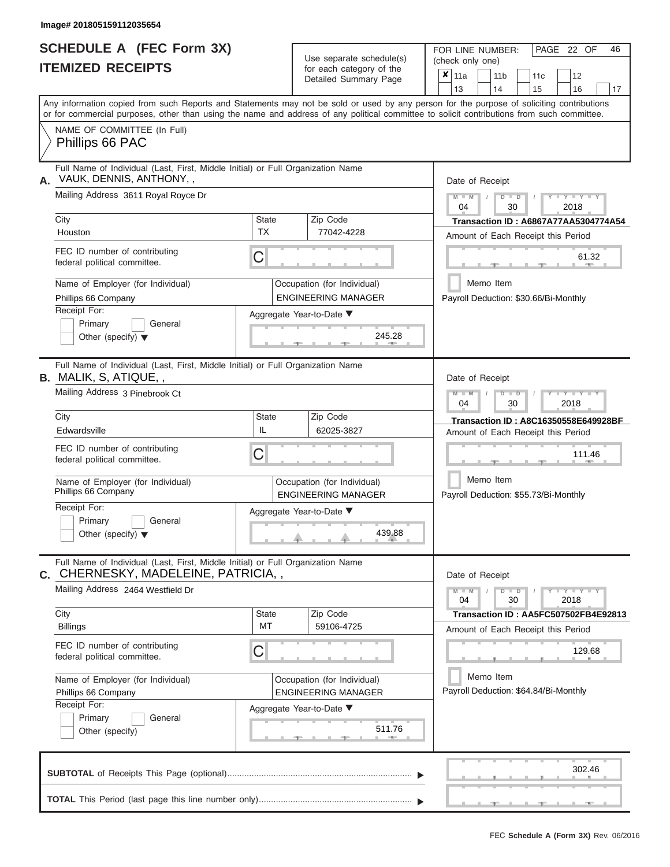## **SCHEDULE A (FEC Form 3X) ITEMIZED RECEIPTS**

| SCHEDULE A (FEC Form 3X)<br><b>ITEMIZED RECEIPTS</b>                                                                                               |                           | Use separate schedule(s)<br>for each category of the<br>Detailed Summary Page | FOR LINE NUMBER:<br>PAGE 22 OF<br>46<br>(check only one)<br>$\overline{\mathbf{x}}$   11a<br>11 <sub>b</sub><br>12<br>11c                 |
|----------------------------------------------------------------------------------------------------------------------------------------------------|---------------------------|-------------------------------------------------------------------------------|-------------------------------------------------------------------------------------------------------------------------------------------|
|                                                                                                                                                    |                           |                                                                               | 14<br>13<br>15<br>16<br>17                                                                                                                |
| or for commercial purposes, other than using the name and address of any political committee to solicit contributions from such committee.         |                           |                                                                               | Any information copied from such Reports and Statements may not be sold or used by any person for the purpose of soliciting contributions |
| NAME OF COMMITTEE (In Full)<br>Phillips 66 PAC                                                                                                     |                           |                                                                               |                                                                                                                                           |
| Full Name of Individual (Last, First, Middle Initial) or Full Organization Name<br>VAUK, DENNIS, ANTHONY, ,                                        |                           |                                                                               | Date of Receipt                                                                                                                           |
| Mailing Address 3611 Royal Royce Dr                                                                                                                |                           |                                                                               | $M - M$<br>$+Y + Y + Y$<br>$D$ $D$<br>$\sqrt{ }$<br>04<br>30<br>2018                                                                      |
| City<br>Houston                                                                                                                                    | <b>State</b><br><b>TX</b> | Zip Code<br>77042-4228                                                        | <b>Transaction ID: A6867A77AA5304774A54</b><br>Amount of Each Receipt this Period                                                         |
| FEC ID number of contributing<br>federal political committee.                                                                                      | C                         |                                                                               | 61.32<br>$1 - 405$<br>$-1$                                                                                                                |
| Name of Employer (for Individual)<br>Phillips 66 Company                                                                                           |                           | Occupation (for Individual)<br><b>ENGINEERING MANAGER</b>                     | Memo Item<br>Payroll Deduction: \$30.66/Bi-Monthly                                                                                        |
| Receipt For:<br>Primary<br>General<br>Other (specify) $\blacktriangledown$                                                                         |                           | Aggregate Year-to-Date ▼<br>245.28<br><b>British Allen</b>                    |                                                                                                                                           |
| Full Name of Individual (Last, First, Middle Initial) or Full Organization Name<br><b>B.</b> MALIK, S, ATIQUE, ,<br>Mailing Address 3 Pinebrook Ct |                           |                                                                               | Date of Receipt<br>$M - M$<br>$D$ $\Box$ $D$<br>$+Y+Y+Y$                                                                                  |
| City                                                                                                                                               | <b>State</b>              | Zip Code                                                                      | 04<br>2018<br>30<br>Transaction ID: A8C16350558E649928BF                                                                                  |
| Edwardsville                                                                                                                                       | IL                        | 62025-3827                                                                    | Amount of Each Receipt this Period                                                                                                        |
| FEC ID number of contributing<br>federal political committee.                                                                                      | C                         |                                                                               | 111.46                                                                                                                                    |
| Name of Employer (for Individual)<br>Phillips 66 Company                                                                                           |                           | Occupation (for Individual)<br><b>ENGINEERING MANAGER</b>                     | Memo Item<br>Payroll Deduction: \$55.73/Bi-Monthly                                                                                        |
| Receipt For:<br>Primary<br>General                                                                                                                 |                           | Aggregate Year-to-Date ▼                                                      |                                                                                                                                           |
| Other (specify) $\blacktriangledown$                                                                                                               |                           | 439.88                                                                        |                                                                                                                                           |
| Full Name of Individual (Last, First, Middle Initial) or Full Organization Name<br>C. CHERNESKY, MADELEINE, PATRICIA,,                             |                           |                                                                               | Date of Receipt                                                                                                                           |
| Mailing Address 2464 Westfield Dr                                                                                                                  |                           |                                                                               | $M - M$<br>$D$ $D$<br>$Y - Y - Y - Y - Y$<br>04<br>30<br>2018                                                                             |
| City<br><b>Billings</b>                                                                                                                            | <b>State</b><br>MT        | Zip Code<br>59106-4725                                                        | Transaction ID: AA5FC507502FB4E92813<br>Amount of Each Receipt this Period                                                                |
| FEC ID number of contributing<br>federal political committee.                                                                                      | C                         |                                                                               | 129.68                                                                                                                                    |
| Name of Employer (for Individual)<br>Phillips 66 Company                                                                                           |                           | Occupation (for Individual)<br><b>ENGINEERING MANAGER</b>                     | Memo Item<br>Payroll Deduction: \$64.84/Bi-Monthly                                                                                        |
| Receipt For:<br>Primary<br>General<br>Other (specify)                                                                                              |                           | Aggregate Year-to-Date ▼<br>511.76                                            |                                                                                                                                           |
|                                                                                                                                                    |                           |                                                                               | 302.46                                                                                                                                    |
|                                                                                                                                                    |                           |                                                                               | $-1$<br>$-1$                                                                                                                              |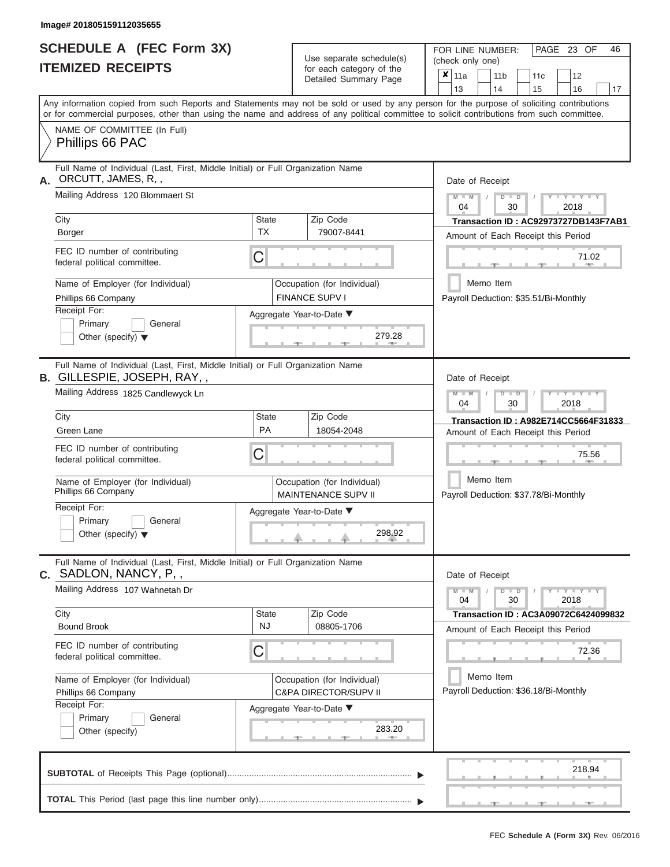|                          | SCHEDULE A (FEC Form 3X) |
|--------------------------|--------------------------|
| <b>ITEMIZED RECEIPTS</b> |                          |

Use separate schedule(s)<br>for each category of the

FOR LINE NUMBER:<br>(check only one)

PAGE 23 OF 46

|    | IILMILLU NLVLIF IJ                                                                                                                                                                                                                                                                      |                           | iul each caleguly of the<br>Detailed Summary Page               | $\boldsymbol{\mathsf{x}}$ | 11a<br>13                             |           | 11 <sub>b</sub><br>14 |                           | 11c<br>15 | 12<br>16                                                                   | 17                                   |
|----|-----------------------------------------------------------------------------------------------------------------------------------------------------------------------------------------------------------------------------------------------------------------------------------------|---------------------------|-----------------------------------------------------------------|---------------------------|---------------------------------------|-----------|-----------------------|---------------------------|-----------|----------------------------------------------------------------------------|--------------------------------------|
|    | Any information copied from such Reports and Statements may not be sold or used by any person for the purpose of soliciting contributions<br>or for commercial purposes, other than using the name and address of any political committee to solicit contributions from such committee. |                           |                                                                 |                           |                                       |           |                       |                           |           |                                                                            |                                      |
|    | NAME OF COMMITTEE (In Full)<br>Phillips 66 PAC                                                                                                                                                                                                                                          |                           |                                                                 |                           |                                       |           |                       |                           |           |                                                                            |                                      |
| А. | Full Name of Individual (Last, First, Middle Initial) or Full Organization Name<br>ORCUTT, JAMES, R,,                                                                                                                                                                                   |                           |                                                                 |                           | Date of Receipt                       |           |                       |                           |           |                                                                            |                                      |
|    | Mailing Address 120 Blommaert St                                                                                                                                                                                                                                                        |                           |                                                                 |                           | $M - M$<br>04                         |           |                       | $D$ $D$<br>30             |           | $Y = Y = Y$<br>2018                                                        |                                      |
|    | City<br>Borger                                                                                                                                                                                                                                                                          | <b>State</b><br><b>TX</b> | Zip Code<br>79007-8441                                          |                           |                                       |           |                       |                           |           | Amount of Each Receipt this Period                                         | Transaction ID: AC92973727DB143F7AB1 |
|    | FEC ID number of contributing<br>federal political committee.                                                                                                                                                                                                                           | С                         |                                                                 |                           |                                       |           |                       |                           |           | 71.02                                                                      |                                      |
|    | Name of Employer (for Individual)<br>Phillips 66 Company                                                                                                                                                                                                                                |                           | Occupation (for Individual)<br><b>FINANCE SUPV I</b>            |                           | Payroll Deduction: \$35.51/Bi-Monthly | Memo Item |                       |                           |           |                                                                            |                                      |
|    | Receipt For:<br>Primary<br>General<br>Other (specify) $\blacktriangledown$                                                                                                                                                                                                              |                           | Aggregate Year-to-Date ▼<br>279.28                              |                           |                                       |           |                       |                           |           |                                                                            |                                      |
|    | Full Name of Individual (Last, First, Middle Initial) or Full Organization Name<br><b>B.</b> GILLESPIE, JOSEPH, RAY, ,                                                                                                                                                                  |                           |                                                                 |                           | Date of Receipt                       |           |                       |                           |           |                                                                            |                                      |
|    | Mailing Address 1825 Candlewyck Ln                                                                                                                                                                                                                                                      |                           |                                                                 |                           | $M - M$<br>04                         |           |                       | т<br>$\blacksquare$<br>30 |           | Y I Y I<br>2018                                                            |                                      |
|    | City<br>Green Lane                                                                                                                                                                                                                                                                      | State<br>PA               | Zip Code<br>18054-2048                                          |                           |                                       |           |                       |                           |           | Amount of Each Receipt this Period                                         | Transaction ID: A982E714CC5664F31833 |
|    | FEC ID number of contributing<br>federal political committee.                                                                                                                                                                                                                           | С                         |                                                                 |                           |                                       |           |                       |                           |           | 75.56                                                                      |                                      |
|    | Name of Employer (for Individual)<br>Phillips 66 Company                                                                                                                                                                                                                                |                           | Occupation (for Individual)<br><b>MAINTENANCE SUPV II</b>       |                           | Payroll Deduction: \$37.78/Bi-Monthly | Memo Item |                       |                           |           |                                                                            |                                      |
|    | Receipt For:<br>Primary<br>General<br>Other (specify) $\blacktriangledown$                                                                                                                                                                                                              |                           | Aggregate Year-to-Date ▼<br>298.92                              |                           |                                       |           |                       |                           |           |                                                                            |                                      |
| С. | Full Name of Individual (Last, First, Middle Initial) or Full Organization Name<br>SADLON, NANCY, P,,                                                                                                                                                                                   |                           |                                                                 |                           | Date of Receipt                       |           |                       |                           |           |                                                                            |                                      |
|    | Mailing Address 107 Wahnetah Dr                                                                                                                                                                                                                                                         |                           |                                                                 |                           | $M - M$<br>04                         |           |                       | $D$ $D$<br>30             |           | $  Y - 1 - Y - 1 - Y$<br>2018                                              |                                      |
|    | City<br><b>Bound Brook</b>                                                                                                                                                                                                                                                              | <b>State</b><br>NJ        | Zip Code<br>08805-1706                                          |                           |                                       |           |                       |                           |           | Transaction ID: AC3A09072C6424099832<br>Amount of Each Receipt this Period |                                      |
|    | FEC ID number of contributing<br>federal political committee.                                                                                                                                                                                                                           | С                         |                                                                 |                           |                                       |           |                       |                           |           | 72.36                                                                      |                                      |
|    | Name of Employer (for Individual)<br>Phillips 66 Company<br>Receipt For:                                                                                                                                                                                                                |                           | Occupation (for Individual)<br><b>C&amp;PA DIRECTOR/SUPV II</b> |                           | Payroll Deduction: \$36.18/Bi-Monthly | Memo Item |                       |                           |           |                                                                            |                                      |
|    | General<br>Primary<br>Other (specify)                                                                                                                                                                                                                                                   |                           | Aggregate Year-to-Date ▼<br>283.20                              |                           |                                       |           |                       |                           |           |                                                                            |                                      |
|    |                                                                                                                                                                                                                                                                                         |                           |                                                                 |                           |                                       |           |                       |                           |           | 218.94                                                                     |                                      |
|    |                                                                                                                                                                                                                                                                                         |                           |                                                                 |                           |                                       |           |                       |                           |           |                                                                            |                                      |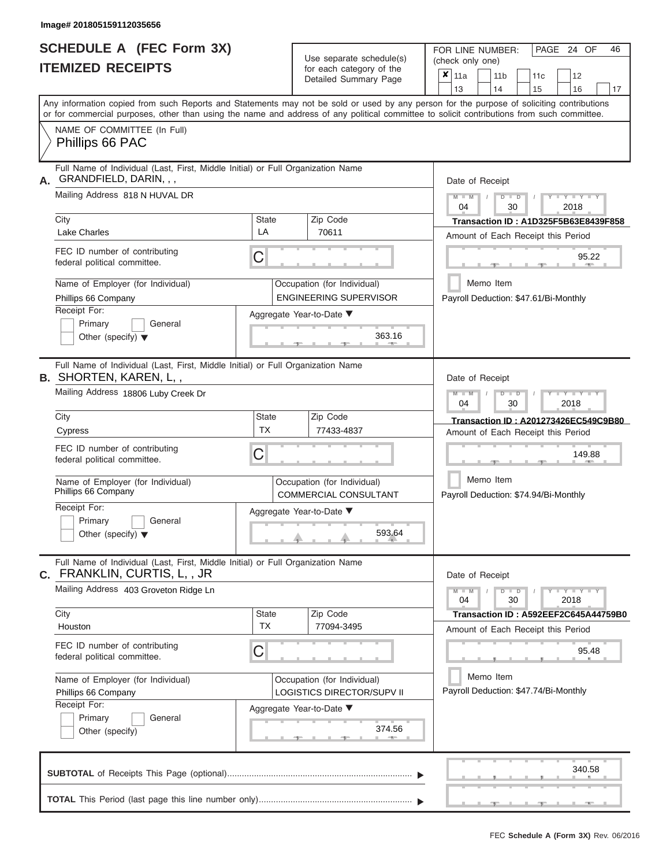ı

## **SCHEDULE A (FEC Form 3X) ITEMIZED RECEIPTS**

| SCHEDULE A (FEC Form 3X)<br><b>ITEMIZED RECEIPTS</b>                                                                                                                                                                                                                                                                                                                                        |                         | Use separate schedule(s)<br>for each category of the<br>Detailed Summary Page                                                                | FOR LINE NUMBER:<br>PAGE 24 OF<br>46<br>(check only one)<br>$\overline{\mathbf{x}}$   11a<br>11 <sub>b</sub><br>12<br>11 <sub>c</sub><br>13<br>14<br>16                                                                                                                     |
|---------------------------------------------------------------------------------------------------------------------------------------------------------------------------------------------------------------------------------------------------------------------------------------------------------------------------------------------------------------------------------------------|-------------------------|----------------------------------------------------------------------------------------------------------------------------------------------|-----------------------------------------------------------------------------------------------------------------------------------------------------------------------------------------------------------------------------------------------------------------------------|
| Any information copied from such Reports and Statements may not be sold or used by any person for the purpose of soliciting contributions<br>or for commercial purposes, other than using the name and address of any political committee to solicit contributions from such committee.<br>NAME OF COMMITTEE (In Full)<br>Phillips 66 PAC                                                   |                         |                                                                                                                                              | 15<br>17                                                                                                                                                                                                                                                                    |
| Full Name of Individual (Last, First, Middle Initial) or Full Organization Name<br>GRANDFIELD, DARIN, , ,<br>А.<br>Mailing Address 818 N HUVAL DR<br>City<br><b>Lake Charles</b><br>FEC ID number of contributing<br>federal political committee.<br>Name of Employer (for Individual)<br>Phillips 66 Company<br>Receipt For:<br>Primary<br>General<br>Other (specify) $\blacktriangledown$ | State<br>LA<br>C        | Zip Code<br>70611<br>Occupation (for Individual)<br><b>ENGINEERING SUPERVISOR</b><br>Aggregate Year-to-Date ▼<br>363.16<br><b>CONTRACTOR</b> | Date of Receipt<br>$M - M$ /<br>$+Y+Y+Y$<br>$D$ $D$<br>04<br>30<br>2018<br>Transaction ID: A1D325F5B63E8439F858<br>Amount of Each Receipt this Period<br>95.22<br><b>COLLECTION</b><br>$-1$<br>Memo Item<br>Payroll Deduction: \$47.61/Bi-Monthly                           |
| Full Name of Individual (Last, First, Middle Initial) or Full Organization Name<br><b>B. SHORTEN, KAREN, L,,</b><br>Mailing Address 18806 Luby Creek Dr<br>City<br>Cypress<br>FEC ID number of contributing<br>federal political committee.<br>Name of Employer (for Individual)<br>Phillips 66 Company<br>Receipt For:<br>Primary<br>General<br>Other (specify) $\blacktriangledown$       | State<br><b>TX</b><br>С | Zip Code<br>77433-4837<br>Occupation (for Individual)<br><b>COMMERCIAL CONSULTANT</b><br>Aggregate Year-to-Date ▼<br>593.64                  | Date of Receipt<br>$M - M$<br>$D$ $\Box$ $D$<br>$\Box$ $\Upsilon$ $\Box$ $\Upsilon$ $\Upsilon$ $\Upsilon$<br>04<br>30<br>2018<br>Transaction ID: A201273426EC549C9B80<br>Amount of Each Receipt this Period<br>149.88<br>Memo Item<br>Payroll Deduction: \$74.94/Bi-Monthly |
| Full Name of Individual (Last, First, Middle Initial) or Full Organization Name<br>C. FRANKLIN, CURTIS, L,, JR<br>Mailing Address 403 Groveton Ridge Ln<br>City<br>Houston<br>FEC ID number of contributing<br>federal political committee.<br>Name of Employer (for Individual)<br>Phillips 66 Company<br>Receipt For:<br>Primary<br>General<br>Other (specify)                            | State<br><b>TX</b><br>С | Zip Code<br>77094-3495<br>Occupation (for Individual)<br><b>LOGISTICS DIRECTOR/SUPV II</b><br>Aggregate Year-to-Date ▼<br>374.56             | Date of Receipt<br>$M - M$<br>$D$ $D$<br>$T$ $Y$ $T$ $Y$ $T$ $Y$<br>04<br>30<br>2018<br>Transaction ID: A592EEF2C645A44759B0<br>Amount of Each Receipt this Period<br>95.48<br>Memo Item<br>Payroll Deduction: \$47.74/Bi-Monthly                                           |
|                                                                                                                                                                                                                                                                                                                                                                                             |                         |                                                                                                                                              | 340.58                                                                                                                                                                                                                                                                      |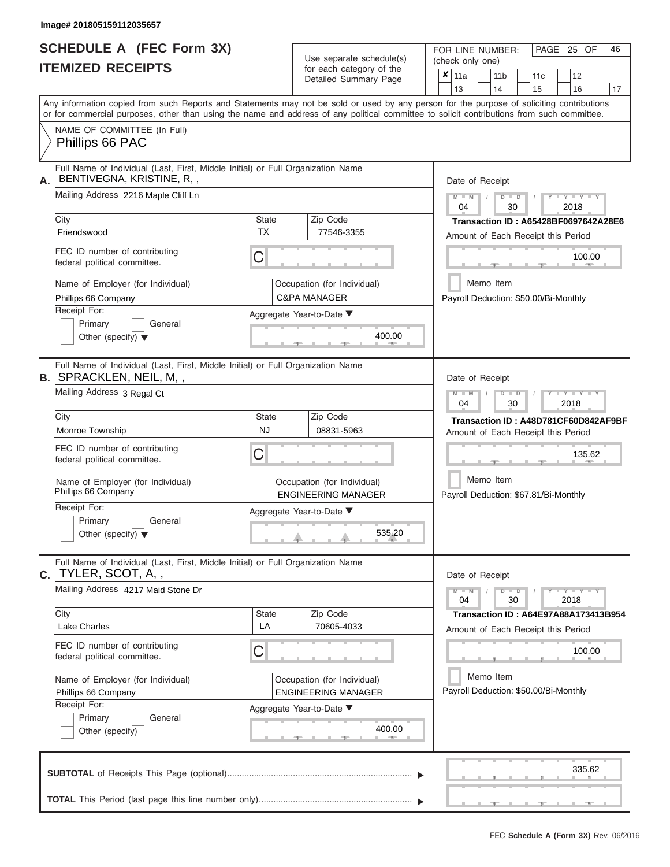|                          | <b>SCHEDULE A (FEC Form 3X)</b> |
|--------------------------|---------------------------------|
| <b>ITEMIZED RECEIPTS</b> |                                 |

Use separate schedule(s)<br>for each category of the

FOR LINE NUMBER:<br>(check only one)

PAGE 25 OF 46

|    | IILMILLU INLVLII IV                                                                                                                        |                    | iui cauli calcyuly ul lilic<br>Detailed Summary Page      | × | 11a             |           | 11 <sub>b</sub> |                                | 11 <sub>c</sub> | 12                                          |    |
|----|--------------------------------------------------------------------------------------------------------------------------------------------|--------------------|-----------------------------------------------------------|---|-----------------|-----------|-----------------|--------------------------------|-----------------|---------------------------------------------|----|
|    | Any information copied from such Reports and Statements may not be sold or used by any person for the purpose of soliciting contributions  |                    |                                                           |   | 13              |           | 14              |                                | 15              | 16                                          | 17 |
|    | or for commercial purposes, other than using the name and address of any political committee to solicit contributions from such committee. |                    |                                                           |   |                 |           |                 |                                |                 |                                             |    |
|    | NAME OF COMMITTEE (In Full)<br>Phillips 66 PAC                                                                                             |                    |                                                           |   |                 |           |                 |                                |                 |                                             |    |
| Α. | Full Name of Individual (Last, First, Middle Initial) or Full Organization Name<br>BENTIVEGNA, KRISTINE, R,,                               |                    |                                                           |   | Date of Receipt |           |                 |                                |                 |                                             |    |
|    | Mailing Address 2216 Maple Cliff Ln                                                                                                        |                    |                                                           |   | $M - M$<br>04   |           |                 | $D$ $D$<br>30                  |                 | $T - Y = TY$<br>2018                        |    |
|    | City                                                                                                                                       | <b>State</b><br>TX | Zip Code                                                  |   |                 |           |                 |                                |                 | <b>Transaction ID: A65428BF0697642A28E6</b> |    |
|    | Friendswood                                                                                                                                |                    | 77546-3355                                                |   |                 |           |                 |                                |                 | Amount of Each Receipt this Period          |    |
|    | FEC ID number of contributing<br>C<br>federal political committee.                                                                         |                    |                                                           |   |                 |           |                 |                                |                 | 100.00                                      |    |
|    | Name of Employer (for Individual)                                                                                                          |                    | Occupation (for Individual)                               |   |                 | Memo Item |                 |                                |                 |                                             |    |
|    | Phillips 66 Company<br>Receipt For:                                                                                                        |                    | <b>C&amp;PA MANAGER</b>                                   |   |                 |           |                 |                                |                 | Payroll Deduction: \$50.00/Bi-Monthly       |    |
|    | Primary<br>General                                                                                                                         |                    | Aggregate Year-to-Date ▼                                  |   |                 |           |                 |                                |                 |                                             |    |
|    | Other (specify) $\blacktriangledown$                                                                                                       |                    | 400.00                                                    |   |                 |           |                 |                                |                 |                                             |    |
|    | Full Name of Individual (Last, First, Middle Initial) or Full Organization Name<br><b>B.</b> SPRACKLEN, NEIL, M,,                          |                    |                                                           |   | Date of Receipt |           |                 |                                |                 |                                             |    |
|    | Mailing Address 3 Regal Ct                                                                                                                 |                    |                                                           |   | $M - M$<br>04   |           |                 | $\overline{D}$<br>$\Box$<br>30 |                 | $-Y$<br>2018                                |    |
|    | City                                                                                                                                       | State              | Zip Code                                                  |   |                 |           |                 |                                |                 | Transaction ID: A48D781CF60D842AF9BF        |    |
|    | Monroe Township                                                                                                                            | <b>NJ</b>          | 08831-5963                                                |   |                 |           |                 |                                |                 | Amount of Each Receipt this Period          |    |
|    | FEC ID number of contributing<br>С<br>federal political committee.                                                                         |                    |                                                           |   |                 |           |                 |                                |                 | 135.62                                      |    |
|    | Name of Employer (for Individual)<br>Phillips 66 Company                                                                                   |                    | Occupation (for Individual)<br><b>ENGINEERING MANAGER</b> |   |                 | Memo Item |                 |                                |                 | Payroll Deduction: \$67.81/Bi-Monthly       |    |
|    | Receipt For:                                                                                                                               |                    | Aggregate Year-to-Date ▼                                  |   |                 |           |                 |                                |                 |                                             |    |
|    | Primary<br>General<br>Other (specify) $\blacktriangledown$                                                                                 |                    | 535.20                                                    |   |                 |           |                 |                                |                 |                                             |    |
| С. | Full Name of Individual (Last, First, Middle Initial) or Full Organization Name<br>TYLER, SCOT, A,,                                        |                    |                                                           |   | Date of Receipt |           |                 |                                |                 |                                             |    |
|    | Mailing Address 4217 Maid Stone Dr                                                                                                         |                    |                                                           |   | $M - M$<br>04   |           |                 | D<br>$\overline{D}$<br>30      |                 | $-Y$ $Y$ $-Y$ $-Y$<br>2018                  |    |
|    | City<br><b>Lake Charles</b>                                                                                                                | <b>State</b><br>LA | Zip Code<br>70605-4033                                    |   |                 |           |                 |                                |                 | Transaction ID: A64E97A88A173413B954        |    |
|    |                                                                                                                                            |                    |                                                           |   |                 |           |                 |                                |                 | Amount of Each Receipt this Period          |    |
|    | FEC ID number of contributing<br>C<br>federal political committee.                                                                         |                    |                                                           |   |                 |           |                 |                                |                 | 100.00                                      |    |
|    | Name of Employer (for Individual)                                                                                                          |                    | Occupation (for Individual)                               |   |                 | Memo Item |                 |                                |                 |                                             |    |
|    | Phillips 66 Company<br>Receipt For:                                                                                                        |                    | <b>ENGINEERING MANAGER</b>                                |   |                 |           |                 |                                |                 | Payroll Deduction: \$50.00/Bi-Monthly       |    |
|    | Primary<br>General                                                                                                                         |                    | Aggregate Year-to-Date ▼                                  |   |                 |           |                 |                                |                 |                                             |    |
|    | Other (specify)                                                                                                                            |                    | 400.00                                                    |   |                 |           |                 |                                |                 |                                             |    |
|    |                                                                                                                                            |                    |                                                           |   |                 |           |                 |                                |                 | 335.62                                      |    |
|    |                                                                                                                                            |                    |                                                           |   |                 |           |                 |                                |                 |                                             |    |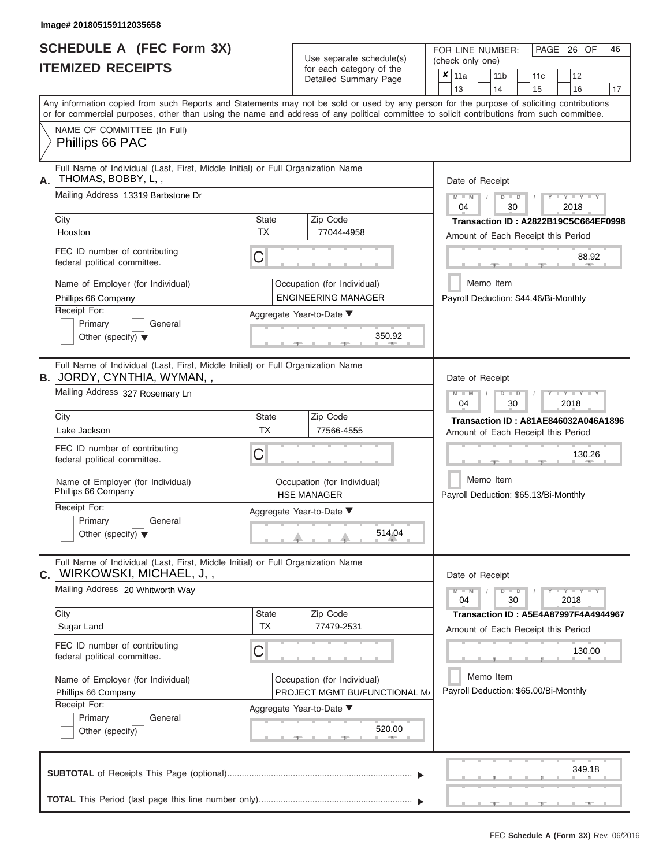|                          | <b>SCHEDULE A (FEC Form 3X)</b> |
|--------------------------|---------------------------------|
| <b>ITEMIZED RECEIPTS</b> |                                 |

FOR LINE NUMBER:

PAGE 26 OF 46

| <b>ITEMIZED RECEIPTS</b>                                                                                                                   |                           | Use separate schedule(s)<br>for each category of the<br>Detailed Summary Page | UIT LINE INUMPLIT.<br>LAUL LU<br>(check only one)<br>$\overline{\mathbf{x}}$   11a<br>11 <sub>b</sub><br>12<br>11 <sub>c</sub> |
|--------------------------------------------------------------------------------------------------------------------------------------------|---------------------------|-------------------------------------------------------------------------------|--------------------------------------------------------------------------------------------------------------------------------|
| Any information copied from such Reports and Statements may not be sold or used by any person for the purpose of soliciting contributions  |                           |                                                                               | 14<br>13<br>15<br>16<br>17                                                                                                     |
| or for commercial purposes, other than using the name and address of any political committee to solicit contributions from such committee. |                           |                                                                               |                                                                                                                                |
| NAME OF COMMITTEE (In Full)<br>Phillips 66 PAC                                                                                             |                           |                                                                               |                                                                                                                                |
| Full Name of Individual (Last, First, Middle Initial) or Full Organization Name<br>THOMAS, BOBBY, L,,<br>А.                                |                           |                                                                               | Date of Receipt                                                                                                                |
| Mailing Address 13319 Barbstone Dr                                                                                                         |                           |                                                                               | $M - M$<br>$Y - Y - Y - Y - Y$<br>$D$ $D$<br>04<br>30<br>2018                                                                  |
| City<br>Houston                                                                                                                            | <b>State</b><br><b>TX</b> | Zip Code<br>77044-4958                                                        | Transaction ID: A2822B19C5C664EF0998<br>Amount of Each Receipt this Period                                                     |
| FEC ID number of contributing<br>federal political committee.                                                                              | C                         |                                                                               | 88.92                                                                                                                          |
| Name of Employer (for Individual)<br>Phillips 66 Company                                                                                   |                           | Occupation (for Individual)<br><b>ENGINEERING MANAGER</b>                     | Memo Item<br>Payroll Deduction: \$44.46/Bi-Monthly                                                                             |
| Receipt For:<br>Primary<br>General<br>Other (specify) $\blacktriangledown$                                                                 |                           | Aggregate Year-to-Date ▼<br>350.92                                            |                                                                                                                                |
| Full Name of Individual (Last, First, Middle Initial) or Full Organization Name<br><b>B.</b> JORDY, CYNTHIA, WYMAN,,                       |                           |                                                                               | Date of Receipt                                                                                                                |
| Mailing Address 327 Rosemary Ln                                                                                                            |                           |                                                                               | $M - M$<br>$\blacksquare$ $\vdash$ $\vdash$ $\vdash$ $\vdash$ $\vdash$ $\vdash$ $\vdash$<br>$\Box$<br>04<br>30<br>2018         |
| City                                                                                                                                       | State                     | Zip Code                                                                      | Transaction ID: A81AE846032A046A1896                                                                                           |
| Lake Jackson                                                                                                                               | <b>TX</b>                 | 77566-4555                                                                    | Amount of Each Receipt this Period                                                                                             |
| FEC ID number of contributing<br>federal political committee.                                                                              | C                         |                                                                               | 130.26                                                                                                                         |
| Name of Employer (for Individual)<br>Phillips 66 Company                                                                                   |                           | Occupation (for Individual)<br><b>HSE MANAGER</b>                             | Memo Item<br>Payroll Deduction: \$65.13/Bi-Monthly                                                                             |
| Receipt For:                                                                                                                               |                           | Aggregate Year-to-Date ▼                                                      |                                                                                                                                |
| Primary<br>General<br>Other (specify) $\blacktriangledown$                                                                                 |                           | 514.04                                                                        |                                                                                                                                |
| Full Name of Individual (Last, First, Middle Initial) or Full Organization Name<br><b>C.</b> WIRKOWSKI, MICHAEL, J,,                       |                           |                                                                               | Date of Receipt                                                                                                                |
| Mailing Address 20 Whitworth Way                                                                                                           |                           |                                                                               | $Y = Y = Y$<br>$M - M$<br>04<br>30<br>2018                                                                                     |
| City<br>Sugar Land                                                                                                                         | State<br><b>TX</b>        | Zip Code<br>77479-2531                                                        | <b>Transaction ID: A5E4A87997F4A4944967</b>                                                                                    |
|                                                                                                                                            |                           |                                                                               | Amount of Each Receipt this Period                                                                                             |
| FEC ID number of contributing<br>federal political committee.                                                                              | С                         |                                                                               | 130.00                                                                                                                         |
| Name of Employer (for Individual)                                                                                                          |                           | Occupation (for Individual)                                                   | Memo Item                                                                                                                      |
| Phillips 66 Company<br>Receipt For:                                                                                                        |                           | PROJECT MGMT BU/FUNCTIONAL M/                                                 | Payroll Deduction: \$65.00/Bi-Monthly                                                                                          |
| Primary<br>General<br>Other (specify)                                                                                                      |                           | Aggregate Year-to-Date ▼<br>520.00<br>$-1$                                    |                                                                                                                                |
|                                                                                                                                            |                           |                                                                               | 349.18                                                                                                                         |
|                                                                                                                                            |                           |                                                                               | ___                                                                                                                            |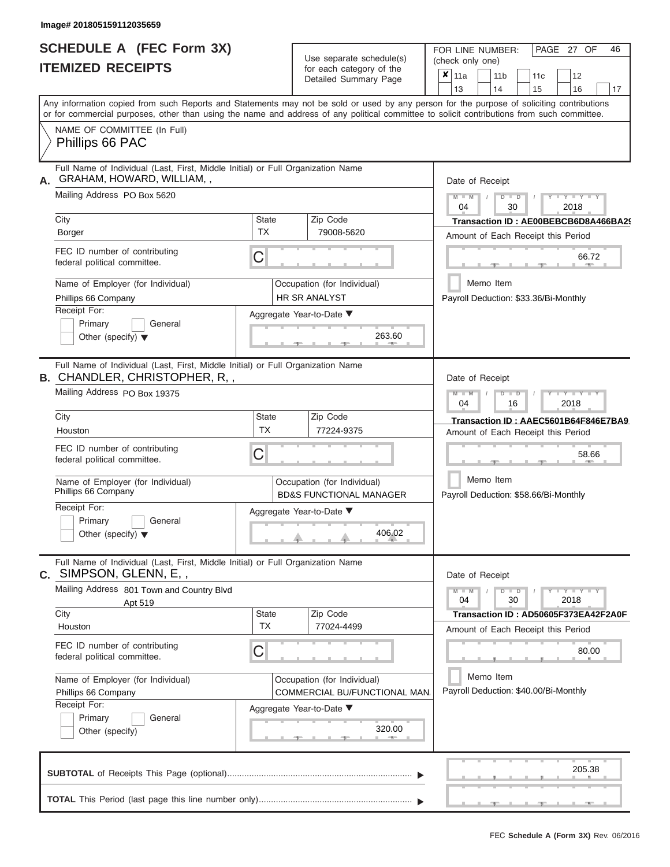|                          | <b>SCHEDULE A (FEC Form 3X)</b> |
|--------------------------|---------------------------------|
| <b>ITEMIZED RECEIPTS</b> |                                 |

Use separate schedule(s)<br>for each category of the

FOR LINE NUMBER:<br>(check only one)

PAGE 27 OF 46

|                                                                                                                                                                                                                                                                                         |                           | $0.0011$ $0.000$<br>Detailed Summary Page                         | $\boldsymbol{x}$ | 11a             |           | 11 <sub>b</sub> |               | 11 <sub>c</sub> | 12                                          |    |
|-----------------------------------------------------------------------------------------------------------------------------------------------------------------------------------------------------------------------------------------------------------------------------------------|---------------------------|-------------------------------------------------------------------|------------------|-----------------|-----------|-----------------|---------------|-----------------|---------------------------------------------|----|
| Any information copied from such Reports and Statements may not be sold or used by any person for the purpose of soliciting contributions<br>or for commercial purposes, other than using the name and address of any political committee to solicit contributions from such committee. |                           |                                                                   |                  | 13              |           | 14              |               | 15              | 16                                          | 17 |
| NAME OF COMMITTEE (In Full)<br>Phillips 66 PAC                                                                                                                                                                                                                                          |                           |                                                                   |                  |                 |           |                 |               |                 |                                             |    |
| Full Name of Individual (Last, First, Middle Initial) or Full Organization Name<br>GRAHAM, HOWARD, WILLIAM,,<br>А.                                                                                                                                                                      |                           |                                                                   |                  | Date of Receipt |           |                 |               |                 |                                             |    |
| Mailing Address PO Box 5620                                                                                                                                                                                                                                                             |                           |                                                                   |                  | $M - M$<br>04   |           |                 | $D$ $D$<br>30 |                 | $Y - Y - Y$<br>2018                         |    |
| City                                                                                                                                                                                                                                                                                    | <b>State</b><br><b>TX</b> | Zip Code<br>79008-5620                                            |                  |                 |           |                 |               |                 | Transaction ID: AE00BEBCB6D8A466BA29        |    |
| Borger                                                                                                                                                                                                                                                                                  |                           |                                                                   |                  |                 |           |                 |               |                 | Amount of Each Receipt this Period          |    |
| FEC ID number of contributing<br>federal political committee.                                                                                                                                                                                                                           | С                         |                                                                   |                  |                 |           |                 |               |                 | 66.72                                       |    |
| Name of Employer (for Individual)<br>Phillips 66 Company                                                                                                                                                                                                                                |                           | Occupation (for Individual)<br>HR SR ANALYST                      |                  |                 | Memo Item |                 |               |                 | Payroll Deduction: \$33.36/Bi-Monthly       |    |
| Receipt For:                                                                                                                                                                                                                                                                            |                           | Aggregate Year-to-Date ▼                                          |                  |                 |           |                 |               |                 |                                             |    |
| Primary<br>General<br>Other (specify) $\blacktriangledown$                                                                                                                                                                                                                              |                           | 263.60                                                            |                  |                 |           |                 |               |                 |                                             |    |
| Full Name of Individual (Last, First, Middle Initial) or Full Organization Name<br>B. CHANDLER, CHRISTOPHER, R,,                                                                                                                                                                        |                           |                                                                   |                  | Date of Receipt |           |                 |               |                 |                                             |    |
| Mailing Address PO Box 19375                                                                                                                                                                                                                                                            |                           |                                                                   |                  | $M - M$<br>04   |           |                 | $D$ $D$<br>16 |                 | Y TYT<br>2018                               |    |
| City                                                                                                                                                                                                                                                                                    | <b>State</b>              | Zip Code                                                          |                  |                 |           |                 |               |                 | Transaction ID: AAEC5601B64F846E7BA9        |    |
| Houston                                                                                                                                                                                                                                                                                 | <b>TX</b>                 | 77224-9375                                                        |                  |                 |           |                 |               |                 | Amount of Each Receipt this Period          |    |
| FEC ID number of contributing<br>federal political committee.                                                                                                                                                                                                                           | С                         |                                                                   |                  |                 |           |                 |               |                 | 58.66                                       |    |
| Name of Employer (for Individual)<br>Phillips 66 Company                                                                                                                                                                                                                                |                           | Occupation (for Individual)<br><b>BD&amp;S FUNCTIONAL MANAGER</b> |                  |                 | Memo Item |                 |               |                 | Payroll Deduction: \$58.66/Bi-Monthly       |    |
| Receipt For:<br>Primary<br>General<br>Other (specify) $\blacktriangledown$                                                                                                                                                                                                              |                           | Aggregate Year-to-Date ▼<br>406.02                                |                  |                 |           |                 |               |                 |                                             |    |
| Full Name of Individual (Last, First, Middle Initial) or Full Organization Name<br>C. SIMPSON, GLENN, E,,                                                                                                                                                                               |                           |                                                                   |                  | Date of Receipt |           |                 |               |                 |                                             |    |
| Mailing Address 801 Town and Country Blvd<br>Apt 519                                                                                                                                                                                                                                    |                           |                                                                   |                  | $M - M$<br>04   |           |                 | $D$ $D$<br>30 |                 | $\overline{Y} = Y = Y' + Y' + Y$<br>2018    |    |
| City                                                                                                                                                                                                                                                                                    | <b>State</b><br><b>TX</b> | Zip Code<br>77024-4499                                            |                  |                 |           |                 |               |                 | Transaction ID: AD50605F373EA42F2A0F        |    |
| Houston<br>FEC ID number of contributing<br>federal political committee.                                                                                                                                                                                                                | С                         |                                                                   |                  |                 |           |                 |               |                 | Amount of Each Receipt this Period<br>80.00 |    |
| Name of Employer (for Individual)<br>Phillips 66 Company                                                                                                                                                                                                                                |                           | Occupation (for Individual)<br>COMMERCIAL BU/FUNCTIONAL MAN.      |                  |                 | Memo Item |                 |               |                 | Payroll Deduction: \$40.00/Bi-Monthly       |    |
| Receipt For:                                                                                                                                                                                                                                                                            |                           | Aggregate Year-to-Date ▼                                          |                  |                 |           |                 |               |                 |                                             |    |
| Primary<br>General<br>Other (specify)                                                                                                                                                                                                                                                   |                           | 320.00                                                            |                  |                 |           |                 |               |                 |                                             |    |
|                                                                                                                                                                                                                                                                                         |                           |                                                                   |                  |                 |           |                 |               |                 | 205.38                                      |    |
|                                                                                                                                                                                                                                                                                         |                           |                                                                   |                  |                 |           |                 |               |                 |                                             |    |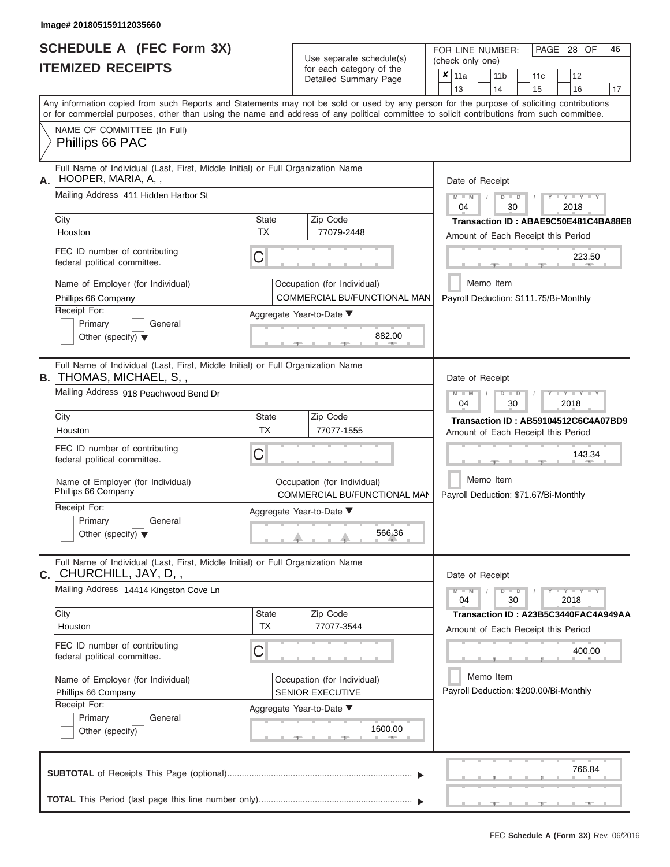# **SCHEDULE A (FEC Form 3X)**

| SCHEDULE A (FEC Form 3X)<br><b>ITEMIZED RECEIPTS</b>                                                                                                                                                                                                                                    |                    | Use separate schedule(s)<br>for each category of the<br>Detailed Summary Page | FOR LINE NUMBER:<br>PAGE 28 OF<br>46<br>(check only one)<br>$\overline{\mathbf{x}}$   11a<br>11 <sub>b</sub><br>12<br>11c                                                     |
|-----------------------------------------------------------------------------------------------------------------------------------------------------------------------------------------------------------------------------------------------------------------------------------------|--------------------|-------------------------------------------------------------------------------|-------------------------------------------------------------------------------------------------------------------------------------------------------------------------------|
|                                                                                                                                                                                                                                                                                         |                    |                                                                               | 13<br>14<br>15<br>16<br>17                                                                                                                                                    |
| Any information copied from such Reports and Statements may not be sold or used by any person for the purpose of soliciting contributions<br>or for commercial purposes, other than using the name and address of any political committee to solicit contributions from such committee. |                    |                                                                               |                                                                                                                                                                               |
| NAME OF COMMITTEE (In Full)<br>Phillips 66 PAC                                                                                                                                                                                                                                          |                    |                                                                               |                                                                                                                                                                               |
| Full Name of Individual (Last, First, Middle Initial) or Full Organization Name<br>HOOPER, MARIA, A,,<br>А.<br>Mailing Address 411 Hidden Harbor St                                                                                                                                     |                    |                                                                               | Date of Receipt<br>$M - M$<br>$Y - Y - Y$<br>$D$ $D$<br>04<br>30<br>2018                                                                                                      |
| City<br>Houston                                                                                                                                                                                                                                                                         | State<br><b>TX</b> | Zip Code<br>77079-2448                                                        | Transaction ID: ABAE9C50E481C4BA88E8<br>Amount of Each Receipt this Period                                                                                                    |
| FEC ID number of contributing<br>federal political committee.                                                                                                                                                                                                                           | С                  |                                                                               | 223.50<br><b>Brita Allen</b>                                                                                                                                                  |
| Name of Employer (for Individual)<br>Phillips 66 Company                                                                                                                                                                                                                                |                    | Occupation (for Individual)<br>COMMERCIAL BU/FUNCTIONAL MAN                   | Memo Item<br>Payroll Deduction: \$111.75/Bi-Monthly                                                                                                                           |
| Receipt For:<br>Primary<br>General<br>Other (specify) $\blacktriangledown$                                                                                                                                                                                                              |                    | Aggregate Year-to-Date ▼<br>882.00<br><b>CONTRACTOR</b>                       |                                                                                                                                                                               |
| Full Name of Individual (Last, First, Middle Initial) or Full Organization Name<br><b>B.</b> THOMAS, MICHAEL, S,,                                                                                                                                                                       |                    |                                                                               | Date of Receipt                                                                                                                                                               |
| Mailing Address 918 Peachwood Bend Dr                                                                                                                                                                                                                                                   |                    |                                                                               | $M - M$<br>$D$ $D$<br>$\blacksquare \blacksquare \blacksquare \blacksquare \blacksquare \blacksquare \blacksquare \blacksquare \blacksquare \blacksquare$<br>04<br>30<br>2018 |
| City                                                                                                                                                                                                                                                                                    | State<br><b>TX</b> | Zip Code                                                                      | Transaction ID: AB59104512C6C4A07BD9                                                                                                                                          |
| Houston<br>FEC ID number of contributing<br>federal political committee.                                                                                                                                                                                                                | С                  | 77077-1555                                                                    | Amount of Each Receipt this Period<br>143.34                                                                                                                                  |
| Name of Employer (for Individual)<br>Phillips 66 Company                                                                                                                                                                                                                                |                    | Occupation (for Individual)<br>COMMERCIAL BU/FUNCTIONAL MAN                   | Memo Item<br>Payroll Deduction: \$71.67/Bi-Monthly                                                                                                                            |
| Receipt For:<br>Primary<br>General                                                                                                                                                                                                                                                      |                    | Aggregate Year-to-Date ▼                                                      |                                                                                                                                                                               |
| Other (specify) $\blacktriangledown$                                                                                                                                                                                                                                                    |                    | 566.36                                                                        |                                                                                                                                                                               |
| Full Name of Individual (Last, First, Middle Initial) or Full Organization Name<br>C. CHURCHILL, JAY, D,,                                                                                                                                                                               |                    |                                                                               | Date of Receipt                                                                                                                                                               |
| Mailing Address 14414 Kingston Cove Ln                                                                                                                                                                                                                                                  |                    |                                                                               | $M - M$<br>$D$ $D$<br>$Y - Y - Y - Y - Y$<br>04<br>30<br>2018                                                                                                                 |
| City<br>Houston                                                                                                                                                                                                                                                                         | State<br><b>TX</b> | Zip Code<br>77077-3544                                                        | Transaction ID: A23B5C3440FAC4A949AA<br>Amount of Each Receipt this Period                                                                                                    |
| FEC ID number of contributing<br>federal political committee.                                                                                                                                                                                                                           | С                  |                                                                               | 400.00                                                                                                                                                                        |
| Name of Employer (for Individual)<br>Phillips 66 Company                                                                                                                                                                                                                                |                    | Occupation (for Individual)<br>SENIOR EXECUTIVE                               | Memo Item<br>Payroll Deduction: \$200.00/Bi-Monthly                                                                                                                           |
| Receipt For:<br>Primary<br>General<br>Other (specify)                                                                                                                                                                                                                                   |                    | Aggregate Year-to-Date ▼<br>1600.00<br>-40                                    |                                                                                                                                                                               |
|                                                                                                                                                                                                                                                                                         |                    |                                                                               | 766.84                                                                                                                                                                        |
|                                                                                                                                                                                                                                                                                         |                    |                                                                               |                                                                                                                                                                               |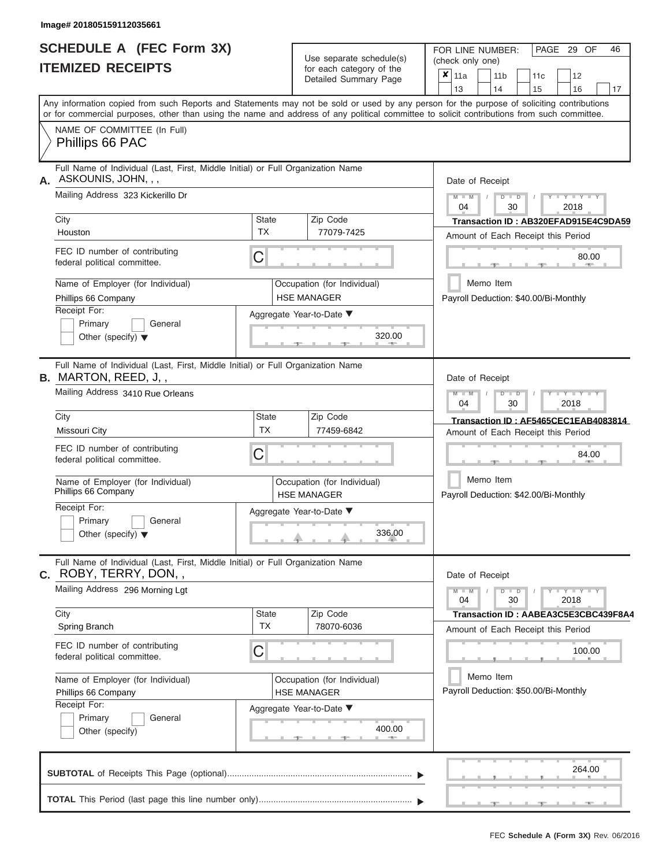|                          | <b>SCHEDULE A (FEC Form 3X)</b> |
|--------------------------|---------------------------------|
| <b>ITEMIZED RECEIPTS</b> |                                 |

Use separate schedule(s)<br>for each category of the

FOR LINE NUMBER:<br>(check only one)

PAGE 29 OF 46

| IILMILLU NLVLIF IJ                                                                                                                                                                                                                                                                      |                           | ior each calegory or the<br>Detailed Summary Page | × | 11a<br>13       | 11 <sub>b</sub><br>14 |               | 11c<br>15                             | 12<br>16                        | 17 |
|-----------------------------------------------------------------------------------------------------------------------------------------------------------------------------------------------------------------------------------------------------------------------------------------|---------------------------|---------------------------------------------------|---|-----------------|-----------------------|---------------|---------------------------------------|---------------------------------|----|
| Any information copied from such Reports and Statements may not be sold or used by any person for the purpose of soliciting contributions<br>or for commercial purposes, other than using the name and address of any political committee to solicit contributions from such committee. |                           |                                                   |   |                 |                       |               |                                       |                                 |    |
| NAME OF COMMITTEE (In Full)<br>Phillips 66 PAC                                                                                                                                                                                                                                          |                           |                                                   |   |                 |                       |               |                                       |                                 |    |
| Full Name of Individual (Last, First, Middle Initial) or Full Organization Name<br>ASKOUNIS, JOHN, , ,<br>А.                                                                                                                                                                            |                           |                                                   |   | Date of Receipt |                       |               |                                       |                                 |    |
| Mailing Address 323 Kickerillo Dr                                                                                                                                                                                                                                                       |                           |                                                   |   | $M - M$<br>04   |                       | $D$ $D$<br>30 |                                       | $Y + Y$<br>2018                 |    |
| City                                                                                                                                                                                                                                                                                    | <b>State</b><br><b>TX</b> | Zip Code                                          |   |                 |                       |               | Transaction ID: AB320EFAD915E4C9DA59  |                                 |    |
| Houston                                                                                                                                                                                                                                                                                 |                           | 77079-7425                                        |   |                 |                       |               | Amount of Each Receipt this Period    |                                 |    |
| FEC ID number of contributing<br>federal political committee.                                                                                                                                                                                                                           | С                         |                                                   |   |                 |                       |               |                                       | 80.00                           |    |
| Name of Employer (for Individual)                                                                                                                                                                                                                                                       |                           | Occupation (for Individual)                       |   |                 | Memo Item             |               |                                       |                                 |    |
| Phillips 66 Company<br>Receipt For:                                                                                                                                                                                                                                                     |                           | <b>HSE MANAGER</b>                                |   |                 |                       |               | Payroll Deduction: \$40.00/Bi-Monthly |                                 |    |
| Primary<br>General<br>Other (specify) $\blacktriangledown$                                                                                                                                                                                                                              |                           | Aggregate Year-to-Date ▼<br>320.00                |   |                 |                       |               |                                       |                                 |    |
| Full Name of Individual (Last, First, Middle Initial) or Full Organization Name<br><b>B.</b> MARTON, REED, J.,                                                                                                                                                                          |                           |                                                   |   | Date of Receipt |                       |               |                                       |                                 |    |
| Mailing Address 3410 Rue Orleans                                                                                                                                                                                                                                                        |                           |                                                   |   | $M - M$<br>04   |                       | $D$ $D$<br>30 |                                       | 2018                            |    |
| City                                                                                                                                                                                                                                                                                    | <b>State</b>              | Zip Code                                          |   |                 |                       |               | Transaction ID: AF5465CEC1EAB4083814  |                                 |    |
| Missouri City                                                                                                                                                                                                                                                                           | <b>TX</b>                 | 77459-6842                                        |   |                 |                       |               | Amount of Each Receipt this Period    |                                 |    |
| FEC ID number of contributing<br>federal political committee.                                                                                                                                                                                                                           | С                         |                                                   |   |                 |                       |               |                                       | 84.00                           |    |
| Name of Employer (for Individual)<br>Phillips 66 Company                                                                                                                                                                                                                                |                           | Occupation (for Individual)<br><b>HSE MANAGER</b> |   |                 | Memo Item             |               | Payroll Deduction: \$42.00/Bi-Monthly |                                 |    |
| Receipt For:<br>Primary<br>General<br>Other (specify) $\blacktriangledown$                                                                                                                                                                                                              |                           | Aggregate Year-to-Date ▼<br>336.00                |   |                 |                       |               |                                       |                                 |    |
| Full Name of Individual (Last, First, Middle Initial) or Full Organization Name<br>ROBY, TERRY, DON, ,<br>С.                                                                                                                                                                            |                           |                                                   |   | Date of Receipt |                       |               |                                       |                                 |    |
| Mailing Address 296 Morning Lgt                                                                                                                                                                                                                                                         |                           |                                                   |   | $M - M$<br>04   |                       | $D$ $D$<br>30 |                                       | $T - Y - T - Y - T - Y$<br>2018 |    |
| City                                                                                                                                                                                                                                                                                    | <b>State</b><br>TX        | Zip Code<br>78070-6036                            |   |                 |                       |               | Transaction ID: AABEA3C5E3CBC439F8A4  |                                 |    |
| Spring Branch<br>FEC ID number of contributing                                                                                                                                                                                                                                          | Ĉ                         |                                                   |   |                 |                       |               | Amount of Each Receipt this Period    | 100.00                          |    |
| federal political committee.                                                                                                                                                                                                                                                            |                           |                                                   |   |                 |                       |               |                                       |                                 |    |
| Name of Employer (for Individual)<br>Phillips 66 Company                                                                                                                                                                                                                                |                           | Occupation (for Individual)<br><b>HSE MANAGER</b> |   |                 | Memo Item             |               | Payroll Deduction: \$50.00/Bi-Monthly |                                 |    |
| Receipt For:                                                                                                                                                                                                                                                                            |                           | Aggregate Year-to-Date ▼                          |   |                 |                       |               |                                       |                                 |    |
| Primary<br>General<br>Other (specify)                                                                                                                                                                                                                                                   |                           | 400.00                                            |   |                 |                       |               |                                       |                                 |    |
|                                                                                                                                                                                                                                                                                         |                           |                                                   |   |                 |                       |               |                                       | 264.00                          |    |
|                                                                                                                                                                                                                                                                                         |                           |                                                   |   |                 |                       |               |                                       |                                 |    |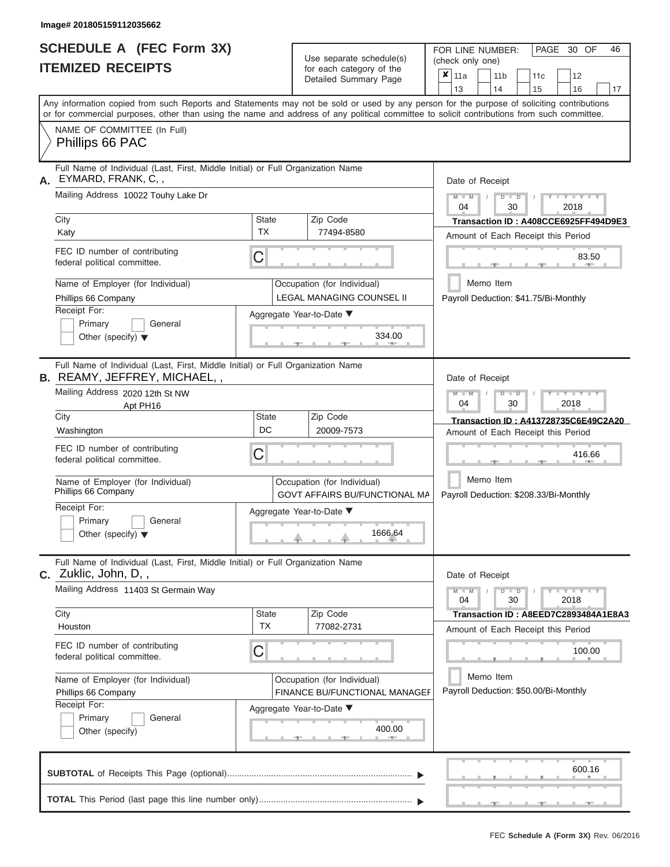|                          | <b>SCHEDULE A (FEC Form 3X)</b> |
|--------------------------|---------------------------------|
| <b>ITEMIZED RECEIPTS</b> |                                 |

Use separate schedule(s)<br>for each category of the

FOR LINE NUMBER:<br>(check only one)

PAGE 30 OF 46

| City                                                        | Any information copied from such Reports and Statements may not be sold or used by any person for the purpose of soliciting contributions<br>or for commercial purposes, other than using the name and address of any political committee to solicit contributions from such committee.<br>NAME OF COMMITTEE (In Full)<br>Phillips 66 PAC |                          |                                                                     | Detailed Summary Page                                               |                                      | 13                                                  |        | 14            | 15                                    | 16                                   | 17 |  |  |  |  |  |
|-------------------------------------------------------------|-------------------------------------------------------------------------------------------------------------------------------------------------------------------------------------------------------------------------------------------------------------------------------------------------------------------------------------------|--------------------------|---------------------------------------------------------------------|---------------------------------------------------------------------|--------------------------------------|-----------------------------------------------------|--------|---------------|---------------------------------------|--------------------------------------|----|--|--|--|--|--|
|                                                             |                                                                                                                                                                                                                                                                                                                                           |                          |                                                                     |                                                                     |                                      |                                                     |        |               |                                       |                                      |    |  |  |  |  |  |
|                                                             |                                                                                                                                                                                                                                                                                                                                           |                          |                                                                     |                                                                     |                                      |                                                     |        |               |                                       |                                      |    |  |  |  |  |  |
|                                                             |                                                                                                                                                                                                                                                                                                                                           |                          |                                                                     |                                                                     |                                      |                                                     |        |               |                                       |                                      |    |  |  |  |  |  |
|                                                             | Full Name of Individual (Last, First, Middle Initial) or Full Organization Name<br>EYMARD, FRANK, C,,                                                                                                                                                                                                                                     |                          |                                                                     |                                                                     |                                      | Date of Receipt                                     |        |               |                                       |                                      |    |  |  |  |  |  |
|                                                             | Mailing Address 10022 Touhy Lake Dr                                                                                                                                                                                                                                                                                                       |                          | $M - M$<br>$D$ $D$<br>$Y - Y - Y$<br>$\sqrt{ }$<br>04<br>30<br>2018 |                                                                     |                                      |                                                     |        |               |                                       |                                      |    |  |  |  |  |  |
|                                                             |                                                                                                                                                                                                                                                                                                                                           | <b>State</b>             |                                                                     | Zip Code                                                            | Transaction ID: A408CCE6925FF494D9E3 |                                                     |        |               |                                       |                                      |    |  |  |  |  |  |
|                                                             | Katy                                                                                                                                                                                                                                                                                                                                      | <b>TX</b>                |                                                                     | 77494-8580                                                          | Amount of Each Receipt this Period   |                                                     |        |               |                                       |                                      |    |  |  |  |  |  |
|                                                             | FEC ID number of contributing<br>federal political committee.                                                                                                                                                                                                                                                                             | C                        |                                                                     |                                                                     | 83.50<br>$1 - 400$<br>$-9 -$         |                                                     |        |               |                                       |                                      |    |  |  |  |  |  |
|                                                             | Name of Employer (for Individual)                                                                                                                                                                                                                                                                                                         |                          |                                                                     | Occupation (for Individual)                                         |                                      |                                                     |        | Memo Item     |                                       |                                      |    |  |  |  |  |  |
|                                                             | Phillips 66 Company                                                                                                                                                                                                                                                                                                                       |                          |                                                                     | LEGAL MANAGING COUNSEL II                                           |                                      |                                                     |        |               | Payroll Deduction: \$41.75/Bi-Monthly |                                      |    |  |  |  |  |  |
|                                                             | Receipt For:                                                                                                                                                                                                                                                                                                                              | Aggregate Year-to-Date ▼ |                                                                     |                                                                     |                                      |                                                     |        |               |                                       |                                      |    |  |  |  |  |  |
|                                                             | Primary<br>General                                                                                                                                                                                                                                                                                                                        |                          |                                                                     |                                                                     |                                      |                                                     |        |               |                                       |                                      |    |  |  |  |  |  |
| 334.00<br>Other (specify) $\blacktriangledown$<br>$-1$      |                                                                                                                                                                                                                                                                                                                                           |                          |                                                                     |                                                                     |                                      |                                                     |        |               |                                       |                                      |    |  |  |  |  |  |
|                                                             | Full Name of Individual (Last, First, Middle Initial) or Full Organization Name                                                                                                                                                                                                                                                           |                          |                                                                     |                                                                     |                                      |                                                     |        |               |                                       |                                      |    |  |  |  |  |  |
|                                                             | <b>B.</b> REAMY, JEFFREY, MICHAEL,,                                                                                                                                                                                                                                                                                                       |                          |                                                                     |                                                                     |                                      | Date of Receipt                                     |        |               |                                       |                                      |    |  |  |  |  |  |
|                                                             | Mailing Address 2020 12th St NW<br>Apt PH16                                                                                                                                                                                                                                                                                               |                          | $M - M$<br>$D$ $D$<br>Y TYTY<br>04<br>30<br>2018                    |                                                                     |                                      |                                                     |        |               |                                       |                                      |    |  |  |  |  |  |
| City                                                        |                                                                                                                                                                                                                                                                                                                                           | State                    |                                                                     | Zip Code                                                            |                                      |                                                     |        |               |                                       | Transaction ID: A413728735C6E49C2A20 |    |  |  |  |  |  |
|                                                             | Washington                                                                                                                                                                                                                                                                                                                                | <b>DC</b>                |                                                                     | 20009-7573                                                          |                                      |                                                     |        |               | Amount of Each Receipt this Period    |                                      |    |  |  |  |  |  |
|                                                             | FEC ID number of contributing<br>C<br>federal political committee.                                                                                                                                                                                                                                                                        |                          |                                                                     |                                                                     |                                      |                                                     | 416.66 |               |                                       |                                      |    |  |  |  |  |  |
|                                                             | Name of Employer (for Individual)<br>Phillips 66 Company                                                                                                                                                                                                                                                                                  |                          |                                                                     | Occupation (for Individual)<br><b>GOVT AFFAIRS BU/FUNCTIONAL MA</b> |                                      | Memo Item<br>Payroll Deduction: \$208.33/Bi-Monthly |        |               |                                       |                                      |    |  |  |  |  |  |
|                                                             | Receipt For:                                                                                                                                                                                                                                                                                                                              | Aggregate Year-to-Date ▼ |                                                                     |                                                                     |                                      |                                                     |        |               |                                       |                                      |    |  |  |  |  |  |
|                                                             | Primary<br>General<br>Other (specify) $\blacktriangledown$                                                                                                                                                                                                                                                                                |                          |                                                                     | 1666.64                                                             |                                      |                                                     |        |               |                                       |                                      |    |  |  |  |  |  |
|                                                             |                                                                                                                                                                                                                                                                                                                                           |                          |                                                                     |                                                                     |                                      |                                                     |        |               |                                       |                                      |    |  |  |  |  |  |
|                                                             | Full Name of Individual (Last, First, Middle Initial) or Full Organization Name<br><b>C.</b> Zuklic, John, D,,                                                                                                                                                                                                                            |                          |                                                                     |                                                                     |                                      | Date of Receipt                                     |        |               |                                       |                                      |    |  |  |  |  |  |
|                                                             | Mailing Address 11403 St Germain Way                                                                                                                                                                                                                                                                                                      |                          |                                                                     |                                                                     |                                      | $M - M$<br>04                                       |        | $D$ $D$<br>30 |                                       | $Y - Y - Y - Y$<br>2018              |    |  |  |  |  |  |
| City                                                        |                                                                                                                                                                                                                                                                                                                                           | State                    |                                                                     | Zip Code                                                            |                                      |                                                     |        |               |                                       | Transaction ID: A8EED7C2893484A1E8A3 |    |  |  |  |  |  |
|                                                             | Houston                                                                                                                                                                                                                                                                                                                                   | <b>TX</b>                |                                                                     | 77082-2731                                                          |                                      |                                                     |        |               | Amount of Each Receipt this Period    |                                      |    |  |  |  |  |  |
|                                                             | FEC ID number of contributing<br>federal political committee.                                                                                                                                                                                                                                                                             | C                        |                                                                     |                                                                     |                                      |                                                     |        |               |                                       | 100.00                               |    |  |  |  |  |  |
|                                                             | Name of Employer (for Individual)                                                                                                                                                                                                                                                                                                         |                          |                                                                     | Occupation (for Individual)                                         |                                      |                                                     |        | Memo Item     |                                       |                                      |    |  |  |  |  |  |
| <b>FINANCE BU/FUNCTIONAL MANAGEF</b><br>Phillips 66 Company |                                                                                                                                                                                                                                                                                                                                           |                          |                                                                     |                                                                     |                                      |                                                     |        |               | Payroll Deduction: \$50.00/Bi-Monthly |                                      |    |  |  |  |  |  |
|                                                             | Receipt For:                                                                                                                                                                                                                                                                                                                              | Aggregate Year-to-Date ▼ |                                                                     |                                                                     |                                      |                                                     |        |               |                                       |                                      |    |  |  |  |  |  |
|                                                             | Primary<br>General                                                                                                                                                                                                                                                                                                                        |                          |                                                                     |                                                                     |                                      |                                                     |        |               |                                       |                                      |    |  |  |  |  |  |
|                                                             | Other (specify)                                                                                                                                                                                                                                                                                                                           |                          |                                                                     | 400.00                                                              |                                      |                                                     |        |               |                                       |                                      |    |  |  |  |  |  |
|                                                             |                                                                                                                                                                                                                                                                                                                                           |                          |                                                                     |                                                                     |                                      |                                                     |        |               |                                       | 600.16                               |    |  |  |  |  |  |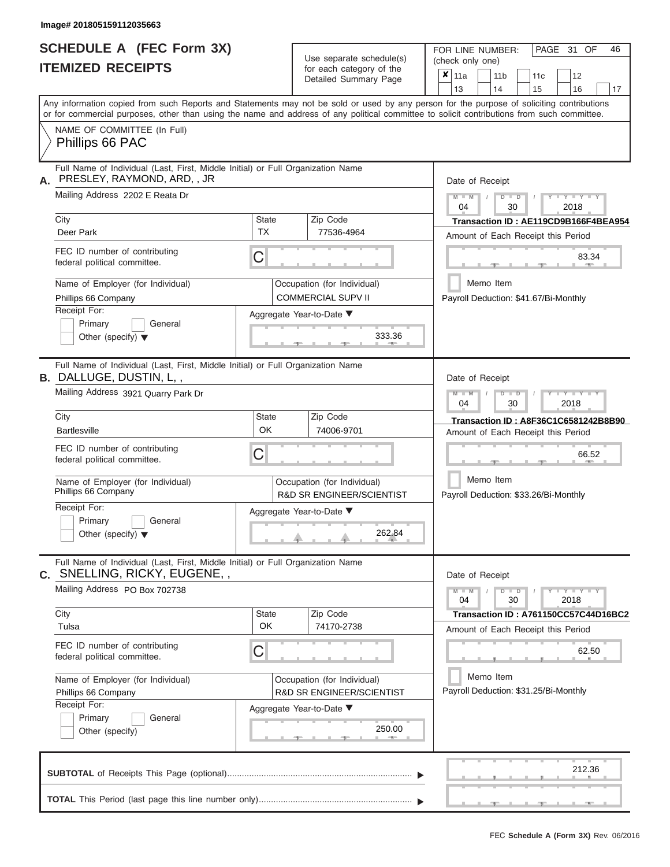|                          | <b>SCHEDULE A (FEC Form 3X)</b> |
|--------------------------|---------------------------------|
| <b>ITEMIZED RECEIPTS</b> |                                 |

Use separate schedule(s)<br>for each category of the

FOR LINE NUMBER:<br>(check only one)

PAGE 31 OF 46

| IILMILLU NLVLII IJ                                                                                                                        |                                                                                                                                            |                                                                  | Detailed Summary Page                                                                                 | ×                                                                   | 11a                                |                                                    | 11 <sub>b</sub> |       |               | 11c                                | 12 |                                                                            |    |  |  |  |  |  |
|-------------------------------------------------------------------------------------------------------------------------------------------|--------------------------------------------------------------------------------------------------------------------------------------------|------------------------------------------------------------------|-------------------------------------------------------------------------------------------------------|---------------------------------------------------------------------|------------------------------------|----------------------------------------------------|-----------------|-------|---------------|------------------------------------|----|----------------------------------------------------------------------------|----|--|--|--|--|--|
| Any information copied from such Reports and Statements may not be sold or used by any person for the purpose of soliciting contributions |                                                                                                                                            |                                                                  |                                                                                                       |                                                                     |                                    | 13                                                 |                 | 14    |               |                                    | 15 | 16                                                                         | 17 |  |  |  |  |  |
|                                                                                                                                           | or for commercial purposes, other than using the name and address of any political committee to solicit contributions from such committee. |                                                                  |                                                                                                       |                                                                     |                                    |                                                    |                 |       |               |                                    |    |                                                                            |    |  |  |  |  |  |
|                                                                                                                                           | NAME OF COMMITTEE (In Full)                                                                                                                |                                                                  |                                                                                                       |                                                                     |                                    |                                                    |                 |       |               |                                    |    |                                                                            |    |  |  |  |  |  |
|                                                                                                                                           | Phillips 66 PAC                                                                                                                            |                                                                  |                                                                                                       |                                                                     |                                    |                                                    |                 |       |               |                                    |    |                                                                            |    |  |  |  |  |  |
|                                                                                                                                           | Full Name of Individual (Last, First, Middle Initial) or Full Organization Name                                                            |                                                                  |                                                                                                       |                                                                     |                                    |                                                    |                 |       |               |                                    |    |                                                                            |    |  |  |  |  |  |
|                                                                                                                                           | PRESLEY, RAYMOND, ARD, , JR                                                                                                                |                                                                  |                                                                                                       |                                                                     | Date of Receipt                    |                                                    |                 |       |               |                                    |    |                                                                            |    |  |  |  |  |  |
| Mailing Address 2202 E Reata Dr                                                                                                           |                                                                                                                                            |                                                                  |                                                                                                       |                                                                     |                                    |                                                    |                 |       | $D$ $D$<br>30 |                                    |    | $- Y - Y$<br>2018                                                          |    |  |  |  |  |  |
|                                                                                                                                           | City                                                                                                                                       | <b>State</b>                                                     |                                                                                                       | Zip Code                                                            |                                    | Transaction ID: AE119CD9B166F4BEA954               |                 |       |               |                                    |    |                                                                            |    |  |  |  |  |  |
|                                                                                                                                           | Deer Park                                                                                                                                  | <b>TX</b>                                                        |                                                                                                       | 77536-4964                                                          | Amount of Each Receipt this Period |                                                    |                 |       |               |                                    |    |                                                                            |    |  |  |  |  |  |
|                                                                                                                                           | FEC ID number of contributing<br>federal political committee.                                                                              | C                                                                |                                                                                                       |                                                                     |                                    | 83.34                                              |                 |       |               |                                    |    |                                                                            |    |  |  |  |  |  |
|                                                                                                                                           | Name of Employer (for Individual)<br>Phillips 66 Company                                                                                   | Occupation (for Individual)<br><b>COMMERCIAL SUPV II</b>         |                                                                                                       |                                                                     |                                    |                                                    |                 |       | Memo Item     |                                    |    | Payroll Deduction: \$41.67/Bi-Monthly                                      |    |  |  |  |  |  |
|                                                                                                                                           | Receipt For:                                                                                                                               |                                                                  |                                                                                                       | Aggregate Year-to-Date ▼                                            |                                    |                                                    |                 |       |               |                                    |    |                                                                            |    |  |  |  |  |  |
|                                                                                                                                           | Primary<br>General<br>Other (specify) $\blacktriangledown$                                                                                 |                                                                  |                                                                                                       | 333.36                                                              |                                    |                                                    |                 |       |               |                                    |    |                                                                            |    |  |  |  |  |  |
|                                                                                                                                           |                                                                                                                                            |                                                                  |                                                                                                       |                                                                     |                                    |                                                    |                 |       |               |                                    |    |                                                                            |    |  |  |  |  |  |
|                                                                                                                                           | Full Name of Individual (Last, First, Middle Initial) or Full Organization Name                                                            |                                                                  |                                                                                                       |                                                                     |                                    |                                                    |                 |       |               |                                    |    |                                                                            |    |  |  |  |  |  |
| <b>B.</b> DALLUGE, DUSTIN, L,,                                                                                                            |                                                                                                                                            |                                                                  |                                                                                                       |                                                                     |                                    |                                                    | Date of Receipt |       |               |                                    |    |                                                                            |    |  |  |  |  |  |
|                                                                                                                                           | Mailing Address 3921 Quarry Park Dr                                                                                                        |                                                                  | $M - M$<br>$\overline{Y}$ $\overline{Y}$ $\overline{Y}$ $\overline{Y}$<br>$D$ $D$<br>04<br>30<br>2018 |                                                                     |                                    |                                                    |                 |       |               |                                    |    |                                                                            |    |  |  |  |  |  |
|                                                                                                                                           | City                                                                                                                                       | <b>State</b><br>OK                                               |                                                                                                       | Zip Code                                                            |                                    |                                                    |                 |       |               |                                    |    | Transaction ID: A8F36C1C6581242B8B90                                       |    |  |  |  |  |  |
|                                                                                                                                           | <b>Bartlesville</b>                                                                                                                        | 74006-9701                                                       |                                                                                                       |                                                                     |                                    |                                                    |                 |       |               | Amount of Each Receipt this Period |    |                                                                            |    |  |  |  |  |  |
|                                                                                                                                           | FEC ID number of contributing<br>federal political committee.                                                                              | С                                                                |                                                                                                       |                                                                     |                                    |                                                    |                 | 66.52 |               |                                    |    |                                                                            |    |  |  |  |  |  |
|                                                                                                                                           | Name of Employer (for Individual)<br>Phillips 66 Company                                                                                   |                                                                  |                                                                                                       | Occupation (for Individual)<br><b>R&amp;D SR ENGINEER/SCIENTIST</b> |                                    | Memo Item<br>Payroll Deduction: \$33.26/Bi-Monthly |                 |       |               |                                    |    |                                                                            |    |  |  |  |  |  |
|                                                                                                                                           | Receipt For:                                                                                                                               |                                                                  |                                                                                                       | Aggregate Year-to-Date ▼                                            |                                    |                                                    |                 |       |               |                                    |    |                                                                            |    |  |  |  |  |  |
|                                                                                                                                           | Primary<br>General<br>Other (specify) $\blacktriangledown$                                                                                 |                                                                  |                                                                                                       | 262.84                                                              |                                    |                                                    |                 |       |               |                                    |    |                                                                            |    |  |  |  |  |  |
|                                                                                                                                           | Full Name of Individual (Last, First, Middle Initial) or Full Organization Name                                                            |                                                                  |                                                                                                       |                                                                     |                                    |                                                    |                 |       |               |                                    |    |                                                                            |    |  |  |  |  |  |
| $\mathbf{C}$ .                                                                                                                            | SNELLING, RICKY, EUGENE,,                                                                                                                  |                                                                  |                                                                                                       |                                                                     |                                    | Date of Receipt                                    |                 |       |               |                                    |    |                                                                            |    |  |  |  |  |  |
|                                                                                                                                           | Mailing Address PO Box 702738                                                                                                              |                                                                  |                                                                                                       |                                                                     |                                    | $M - M$<br>04                                      |                 |       | $D$ $D$<br>30 |                                    |    | $\blacksquare \vdash Y \rightharpoonup \vdash Y \rightharpoonup Y$<br>2018 |    |  |  |  |  |  |
|                                                                                                                                           | City                                                                                                                                       | <b>State</b>                                                     |                                                                                                       | Zip Code                                                            |                                    |                                                    |                 |       |               |                                    |    | Transaction ID: A761150CC57C44D16BC2                                       |    |  |  |  |  |  |
|                                                                                                                                           | Tulsa                                                                                                                                      | OK                                                               |                                                                                                       | 74170-2738                                                          |                                    |                                                    |                 |       |               |                                    |    | Amount of Each Receipt this Period                                         |    |  |  |  |  |  |
| FEC ID number of contributing<br>С<br>federal political committee.                                                                        |                                                                                                                                            |                                                                  |                                                                                                       |                                                                     |                                    |                                                    |                 |       |               |                                    |    | 62.50                                                                      |    |  |  |  |  |  |
|                                                                                                                                           | Name of Employer (for Individual)                                                                                                          |                                                                  |                                                                                                       | Occupation (for Individual)                                         |                                    |                                                    | Memo Item       |       |               |                                    |    |                                                                            |    |  |  |  |  |  |
|                                                                                                                                           | Phillips 66 Company                                                                                                                        | <b>R&amp;D SR ENGINEER/SCIENTIST</b><br>Aggregate Year-to-Date ▼ |                                                                                                       |                                                                     |                                    |                                                    |                 |       |               |                                    |    | Payroll Deduction: \$31.25/Bi-Monthly                                      |    |  |  |  |  |  |
|                                                                                                                                           | Receipt For:                                                                                                                               |                                                                  |                                                                                                       |                                                                     |                                    |                                                    |                 |       |               |                                    |    |                                                                            |    |  |  |  |  |  |
|                                                                                                                                           | Primary<br>General                                                                                                                         |                                                                  |                                                                                                       |                                                                     |                                    |                                                    |                 |       |               |                                    |    |                                                                            |    |  |  |  |  |  |
|                                                                                                                                           | Other (specify)                                                                                                                            |                                                                  |                                                                                                       | 250.00                                                              |                                    |                                                    |                 |       |               |                                    |    |                                                                            |    |  |  |  |  |  |
|                                                                                                                                           |                                                                                                                                            |                                                                  |                                                                                                       |                                                                     |                                    |                                                    |                 |       |               |                                    |    |                                                                            |    |  |  |  |  |  |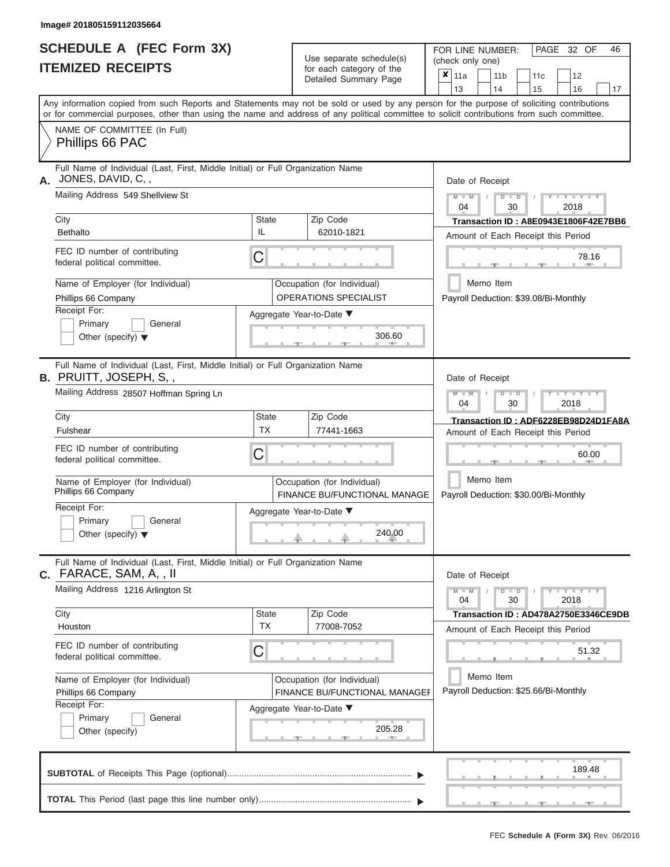|                          | <b>SCHEDULE A (FEC Form 3X)</b> |
|--------------------------|---------------------------------|
| <b>ITEMIZED RECEIPTS</b> |                                 |

Use separate schedule(s)<br>for each category of the

FOR LINE NUMBER:<br>(check only one)

PAGE 32 OF 46

|                                                                                                                                            |                                                              |                                                             | badii batogory<br>Detailed Summary Page                     | x               | 11a                                             |           | 11 <sub>b</sub> |               | 11c                                   | 12                                    |                                      |  |  |  |  |
|--------------------------------------------------------------------------------------------------------------------------------------------|--------------------------------------------------------------|-------------------------------------------------------------|-------------------------------------------------------------|-----------------|-------------------------------------------------|-----------|-----------------|---------------|---------------------------------------|---------------------------------------|--------------------------------------|--|--|--|--|
| Any information copied from such Reports and Statements may not be sold or used by any person for the purpose of soliciting contributions  |                                                              |                                                             |                                                             |                 | 13                                              |           | 14              |               | 15                                    | 16                                    | 17                                   |  |  |  |  |
| or for commercial purposes, other than using the name and address of any political committee to solicit contributions from such committee. |                                                              |                                                             |                                                             |                 |                                                 |           |                 |               |                                       |                                       |                                      |  |  |  |  |
| NAME OF COMMITTEE (In Full)<br>Phillips 66 PAC                                                                                             |                                                              |                                                             |                                                             |                 |                                                 |           |                 |               |                                       |                                       |                                      |  |  |  |  |
| Full Name of Individual (Last, First, Middle Initial) or Full Organization Name<br>A. JONES, DAVID, C,,                                    |                                                              |                                                             |                                                             | Date of Receipt |                                                 |           |                 |               |                                       |                                       |                                      |  |  |  |  |
| Mailing Address 549 Shellview St                                                                                                           |                                                              |                                                             |                                                             |                 | $M - M$<br>04                                   |           |                 | $D$ $D$<br>30 |                                       | $Y - Y - Y$<br>2018                   |                                      |  |  |  |  |
| City<br><b>Bethalto</b>                                                                                                                    | <b>State</b><br>IL.                                          |                                                             | Zip Code<br>62010-1821                                      |                 |                                                 |           |                 |               |                                       |                                       | Transaction ID: A8E0943E1806F42E7BB6 |  |  |  |  |
|                                                                                                                                            |                                                              |                                                             |                                                             |                 |                                                 |           |                 |               |                                       | Amount of Each Receipt this Period    |                                      |  |  |  |  |
| FEC ID number of contributing<br>federal political committee.                                                                              | С                                                            |                                                             |                                                             |                 |                                                 |           |                 |               |                                       |                                       | 78.16<br><b>ARC</b>                  |  |  |  |  |
| Name of Employer (for Individual)<br>Phillips 66 Company                                                                                   |                                                              | Occupation (for Individual)<br><b>OPERATIONS SPECIALIST</b> |                                                             |                 | Memo Item                                       |           |                 |               | Payroll Deduction: \$39.08/Bi-Monthly |                                       |                                      |  |  |  |  |
| Receipt For:                                                                                                                               |                                                              |                                                             | Aggregate Year-to-Date ▼                                    |                 |                                                 |           |                 |               |                                       |                                       |                                      |  |  |  |  |
| Primary<br>General<br>Other (specify) $\blacktriangledown$                                                                                 | 306.60                                                       |                                                             |                                                             |                 |                                                 |           |                 |               |                                       |                                       |                                      |  |  |  |  |
| Full Name of Individual (Last, First, Middle Initial) or Full Organization Name<br><b>B.</b> PRUITT, JOSEPH, S,,                           |                                                              | Date of Receipt                                             |                                                             |                 |                                                 |           |                 |               |                                       |                                       |                                      |  |  |  |  |
| Mailing Address 28507 Hoffman Spring Ln                                                                                                    |                                                              |                                                             |                                                             |                 | $M - M$<br>Y TYT<br>$D$ $D$<br>30<br>2018<br>04 |           |                 |               |                                       |                                       |                                      |  |  |  |  |
| City                                                                                                                                       | <b>State</b>                                                 |                                                             | Zip Code                                                    |                 |                                                 |           |                 |               |                                       |                                       | Transaction ID: ADF6228EB98D24D1FA8A |  |  |  |  |
| Fulshear                                                                                                                                   | <b>TX</b>                                                    |                                                             | 77441-1663                                                  |                 |                                                 |           |                 |               |                                       | Amount of Each Receipt this Period    |                                      |  |  |  |  |
| FEC ID number of contributing<br>federal political committee.                                                                              |                                                              |                                                             |                                                             |                 |                                                 |           |                 |               | 60.00                                 |                                       |                                      |  |  |  |  |
| Name of Employer (for Individual)<br>Phillips 66 Company                                                                                   |                                                              |                                                             | Occupation (for Individual)<br>FINANCE BU/FUNCTIONAL MANAGE |                 |                                                 | Memo Item |                 |               |                                       | Payroll Deduction: \$30.00/Bi-Monthly |                                      |  |  |  |  |
| Receipt For:<br>Primary<br>General<br>Other (specify) $\blacktriangledown$                                                                 |                                                              |                                                             | Aggregate Year-to-Date ▼<br>240.00                          |                 |                                                 |           |                 |               |                                       |                                       |                                      |  |  |  |  |
| Full Name of Individual (Last, First, Middle Initial) or Full Organization Name<br>C. FARACE, SAM, A, , II                                 |                                                              |                                                             |                                                             |                 | Date of Receipt                                 |           |                 |               |                                       |                                       |                                      |  |  |  |  |
| Mailing Address 1216 Arlington St                                                                                                          |                                                              |                                                             |                                                             |                 | $M - M$<br>04                                   |           |                 | $D$ $D$<br>30 |                                       | $Y - Y - Y - Y - Y$<br>2018           |                                      |  |  |  |  |
| City                                                                                                                                       | <b>State</b><br><b>TX</b>                                    |                                                             | Zip Code<br>77008-7052                                      |                 |                                                 |           |                 |               |                                       |                                       | Transaction ID: AD478A2750E3346CE9DB |  |  |  |  |
| Houston                                                                                                                                    |                                                              |                                                             |                                                             |                 |                                                 |           |                 |               |                                       | Amount of Each Receipt this Period    |                                      |  |  |  |  |
| FEC ID number of contributing<br>federal political committee.                                                                              | С                                                            |                                                             |                                                             |                 |                                                 |           |                 |               |                                       |                                       | 51.32                                |  |  |  |  |
| Name of Employer (for Individual)<br>Phillips 66 Company                                                                                   | Occupation (for Individual)<br>FINANCE BU/FUNCTIONAL MANAGEF |                                                             | Memo Item<br>Payroll Deduction: \$25.66/Bi-Monthly          |                 |                                                 |           |                 |               |                                       |                                       |                                      |  |  |  |  |
| Receipt For:                                                                                                                               | Aggregate Year-to-Date ▼                                     |                                                             |                                                             |                 |                                                 |           |                 |               |                                       |                                       |                                      |  |  |  |  |
| Primary<br>General<br>Other (specify)                                                                                                      |                                                              |                                                             | 205.28                                                      |                 |                                                 |           |                 |               |                                       |                                       |                                      |  |  |  |  |
|                                                                                                                                            |                                                              |                                                             |                                                             |                 |                                                 |           |                 |               |                                       |                                       | 189.48                               |  |  |  |  |
|                                                                                                                                            |                                                              |                                                             |                                                             |                 |                                                 |           |                 |               |                                       |                                       |                                      |  |  |  |  |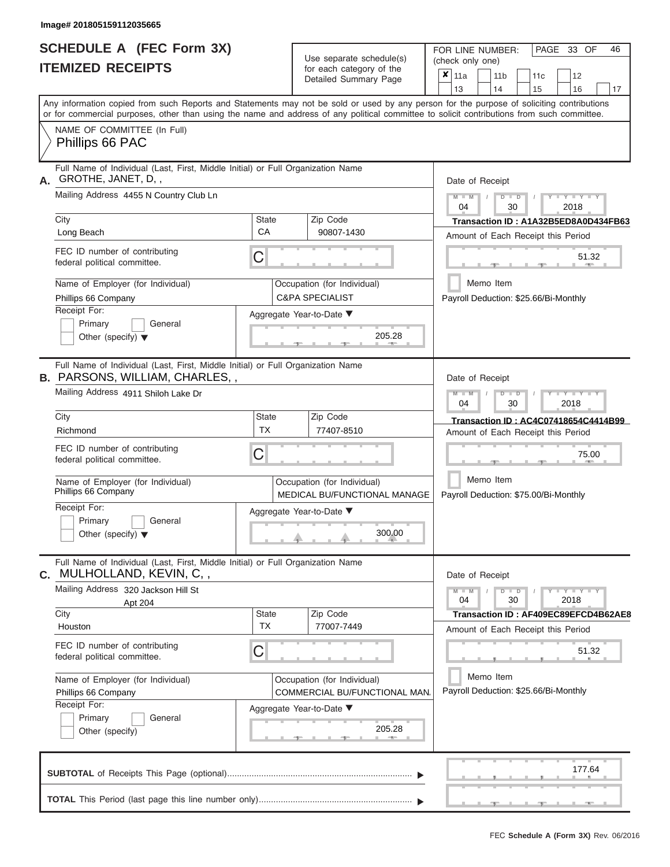ı

|                          | SCHEDULE A (FEC Form 3X) |
|--------------------------|--------------------------|
| <b>ITEMIZED RECEIPTS</b> |                          |

Use separate schedule(s)<br>for each category of the

FOR LINE NUMBER:

PAGE 33 OF 46

| <b>ITEMIZED RECEIPTS</b>                                                                                                                   |                    | Use separate schedule(s)                                     | (check only one)                                                                                                                          |  |  |  |  |  |  |  |
|--------------------------------------------------------------------------------------------------------------------------------------------|--------------------|--------------------------------------------------------------|-------------------------------------------------------------------------------------------------------------------------------------------|--|--|--|--|--|--|--|
|                                                                                                                                            |                    | for each category of the<br>Detailed Summary Page            | $\overline{\mathbf{x}}$   11a<br>12<br>11 <sub>b</sub><br>11 <sub>c</sub><br>13<br>14<br>17<br>15<br>16                                   |  |  |  |  |  |  |  |
| or for commercial purposes, other than using the name and address of any political committee to solicit contributions from such committee. |                    |                                                              | Any information copied from such Reports and Statements may not be sold or used by any person for the purpose of soliciting contributions |  |  |  |  |  |  |  |
| NAME OF COMMITTEE (In Full)<br>Phillips 66 PAC                                                                                             |                    |                                                              |                                                                                                                                           |  |  |  |  |  |  |  |
| Full Name of Individual (Last, First, Middle Initial) or Full Organization Name<br>GROTHE, JANET, D,,<br>А.                                |                    |                                                              | Date of Receipt                                                                                                                           |  |  |  |  |  |  |  |
| Mailing Address 4455 N Country Club Ln                                                                                                     |                    |                                                              | $Y = Y = Y$<br>$\Box$<br>D<br>04<br>30<br>2018                                                                                            |  |  |  |  |  |  |  |
| City<br>Long Beach                                                                                                                         | <b>State</b><br>CA | Zip Code<br>90807-1430                                       | Transaction ID: A1A32B5ED8A0D434FB63<br>Amount of Each Receipt this Period                                                                |  |  |  |  |  |  |  |
| FEC ID number of contributing<br>federal political committee.                                                                              | C                  |                                                              | 51.32                                                                                                                                     |  |  |  |  |  |  |  |
| Name of Employer (for Individual)<br>Phillips 66 Company                                                                                   |                    | Occupation (for Individual)<br><b>C&amp;PA SPECIALIST</b>    | Memo Item<br>Payroll Deduction: \$25.66/Bi-Monthly                                                                                        |  |  |  |  |  |  |  |
| Receipt For:<br>Primary<br>General<br>Other (specify) $\blacktriangledown$                                                                 |                    | Aggregate Year-to-Date ▼<br>205.28                           |                                                                                                                                           |  |  |  |  |  |  |  |
| Full Name of Individual (Last, First, Middle Initial) or Full Organization Name<br><b>B.</b> PARSONS, WILLIAM, CHARLES,,                   |                    |                                                              | Date of Receipt                                                                                                                           |  |  |  |  |  |  |  |
| Mailing Address 4911 Shiloh Lake Dr<br>City                                                                                                | State              | Zip Code                                                     | $-Y - Y - Y - Y$<br>$\Box$<br>04<br>30<br>2018                                                                                            |  |  |  |  |  |  |  |
| Richmond                                                                                                                                   | <b>TX</b>          | 77407-8510                                                   | Transaction ID: AC4C07418654C4414B99<br>Amount of Each Receipt this Period                                                                |  |  |  |  |  |  |  |
| FEC ID number of contributing<br>federal political committee.                                                                              | C                  |                                                              | 75.00                                                                                                                                     |  |  |  |  |  |  |  |
| Name of Employer (for Individual)<br>Phillips 66 Company                                                                                   |                    | Occupation (for Individual)<br>MEDICAL BU/FUNCTIONAL MANAGE  | Memo Item<br>Payroll Deduction: \$75.00/Bi-Monthly                                                                                        |  |  |  |  |  |  |  |
| Receipt For:<br>Primary<br>General<br>Other (specify) $\blacktriangledown$                                                                 |                    | Aggregate Year-to-Date ▼<br>300.00                           |                                                                                                                                           |  |  |  |  |  |  |  |
| Full Name of Individual (Last, First, Middle Initial) or Full Organization Name<br>C. MULHOLLAND, KEVIN, C,,                               |                    |                                                              | Date of Receipt                                                                                                                           |  |  |  |  |  |  |  |
| Mailing Address 320 Jackson Hill St<br>Apt 204                                                                                             |                    |                                                              | $Y = Y + Y$<br>$\Box$<br>ъ<br>04<br>30<br>2018                                                                                            |  |  |  |  |  |  |  |
| City<br>Houston                                                                                                                            | <b>State</b><br>ТX | Zip Code<br>77007-7449                                       | Transaction ID: AF409EC89EFCD4B62AE8<br>Amount of Each Receipt this Period                                                                |  |  |  |  |  |  |  |
| FEC ID number of contributing<br>federal political committee.                                                                              | C                  |                                                              | 51.32                                                                                                                                     |  |  |  |  |  |  |  |
| Name of Employer (for Individual)<br>Phillips 66 Company<br>Receipt For:                                                                   |                    | Occupation (for Individual)<br>COMMERCIAL BU/FUNCTIONAL MAN. | Memo Item<br>Payroll Deduction: \$25.66/Bi-Monthly                                                                                        |  |  |  |  |  |  |  |
| Primary<br>General<br>Other (specify)                                                                                                      |                    | Aggregate Year-to-Date ▼<br>205.28                           |                                                                                                                                           |  |  |  |  |  |  |  |
|                                                                                                                                            |                    |                                                              | 177.64                                                                                                                                    |  |  |  |  |  |  |  |
|                                                                                                                                            |                    |                                                              |                                                                                                                                           |  |  |  |  |  |  |  |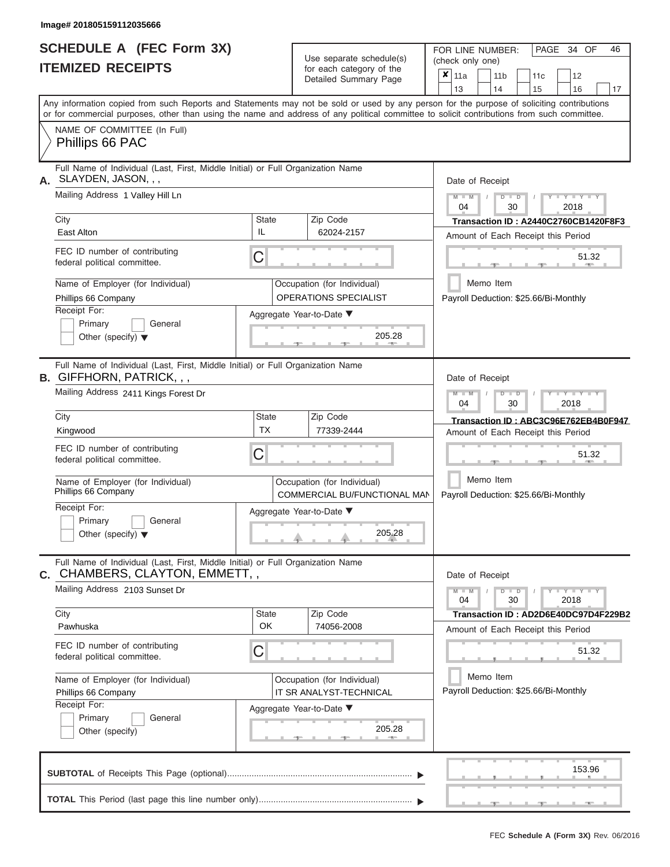|                          | <b>SCHEDULE A (FEC Form 3X)</b> |
|--------------------------|---------------------------------|
| <b>ITEMIZED RECEIPTS</b> |                                 |

Use separate schedule(s)<br>for each category of the

FOR LINE NUMBER:

PAGE 34 OF 46

| <b>ITEMIZED RECEIPTS</b>                                                                                                |                                                                                                                                                                                                                                                                                         |                                                                                                                                                               | Use separate schedule(s)                                    |        | (check only one)     |                                                                            |                         |                                                    |                       |                                       |                                      |  |  |  |
|-------------------------------------------------------------------------------------------------------------------------|-----------------------------------------------------------------------------------------------------------------------------------------------------------------------------------------------------------------------------------------------------------------------------------------|---------------------------------------------------------------------------------------------------------------------------------------------------------------|-------------------------------------------------------------|--------|----------------------|----------------------------------------------------------------------------|-------------------------|----------------------------------------------------|-----------------------|---------------------------------------|--------------------------------------|--|--|--|
|                                                                                                                         |                                                                                                                                                                                                                                                                                         |                                                                                                                                                               | for each category of the<br>Detailed Summary Page           |        |                      | $x _{11a}$<br>13                                                           | 11 <sub>b</sub><br>14   |                                                    | 11 <sub>c</sub><br>15 | 12<br>16                              | 17                                   |  |  |  |
|                                                                                                                         | Any information copied from such Reports and Statements may not be sold or used by any person for the purpose of soliciting contributions<br>or for commercial purposes, other than using the name and address of any political committee to solicit contributions from such committee. |                                                                                                                                                               |                                                             |        |                      |                                                                            |                         |                                                    |                       |                                       |                                      |  |  |  |
|                                                                                                                         | NAME OF COMMITTEE (In Full)<br>Phillips 66 PAC                                                                                                                                                                                                                                          |                                                                                                                                                               |                                                             |        |                      |                                                                            |                         |                                                    |                       |                                       |                                      |  |  |  |
| А.                                                                                                                      | Full Name of Individual (Last, First, Middle Initial) or Full Organization Name<br>SLAYDEN, JASON, , ,                                                                                                                                                                                  |                                                                                                                                                               |                                                             |        |                      | Date of Receipt                                                            |                         |                                                    |                       |                                       |                                      |  |  |  |
|                                                                                                                         | Mailing Address 1 Valley Hill Ln                                                                                                                                                                                                                                                        |                                                                                                                                                               |                                                             |        |                      | $M - M$<br>04                                                              |                         | $D$ $\Box$ $D$<br>30                               |                       | $-Y - Y - Y - Y$<br>2018              |                                      |  |  |  |
|                                                                                                                         | City<br>East Alton                                                                                                                                                                                                                                                                      | <b>State</b><br>IL                                                                                                                                            | Zip Code<br>62024-2157                                      |        |                      |                                                                            |                         |                                                    |                       | Amount of Each Receipt this Period    | Transaction ID: A2440C2760CB1420F8F3 |  |  |  |
|                                                                                                                         | FEC ID number of contributing<br>federal political committee.                                                                                                                                                                                                                           | C                                                                                                                                                             |                                                             |        |                      |                                                                            |                         |                                                    |                       | 51.32                                 |                                      |  |  |  |
| Name of Employer (for Individual)<br>Occupation (for Individual)<br><b>OPERATIONS SPECIALIST</b><br>Phillips 66 Company |                                                                                                                                                                                                                                                                                         |                                                                                                                                                               |                                                             |        |                      |                                                                            | Memo Item               |                                                    |                       | Payroll Deduction: \$25.66/Bi-Monthly |                                      |  |  |  |
|                                                                                                                         | Receipt For:<br>Primary<br>General<br>Other (specify) $\blacktriangledown$                                                                                                                                                                                                              | Aggregate Year-to-Date ▼                                                                                                                                      | 205.28                                                      |        |                      |                                                                            |                         |                                                    |                       |                                       |                                      |  |  |  |
|                                                                                                                         | Full Name of Individual (Last, First, Middle Initial) or Full Organization Name<br><b>B.</b> GIFFHORN, PATRICK, , ,                                                                                                                                                                     |                                                                                                                                                               |                                                             |        |                      | Date of Receipt                                                            |                         |                                                    |                       |                                       |                                      |  |  |  |
|                                                                                                                         | Mailing Address 2411 Kings Forest Dr                                                                                                                                                                                                                                                    |                                                                                                                                                               | $M - M$<br>04                                               |        | $D$ $\Box$ $D$<br>30 |                                                                            | $T - Y = Y + Y$<br>2018 |                                                    |                       |                                       |                                      |  |  |  |
|                                                                                                                         | City<br>Kingwood                                                                                                                                                                                                                                                                        | State<br><b>TX</b>                                                                                                                                            | Zip Code<br>77339-2444                                      |        |                      | Transaction ID: ABC3C96E762EB4B0F947<br>Amount of Each Receipt this Period |                         |                                                    |                       |                                       |                                      |  |  |  |
|                                                                                                                         | FEC ID number of contributing<br>federal political committee.                                                                                                                                                                                                                           |                                                                                                                                                               |                                                             |        |                      |                                                                            |                         |                                                    | 51.32                 |                                       |                                      |  |  |  |
|                                                                                                                         | Name of Employer (for Individual)<br>Phillips 66 Company                                                                                                                                                                                                                                |                                                                                                                                                               | Occupation (for Individual)<br>COMMERCIAL BU/FUNCTIONAL MAN |        |                      | Memo Item<br>Payroll Deduction: \$25.66/Bi-Monthly                         |                         |                                                    |                       |                                       |                                      |  |  |  |
|                                                                                                                         | Receipt For:<br>Primary<br>General<br>Other (specify) $\blacktriangledown$                                                                                                                                                                                                              |                                                                                                                                                               | Aggregate Year-to-Date ▼                                    | 205.28 |                      |                                                                            |                         |                                                    |                       |                                       |                                      |  |  |  |
|                                                                                                                         | Full Name of Individual (Last, First, Middle Initial) or Full Organization Name<br><b>C.</b> CHAMBERS, CLAYTON, EMMETT, ,                                                                                                                                                               |                                                                                                                                                               |                                                             |        |                      | Date of Receipt                                                            |                         |                                                    |                       |                                       |                                      |  |  |  |
|                                                                                                                         | Mailing Address 2103 Sunset Dr                                                                                                                                                                                                                                                          |                                                                                                                                                               |                                                             |        |                      | $M - M$<br>04                                                              |                         | $D$ $D$<br>30                                      |                       | $Y - Y - Y - Y - Y$<br>2018           |                                      |  |  |  |
|                                                                                                                         | City<br>Pawhuska                                                                                                                                                                                                                                                                        | State<br>OK                                                                                                                                                   | Zip Code<br>74056-2008                                      |        |                      |                                                                            |                         |                                                    |                       | Amount of Each Receipt this Period    | Transaction ID: AD2D6E40DC97D4F229B2 |  |  |  |
|                                                                                                                         | FEC ID number of contributing<br>federal political committee.                                                                                                                                                                                                                           | C                                                                                                                                                             |                                                             |        |                      |                                                                            |                         |                                                    |                       | 51.32                                 |                                      |  |  |  |
|                                                                                                                         | Name of Employer (for Individual)<br>Phillips 66 Company                                                                                                                                                                                                                                | Occupation (for Individual)<br>IT SR ANALYST-TECHNICAL<br>Receipt For:<br>Aggregate Year-to-Date ▼<br>Primary<br>General<br>205.28<br>Other (specify)<br>$-1$ |                                                             |        |                      |                                                                            |                         | Memo Item<br>Payroll Deduction: \$25.66/Bi-Monthly |                       |                                       |                                      |  |  |  |
|                                                                                                                         |                                                                                                                                                                                                                                                                                         |                                                                                                                                                               |                                                             |        |                      |                                                                            |                         |                                                    |                       |                                       |                                      |  |  |  |
|                                                                                                                         |                                                                                                                                                                                                                                                                                         |                                                                                                                                                               |                                                             |        |                      |                                                                            |                         |                                                    |                       | 153.96                                |                                      |  |  |  |
|                                                                                                                         |                                                                                                                                                                                                                                                                                         |                                                                                                                                                               |                                                             |        |                      |                                                                            |                         |                                                    |                       |                                       |                                      |  |  |  |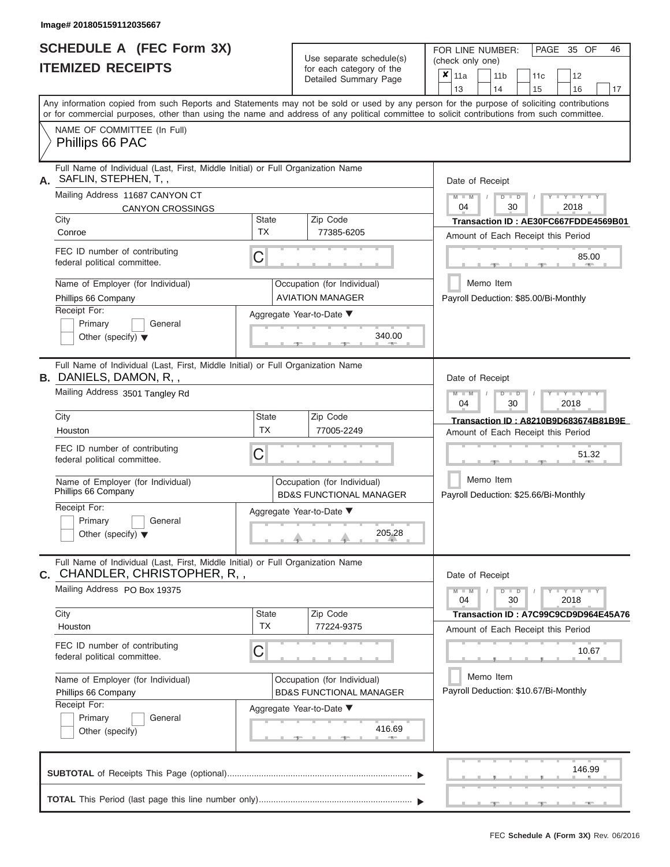# **SCHEDULE A (FEC Form 3X)**

FOR LINE NUMBER:

| <b>ITEMIZED RECEIPTS</b> |                                                                                                                                                                                                                                                                                         |                                                                   | Use separate schedule(s)<br>for each category of the<br>Detailed Summary Page | (check only one)<br>$x _{11a}$<br>13 |                                                                            |  | 11 <sub>b</sub><br>14                              |      | 11c<br>15 |      | 12<br>16               | 17                                   |  |
|--------------------------|-----------------------------------------------------------------------------------------------------------------------------------------------------------------------------------------------------------------------------------------------------------------------------------------|-------------------------------------------------------------------|-------------------------------------------------------------------------------|--------------------------------------|----------------------------------------------------------------------------|--|----------------------------------------------------|------|-----------|------|------------------------|--------------------------------------|--|
|                          | Any information copied from such Reports and Statements may not be sold or used by any person for the purpose of soliciting contributions<br>or for commercial purposes, other than using the name and address of any political committee to solicit contributions from such committee. |                                                                   |                                                                               |                                      |                                                                            |  |                                                    |      |           |      |                        |                                      |  |
|                          | NAME OF COMMITTEE (In Full)<br>Phillips 66 PAC                                                                                                                                                                                                                                          |                                                                   |                                                                               |                                      |                                                                            |  |                                                    |      |           |      |                        |                                      |  |
| А.                       | Full Name of Individual (Last, First, Middle Initial) or Full Organization Name<br>SAFLIN, STEPHEN, T,,                                                                                                                                                                                 |                                                                   |                                                                               |                                      |                                                                            |  | Date of Receipt                                    |      |           |      |                        |                                      |  |
|                          | Mailing Address 11687 CANYON CT<br><b>CANYON CROSSINGS</b>                                                                                                                                                                                                                              |                                                                   |                                                                               |                                      | $M - M$<br>04                                                              |  | $D$ $D$<br>30                                      |      |           | 2018 | $Y - Y - Y$            |                                      |  |
|                          | City<br>Conroe                                                                                                                                                                                                                                                                          | <b>State</b><br><b>TX</b>                                         | Zip Code<br>77385-6205                                                        |                                      |                                                                            |  | Amount of Each Receipt this Period                 |      |           |      |                        | Transaction ID: AE30FC667FDDE4569B01 |  |
|                          | FEC ID number of contributing<br>federal political committee.                                                                                                                                                                                                                           | С                                                                 |                                                                               |                                      |                                                                            |  |                                                    |      |           |      | 85.00                  |                                      |  |
|                          | Name of Employer (for Individual)<br>Phillips 66 Company                                                                                                                                                                                                                                |                                                                   | Occupation (for Individual)<br><b>AVIATION MANAGER</b>                        |                                      |                                                                            |  | Memo Item<br>Payroll Deduction: \$85.00/Bi-Monthly |      |           |      |                        |                                      |  |
|                          | Receipt For:<br>Primary<br>General<br>Other (specify) $\blacktriangledown$                                                                                                                                                                                                              | Aggregate Year-to-Date ▼<br>340.00                                |                                                                               |                                      |                                                                            |  |                                                    |      |           |      |                        |                                      |  |
|                          | Full Name of Individual (Last, First, Middle Initial) or Full Organization Name<br><b>B.</b> DANIELS, DAMON, R, ,                                                                                                                                                                       |                                                                   |                                                                               |                                      |                                                                            |  | Date of Receipt                                    |      |           |      |                        |                                      |  |
|                          | Mailing Address 3501 Tangley Rd                                                                                                                                                                                                                                                         |                                                                   | $M$ $M$<br>04                                                                 |                                      | $\Box$<br>т<br>30                                                          |  |                                                    | 2018 | Y TYT     |      |                        |                                      |  |
|                          | City<br>Houston                                                                                                                                                                                                                                                                         | State<br><b>TX</b>                                                | Zip Code<br>77005-2249                                                        |                                      | Transaction ID: A8210B9D683674B81B9E<br>Amount of Each Receipt this Period |  |                                                    |      |           |      |                        |                                      |  |
|                          | FEC ID number of contributing<br>federal political committee.                                                                                                                                                                                                                           | С                                                                 |                                                                               |                                      |                                                                            |  |                                                    |      |           |      | 51.32                  |                                      |  |
|                          | Name of Employer (for Individual)<br>Phillips 66 Company                                                                                                                                                                                                                                |                                                                   | Occupation (for Individual)<br><b>BD&amp;S FUNCTIONAL MANAGER</b>             |                                      |                                                                            |  | Memo Item<br>Payroll Deduction: \$25.66/Bi-Monthly |      |           |      |                        |                                      |  |
|                          | Receipt For:<br>Primary<br>General<br>Other (specify) $\blacktriangledown$                                                                                                                                                                                                              | Aggregate Year-to-Date ▼<br>205.28                                |                                                                               |                                      |                                                                            |  |                                                    |      |           |      |                        |                                      |  |
|                          | Full Name of Individual (Last, First, Middle Initial) or Full Organization Name<br><b>c.</b> CHANDLER, CHRISTOPHER, R, ,                                                                                                                                                                |                                                                   |                                                                               |                                      |                                                                            |  | Date of Receipt                                    |      |           |      |                        |                                      |  |
|                          | Mailing Address PO Box 19375                                                                                                                                                                                                                                                            |                                                                   |                                                                               |                                      | $M - M$<br>04                                                              |  | $D$ $D$<br>30                                      |      |           | 2018 | $Y = Y = Y' + Y' + Y'$ |                                      |  |
|                          | City<br>Houston                                                                                                                                                                                                                                                                         | <b>State</b><br><b>TX</b>                                         | Zip Code<br>77224-9375                                                        |                                      |                                                                            |  | Amount of Each Receipt this Period                 |      |           |      |                        | Transaction ID: A7C99C9CD9D964E45A76 |  |
|                          | FEC ID number of contributing<br>C<br>federal political committee.                                                                                                                                                                                                                      |                                                                   |                                                                               |                                      |                                                                            |  |                                                    |      |           |      | 10.67                  |                                      |  |
|                          | Name of Employer (for Individual)<br>Phillips 66 Company                                                                                                                                                                                                                                | Occupation (for Individual)<br><b>BD&amp;S FUNCTIONAL MANAGER</b> | Memo Item<br>Payroll Deduction: \$10.67/Bi-Monthly                            |                                      |                                                                            |  |                                                    |      |           |      |                        |                                      |  |
|                          | Primary<br>General<br>Other (specify)                                                                                                                                                                                                                                                   | Receipt For:<br>Aggregate Year-to-Date ▼<br>416.69                |                                                                               |                                      |                                                                            |  |                                                    |      |           |      |                        |                                      |  |
|                          |                                                                                                                                                                                                                                                                                         |                                                                   |                                                                               |                                      |                                                                            |  |                                                    |      |           |      | 146.99                 |                                      |  |
|                          |                                                                                                                                                                                                                                                                                         |                                                                   |                                                                               |                                      |                                                                            |  |                                                    |      |           |      |                        |                                      |  |

PAGE 35 OF 46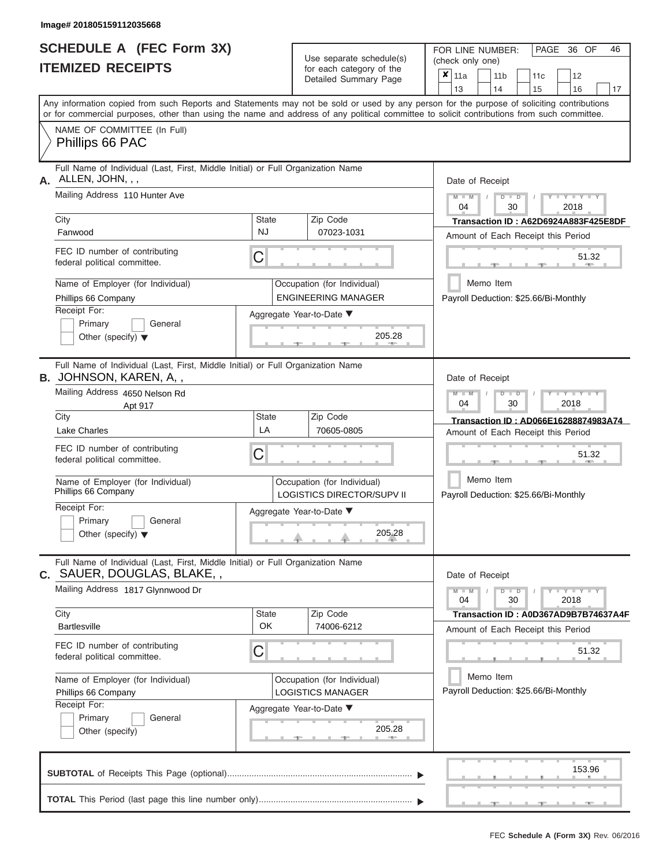ı

|                          | <b>SCHEDULE A (FEC Form 3X)</b> |
|--------------------------|---------------------------------|
| <b>ITEMIZED RECEIPTS</b> |                                 |

Use separate schedule(s)<br>for each category of the

FOR LINE NUMBER:

PAGE 36 OF 46

| <b>ITEMIZED RECEIPTS</b>                                                                                                                   |                           | Use separate schedule(s)                                         | (check only one)                                                                                                                          |
|--------------------------------------------------------------------------------------------------------------------------------------------|---------------------------|------------------------------------------------------------------|-------------------------------------------------------------------------------------------------------------------------------------------|
|                                                                                                                                            |                           | for each category of the<br>Detailed Summary Page                | $x \vert_{11a}$<br>12<br>11 <sub>b</sub><br>11 <sub>c</sub><br>13<br>14<br>15<br>16<br>17                                                 |
| or for commercial purposes, other than using the name and address of any political committee to solicit contributions from such committee. |                           |                                                                  | Any information copied from such Reports and Statements may not be sold or used by any person for the purpose of soliciting contributions |
| NAME OF COMMITTEE (In Full)<br>Phillips 66 PAC                                                                                             |                           |                                                                  |                                                                                                                                           |
| Full Name of Individual (Last, First, Middle Initial) or Full Organization Name<br>ALLEN, JOHN, , ,<br>А.                                  |                           |                                                                  | Date of Receipt                                                                                                                           |
| Mailing Address 110 Hunter Ave                                                                                                             |                           |                                                                  | $+Y+Y+Y$<br>$M - M$<br>$D$ $\Box$ $D$<br>04<br>30<br>2018                                                                                 |
| City<br>Fanwood                                                                                                                            | <b>State</b><br><b>NJ</b> | Zip Code<br>07023-1031                                           | Transaction ID: A62D6924A883F425E8DF<br>Amount of Each Receipt this Period                                                                |
| FEC ID number of contributing<br>federal political committee.                                                                              | C                         |                                                                  | 51.32                                                                                                                                     |
| Name of Employer (for Individual)<br>Phillips 66 Company                                                                                   |                           | Occupation (for Individual)<br><b>ENGINEERING MANAGER</b>        | Memo Item<br>Payroll Deduction: \$25.66/Bi-Monthly                                                                                        |
| Receipt For:<br>Primary<br>General<br>Other (specify) $\blacktriangledown$                                                                 |                           | Aggregate Year-to-Date ▼<br>205.28                               |                                                                                                                                           |
| Full Name of Individual (Last, First, Middle Initial) or Full Organization Name<br><b>B.</b> JOHNSON, KAREN, A, ,                          |                           |                                                                  | Date of Receipt                                                                                                                           |
| Mailing Address 4650 Nelson Rd<br>Apt 917                                                                                                  |                           |                                                                  | $M - M$<br>$T - Y = Y + Y$<br>$D$ $\Box$ $D$<br>04<br>30<br>2018                                                                          |
| City<br><b>Lake Charles</b>                                                                                                                | State<br>LA               | Zip Code<br>70605-0805                                           | Transaction ID: AD066E16288874983A74<br>Amount of Each Receipt this Period                                                                |
| FEC ID number of contributing<br>federal political committee.                                                                              | С                         |                                                                  | 51.32                                                                                                                                     |
| Name of Employer (for Individual)<br>Phillips 66 Company                                                                                   |                           | Occupation (for Individual)<br><b>LOGISTICS DIRECTOR/SUPV II</b> | Memo Item<br>Payroll Deduction: \$25.66/Bi-Monthly                                                                                        |
| Receipt For:<br>Primary<br>General<br>Other (specify) $\blacktriangledown$                                                                 |                           | Aggregate Year-to-Date ▼<br>205.28                               |                                                                                                                                           |
| Full Name of Individual (Last, First, Middle Initial) or Full Organization Name<br><b>c.</b> SAUER, DOUGLAS, BLAKE, ,                      |                           |                                                                  | Date of Receipt                                                                                                                           |
| Mailing Address 1817 Glynnwood Dr                                                                                                          |                           |                                                                  | $Y - Y - Y - Y - Y$<br>$M - M$<br>$D$ $D$<br>04<br>30<br>2018                                                                             |
| City<br><b>Bartlesville</b>                                                                                                                | <b>State</b><br>OK        | Zip Code<br>74006-6212                                           | Transaction ID: A0D367AD9B7B74637A4F<br>Amount of Each Receipt this Period                                                                |
| FEC ID number of contributing<br>federal political committee.                                                                              | C                         |                                                                  | 51.32                                                                                                                                     |
| Name of Employer (for Individual)<br>Phillips 66 Company                                                                                   |                           | Occupation (for Individual)<br><b>LOGISTICS MANAGER</b>          | Memo Item<br>Payroll Deduction: \$25.66/Bi-Monthly                                                                                        |
| Receipt For:<br>Primary<br>General<br>Other (specify)                                                                                      |                           | Aggregate Year-to-Date ▼<br>205.28<br>$-$                        |                                                                                                                                           |
|                                                                                                                                            |                           |                                                                  | 153.96                                                                                                                                    |
|                                                                                                                                            |                           |                                                                  |                                                                                                                                           |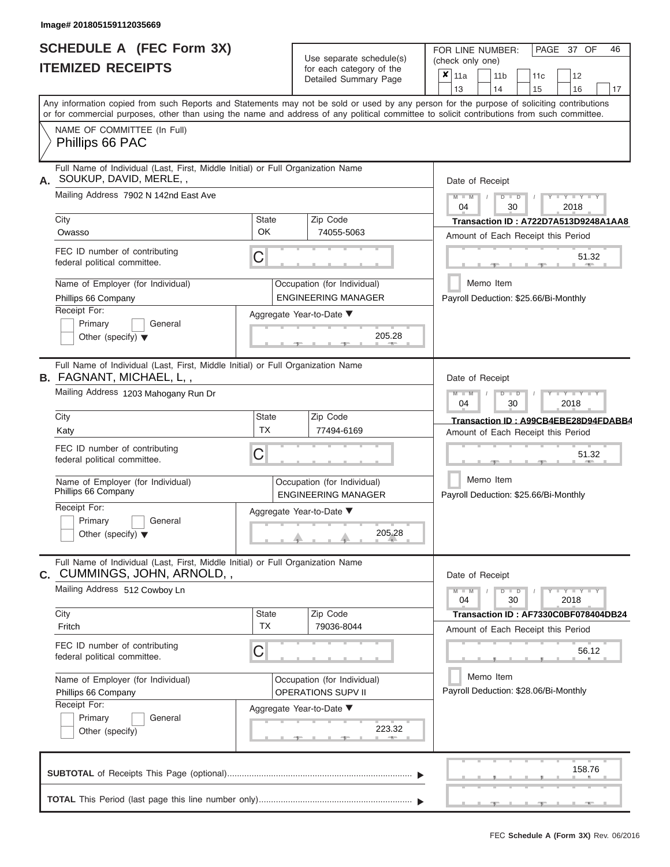## **SCHEDULE A (FEC Form 3X) ITEMIZED RECEIPTS**

Use separate schedule(s)

FOR LINE NUMBER:<br>(check only one)

PAGE 37 OF 46

| IIEMIZEU REVEIFIJ                                                                                                                                        |                           | for each category of the<br>Detailed Summary Page         | ×<br>11a<br>11 <sub>b</sub><br>11c<br>12                                                                                                                                                                                                                                                                              |
|----------------------------------------------------------------------------------------------------------------------------------------------------------|---------------------------|-----------------------------------------------------------|-----------------------------------------------------------------------------------------------------------------------------------------------------------------------------------------------------------------------------------------------------------------------------------------------------------------------|
|                                                                                                                                                          |                           |                                                           | 14<br>13<br>15<br>16<br>17<br>Any information copied from such Reports and Statements may not be sold or used by any person for the purpose of soliciting contributions<br>or for commercial purposes, other than using the name and address of any political committee to solicit contributions from such committee. |
| NAME OF COMMITTEE (In Full)<br>Phillips 66 PAC                                                                                                           |                           |                                                           |                                                                                                                                                                                                                                                                                                                       |
| Full Name of Individual (Last, First, Middle Initial) or Full Organization Name<br>SOUKUP, DAVID, MERLE,,<br>А.<br>Mailing Address 7902 N 142nd East Ave |                           |                                                           | Date of Receipt<br>$Y = Y = Y$<br>$M - M$<br>$D$ $D$                                                                                                                                                                                                                                                                  |
|                                                                                                                                                          |                           |                                                           | 04<br>30<br>2018                                                                                                                                                                                                                                                                                                      |
| City<br>Owasso                                                                                                                                           | <b>State</b><br>OK        | Zip Code<br>74055-5063                                    | Transaction ID: A722D7A513D9248A1AA8<br>Amount of Each Receipt this Period                                                                                                                                                                                                                                            |
| FEC ID number of contributing<br>federal political committee.                                                                                            | C                         |                                                           | 51.32                                                                                                                                                                                                                                                                                                                 |
| Name of Employer (for Individual)<br>Phillips 66 Company                                                                                                 |                           | Occupation (for Individual)<br><b>ENGINEERING MANAGER</b> | Memo Item<br>Payroll Deduction: \$25.66/Bi-Monthly                                                                                                                                                                                                                                                                    |
| Receipt For:<br>Primary<br>General<br>Other (specify) $\blacktriangledown$                                                                               |                           | Aggregate Year-to-Date ▼<br>205.28                        |                                                                                                                                                                                                                                                                                                                       |
| Full Name of Individual (Last, First, Middle Initial) or Full Organization Name<br><b>B.</b> FAGNANT, MICHAEL, L, ,                                      |                           |                                                           | Date of Receipt                                                                                                                                                                                                                                                                                                       |
| Mailing Address 1203 Mahogany Run Dr                                                                                                                     |                           |                                                           | $M - M$<br>Y I Y I Y<br>$D$ $\Box$ $D$<br>04<br>30<br>2018                                                                                                                                                                                                                                                            |
| City<br>Katy                                                                                                                                             | <b>State</b><br><b>TX</b> | Zip Code<br>77494-6169                                    | Transaction ID: A99CB4EBE28D94FDABB4<br>Amount of Each Receipt this Period                                                                                                                                                                                                                                            |
| FEC ID number of contributing<br>federal political committee.                                                                                            | C                         |                                                           | 51.32                                                                                                                                                                                                                                                                                                                 |
| Name of Employer (for Individual)<br>Phillips 66 Company                                                                                                 |                           | Occupation (for Individual)<br><b>ENGINEERING MANAGER</b> | Memo Item<br>Payroll Deduction: \$25.66/Bi-Monthly                                                                                                                                                                                                                                                                    |
| Receipt For:<br>Primary<br>General<br>Other (specify) $\blacktriangledown$                                                                               |                           | Aggregate Year-to-Date ▼<br>205.28                        |                                                                                                                                                                                                                                                                                                                       |
| Full Name of Individual (Last, First, Middle Initial) or Full Organization Name<br><b>c.</b> CUMMINGS, JOHN, ARNOLD, ,                                   |                           |                                                           | Date of Receipt                                                                                                                                                                                                                                                                                                       |
| Mailing Address 512 Cowboy Ln                                                                                                                            |                           |                                                           | $Y - Y - Y - Y - Y$<br>$M - M$<br>$D$ $D$<br>04<br>30<br>2018                                                                                                                                                                                                                                                         |
| City<br>Fritch                                                                                                                                           | State<br><b>TX</b>        | Zip Code<br>79036-8044                                    | Transaction ID: AF7330C0BF078404DB24<br>Amount of Each Receipt this Period                                                                                                                                                                                                                                            |
| FEC ID number of contributing<br>federal political committee.                                                                                            | C                         |                                                           | 56.12                                                                                                                                                                                                                                                                                                                 |
| Name of Employer (for Individual)<br>Phillips 66 Company                                                                                                 |                           | Occupation (for Individual)<br><b>OPERATIONS SUPV II</b>  | Memo Item<br>Payroll Deduction: \$28.06/Bi-Monthly                                                                                                                                                                                                                                                                    |
| Receipt For:<br>Primary<br>General<br>Other (specify)                                                                                                    |                           | Aggregate Year-to-Date ▼<br>223.32<br><b>ARCHITECT</b>    |                                                                                                                                                                                                                                                                                                                       |
|                                                                                                                                                          |                           |                                                           | 158.76                                                                                                                                                                                                                                                                                                                |
|                                                                                                                                                          |                           |                                                           |                                                                                                                                                                                                                                                                                                                       |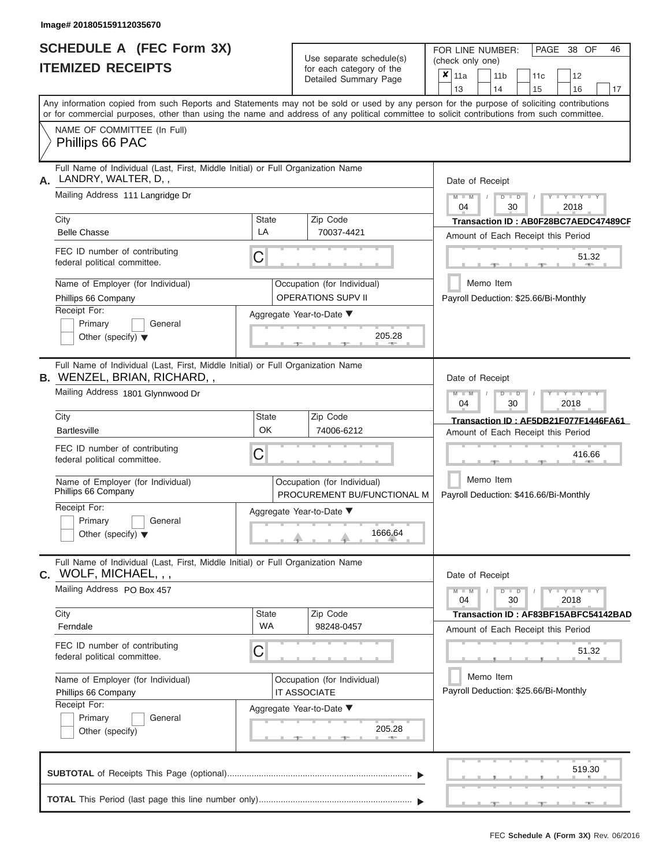|                          | SCHEDULE A (FEC Form 3X) |
|--------------------------|--------------------------|
| <b>ITEMIZED RECEIPTS</b> |                          |

Use separate schedule(s)<br>for each category of the

FOR LINE NUMBER:

PAGE 38 OF 46

|    | <b>ITEMIZED RECEIPTS</b>                                                                                                                                                                                                                                                                |                           | Use separate schedule(s)                                   | (check only one) |               |                       |                      |           |                                        |                                      |
|----|-----------------------------------------------------------------------------------------------------------------------------------------------------------------------------------------------------------------------------------------------------------------------------------------|---------------------------|------------------------------------------------------------|------------------|---------------|-----------------------|----------------------|-----------|----------------------------------------|--------------------------------------|
|    |                                                                                                                                                                                                                                                                                         |                           | for each category of the<br>Detailed Summary Page          | $x _{11a}$<br>13 |               | 11 <sub>b</sub><br>14 |                      | 11c<br>15 | 12<br>16                               | 17                                   |
|    | Any information copied from such Reports and Statements may not be sold or used by any person for the purpose of soliciting contributions<br>or for commercial purposes, other than using the name and address of any political committee to solicit contributions from such committee. |                           |                                                            |                  |               |                       |                      |           |                                        |                                      |
|    | NAME OF COMMITTEE (In Full)<br>Phillips 66 PAC                                                                                                                                                                                                                                          |                           |                                                            |                  |               |                       |                      |           |                                        |                                      |
| А. | Full Name of Individual (Last, First, Middle Initial) or Full Organization Name<br>LANDRY, WALTER, D,,                                                                                                                                                                                  |                           |                                                            |                  |               | Date of Receipt       |                      |           |                                        |                                      |
|    | Mailing Address 111 Langridge Dr                                                                                                                                                                                                                                                        |                           |                                                            | 04               | $M - M$       |                       | $D$ $D$<br>30        |           | $Y = Y = Y$<br>2018                    |                                      |
|    | City<br><b>Belle Chasse</b>                                                                                                                                                                                                                                                             | <b>State</b><br>LA        | Zip Code<br>70037-4421                                     |                  |               |                       |                      |           | Amount of Each Receipt this Period     | Transaction ID: AB0F28BC7AEDC47489CF |
|    | FEC ID number of contributing<br>federal political committee.                                                                                                                                                                                                                           | C                         |                                                            |                  |               |                       |                      |           |                                        | 51.32                                |
|    | Name of Employer (for Individual)<br>Phillips 66 Company                                                                                                                                                                                                                                |                           | Occupation (for Individual)<br><b>OPERATIONS SUPV II</b>   |                  |               | Memo Item             |                      |           | Payroll Deduction: \$25.66/Bi-Monthly  |                                      |
|    | Receipt For:<br>Primary<br>General<br>Other (specify) $\blacktriangledown$                                                                                                                                                                                                              |                           | Aggregate Year-to-Date ▼<br>205.28                         |                  |               |                       |                      |           |                                        |                                      |
|    | Full Name of Individual (Last, First, Middle Initial) or Full Organization Name<br><b>B.</b> WENZEL, BRIAN, RICHARD, ,                                                                                                                                                                  |                           |                                                            |                  |               | Date of Receipt       |                      |           |                                        |                                      |
|    | Mailing Address 1801 Glynnwood Dr                                                                                                                                                                                                                                                       |                           |                                                            | $M - M$          | 04            |                       | $D$ $\Box$ $D$<br>30 |           | $T - Y = T - Y = T - Y$<br>2018        |                                      |
|    | City<br><b>Bartlesville</b>                                                                                                                                                                                                                                                             | <b>State</b><br>OK        | Zip Code<br>74006-6212                                     |                  |               |                       |                      |           | Amount of Each Receipt this Period     | Transaction ID: AF5DB21F077F1446FA61 |
|    | FEC ID number of contributing<br>federal political committee.                                                                                                                                                                                                                           | С                         |                                                            |                  |               |                       |                      |           | 416.66                                 |                                      |
|    | Name of Employer (for Individual)<br>Phillips 66 Company                                                                                                                                                                                                                                |                           | Occupation (for Individual)<br>PROCUREMENT BU/FUNCTIONAL M |                  |               | Memo Item             |                      |           | Payroll Deduction: \$416.66/Bi-Monthly |                                      |
|    | Receipt For:<br>Primary<br>General<br>Other (specify) $\blacktriangledown$                                                                                                                                                                                                              |                           | Aggregate Year-to-Date ▼<br>1666.64                        |                  |               |                       |                      |           |                                        |                                      |
|    | Full Name of Individual (Last, First, Middle Initial) or Full Organization Name<br>$c.$ WOLF, MICHAEL, , ,                                                                                                                                                                              |                           |                                                            |                  |               | Date of Receipt       |                      |           |                                        |                                      |
|    | Mailing Address PO Box 457                                                                                                                                                                                                                                                              |                           |                                                            |                  | $M - M$<br>04 |                       | $D$ $D$<br>30        |           | $Y = Y = Y' + Y'$<br>2018              |                                      |
|    | City<br>Ferndale                                                                                                                                                                                                                                                                        | <b>State</b><br><b>WA</b> | Zip Code<br>98248-0457                                     |                  |               |                       |                      |           | Amount of Each Receipt this Period     | Transaction ID: AF83BF15ABFC54142BAD |
|    | FEC ID number of contributing<br>federal political committee.                                                                                                                                                                                                                           | С                         |                                                            |                  |               |                       |                      |           |                                        | 51.32                                |
|    | Name of Employer (for Individual)<br>Phillips 66 Company                                                                                                                                                                                                                                |                           | Occupation (for Individual)<br>IT ASSOCIATE                |                  |               | Memo Item             |                      |           | Payroll Deduction: \$25.66/Bi-Monthly  |                                      |
|    | Receipt For:<br>Primary<br>General<br>Other (specify)                                                                                                                                                                                                                                   |                           | Aggregate Year-to-Date ▼<br>205.28<br><b>AND</b>           |                  |               |                       |                      |           |                                        |                                      |
|    |                                                                                                                                                                                                                                                                                         |                           |                                                            |                  |               |                       |                      |           | 519.30                                 |                                      |
|    |                                                                                                                                                                                                                                                                                         |                           |                                                            |                  |               |                       |                      |           |                                        |                                      |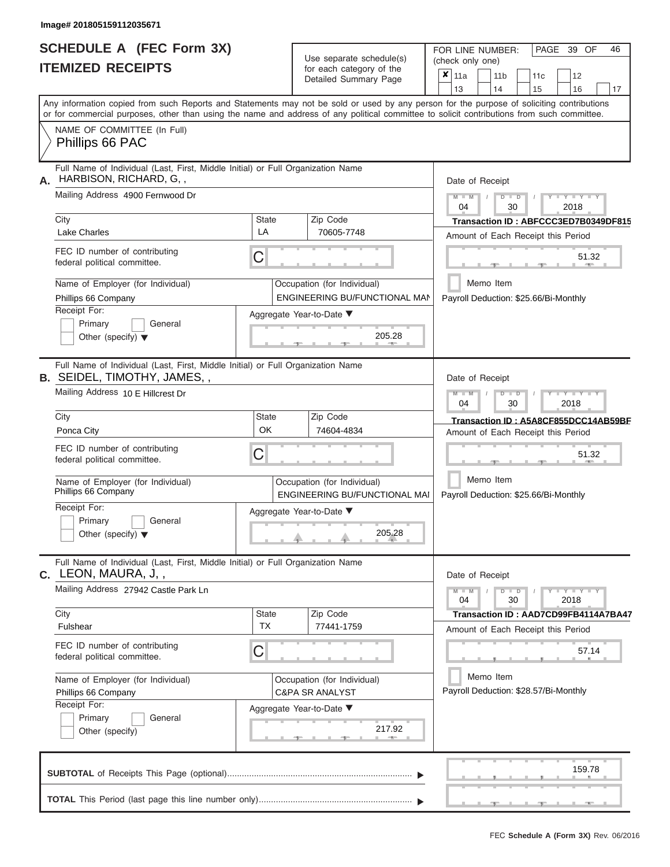|                          | SCHEDULE A (FEC Form 3X) |
|--------------------------|--------------------------|
| <b>ITEMIZED RECEIPTS</b> |                          |

Use separate schedule(s)<br>for each category of the

FOR LINE NUMBER:<br>(check only one)

PAGE 39 OF 46

| 11466 IVSVEH T                                                                                                                                                                                                                                                                          |                           | ioi caoii caiogoiy oi inc<br>Detailed Summary Page           | × | 11a<br>13       | 11 <sub>b</sub><br>14 |                      | 11c<br>15                                                                  |      | 12<br>16                | 17 |
|-----------------------------------------------------------------------------------------------------------------------------------------------------------------------------------------------------------------------------------------------------------------------------------------|---------------------------|--------------------------------------------------------------|---|-----------------|-----------------------|----------------------|----------------------------------------------------------------------------|------|-------------------------|----|
| Any information copied from such Reports and Statements may not be sold or used by any person for the purpose of soliciting contributions<br>or for commercial purposes, other than using the name and address of any political committee to solicit contributions from such committee. |                           |                                                              |   |                 |                       |                      |                                                                            |      |                         |    |
| NAME OF COMMITTEE (In Full)<br>Phillips 66 PAC                                                                                                                                                                                                                                          |                           |                                                              |   |                 |                       |                      |                                                                            |      |                         |    |
| Full Name of Individual (Last, First, Middle Initial) or Full Organization Name<br>HARBISON, RICHARD, G,,<br>А.                                                                                                                                                                         |                           |                                                              |   | Date of Receipt |                       |                      |                                                                            |      |                         |    |
| Mailing Address 4900 Fernwood Dr                                                                                                                                                                                                                                                        |                           |                                                              |   | $M - M$<br>04   |                       | $D$ $D$<br>30        |                                                                            | 2018 | $Y - Y - Y$             |    |
| City<br><b>Lake Charles</b>                                                                                                                                                                                                                                                             | <b>State</b><br>LA        | Zip Code<br>70605-7748                                       |   |                 |                       |                      | Transaction ID: ABFCCC3ED7B0349DF815<br>Amount of Each Receipt this Period |      |                         |    |
| FEC ID number of contributing<br>federal political committee.                                                                                                                                                                                                                           | С                         |                                                              |   |                 |                       |                      |                                                                            |      | 51.32<br><b>AND IN</b>  |    |
| Name of Employer (for Individual)<br>Phillips 66 Company                                                                                                                                                                                                                                |                           | Occupation (for Individual)<br>ENGINEERING BU/FUNCTIONAL MAN |   |                 | Memo Item             |                      | Payroll Deduction: \$25.66/Bi-Monthly                                      |      |                         |    |
| Receipt For:<br>Primary<br>General<br>Other (specify) $\blacktriangledown$                                                                                                                                                                                                              |                           | Aggregate Year-to-Date ▼<br>205.28                           |   |                 |                       |                      |                                                                            |      |                         |    |
| Full Name of Individual (Last, First, Middle Initial) or Full Organization Name<br><b>B. SEIDEL, TIMOTHY, JAMES,,</b>                                                                                                                                                                   |                           |                                                              |   | Date of Receipt |                       |                      |                                                                            |      |                         |    |
| Mailing Address 10 E Hillcrest Dr                                                                                                                                                                                                                                                       |                           |                                                              |   | $M - M$<br>04   |                       | $D$ $\Box$ $D$<br>30 |                                                                            | 2018 | Y TYT                   |    |
| City<br>Ponca City                                                                                                                                                                                                                                                                      | <b>State</b><br>OK        | Zip Code<br>74604-4834                                       |   |                 |                       |                      | Transaction ID: A5A8CF855DCC14AB59BF<br>Amount of Each Receipt this Period |      |                         |    |
| FEC ID number of contributing<br>federal political committee.                                                                                                                                                                                                                           | С                         |                                                              |   |                 |                       |                      |                                                                            |      | 51.32                   |    |
| Name of Employer (for Individual)<br>Phillips 66 Company                                                                                                                                                                                                                                |                           | Occupation (for Individual)<br>ENGINEERING BU/FUNCTIONAL MAI |   |                 | Memo Item             |                      | Payroll Deduction: \$25.66/Bi-Monthly                                      |      |                         |    |
| Receipt For:<br>Primary<br>General<br>Other (specify) $\blacktriangledown$                                                                                                                                                                                                              |                           | Aggregate Year-to-Date ▼<br>205.28                           |   |                 |                       |                      |                                                                            |      |                         |    |
| Full Name of Individual (Last, First, Middle Initial) or Full Organization Name<br>$C.$ LEON, MAURA, J,,                                                                                                                                                                                |                           |                                                              |   | Date of Receipt |                       |                      |                                                                            |      |                         |    |
| Mailing Address 27942 Castle Park Ln                                                                                                                                                                                                                                                    |                           |                                                              |   | $M - M$<br>04   |                       | $D$ $D$<br>30        |                                                                            | 2018 | $T - Y - T - Y - T - Y$ |    |
| City<br>Fulshear                                                                                                                                                                                                                                                                        | <b>State</b><br><b>TX</b> | Zip Code<br>77441-1759                                       |   |                 |                       |                      | Transaction ID: AAD7CD99FB4114A7BA47<br>Amount of Each Receipt this Period |      |                         |    |
| FEC ID number of contributing<br>federal political committee.                                                                                                                                                                                                                           | С                         |                                                              |   |                 |                       |                      |                                                                            |      | 57.14                   |    |
| Name of Employer (for Individual)<br>Phillips 66 Company                                                                                                                                                                                                                                |                           | Occupation (for Individual)<br><b>C&amp;PA SR ANALYST</b>    |   |                 | Memo Item             |                      | Payroll Deduction: \$28.57/Bi-Monthly                                      |      |                         |    |
| Receipt For:<br>Primary<br>General<br>Other (specify)                                                                                                                                                                                                                                   |                           | Aggregate Year-to-Date ▼<br>217.92                           |   |                 |                       |                      |                                                                            |      |                         |    |
|                                                                                                                                                                                                                                                                                         |                           |                                                              |   |                 |                       |                      |                                                                            |      | 159.78                  |    |
|                                                                                                                                                                                                                                                                                         |                           |                                                              |   |                 | $-1$                  |                      | $-7$                                                                       |      |                         |    |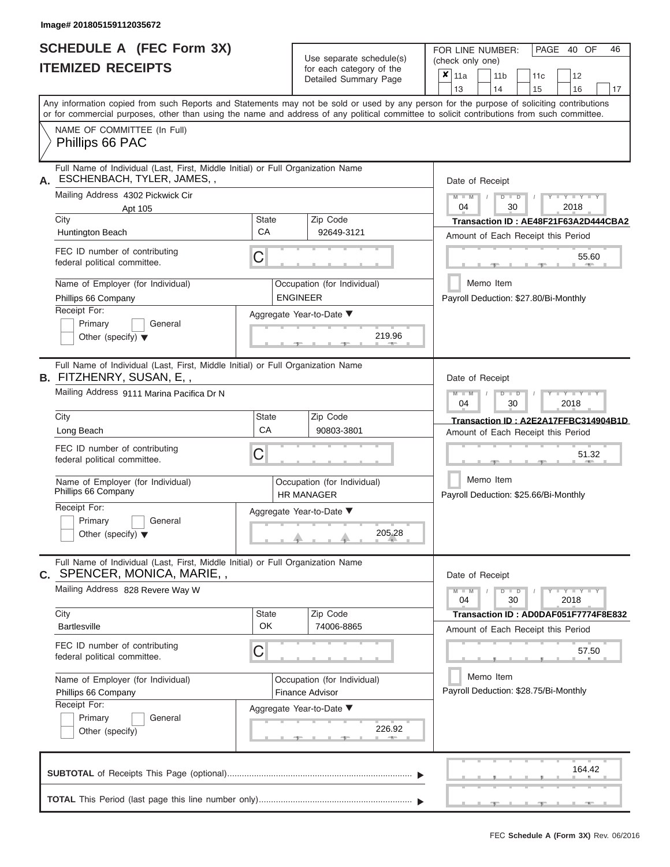# **SCHEDULE A (FEC Form 3X)**

| SCHEDULE A (FEC Form 3X)<br><b>ITEMIZED RECEIPTS</b>                                                                                                                                                                                                                                                                                                                                                       | Use separate schedule(s)<br>for each category of the                                                                                                              | FOR LINE NUMBER:<br>PAGE 40 OF<br>46<br>(check only one)<br>$\overline{\mathbf{x}}$   11a<br>11 <sub>b</sub><br>12<br>11c                                                                                                                                                                                                                     |
|------------------------------------------------------------------------------------------------------------------------------------------------------------------------------------------------------------------------------------------------------------------------------------------------------------------------------------------------------------------------------------------------------------|-------------------------------------------------------------------------------------------------------------------------------------------------------------------|-----------------------------------------------------------------------------------------------------------------------------------------------------------------------------------------------------------------------------------------------------------------------------------------------------------------------------------------------|
|                                                                                                                                                                                                                                                                                                                                                                                                            | Detailed Summary Page                                                                                                                                             | 13<br>14<br>15<br>16<br>17                                                                                                                                                                                                                                                                                                                    |
| Any information copied from such Reports and Statements may not be sold or used by any person for the purpose of soliciting contributions<br>or for commercial purposes, other than using the name and address of any political committee to solicit contributions from such committee.                                                                                                                    |                                                                                                                                                                   |                                                                                                                                                                                                                                                                                                                                               |
| NAME OF COMMITTEE (In Full)<br>Phillips 66 PAC                                                                                                                                                                                                                                                                                                                                                             |                                                                                                                                                                   |                                                                                                                                                                                                                                                                                                                                               |
| Full Name of Individual (Last, First, Middle Initial) or Full Organization Name<br>ESCHENBACH, TYLER, JAMES,,<br>А.<br>Mailing Address 4302 Pickwick Cir<br>Apt 105<br>City<br>Huntington Beach<br>FEC ID number of contributing<br>federal political committee.<br>Name of Employer (for Individual)<br>Phillips 66 Company<br>Receipt For:<br>Primary<br>General<br>Other (specify) $\blacktriangledown$ | Zip Code<br><b>State</b><br>CA<br>92649-3121<br>С<br>Occupation (for Individual)<br><b>ENGINEER</b><br>Aggregate Year-to-Date ▼<br>219.96<br><b>British Allen</b> | Date of Receipt<br>$M - M$<br>$Y - Y - Y$<br>$D$ $D$<br>04<br>30<br>2018<br>Transaction ID: AE48F21F63A2D444CBA2<br>Amount of Each Receipt this Period<br>55.60<br><b>AND A</b><br>Memo Item<br>Payroll Deduction: \$27.80/Bi-Monthly                                                                                                         |
| Full Name of Individual (Last, First, Middle Initial) or Full Organization Name<br>B. FITZHENRY, SUSAN, E,,<br>Mailing Address 9111 Marina Pacifica Dr N<br>City<br>Long Beach<br>FEC ID number of contributing<br>federal political committee.<br>Name of Employer (for Individual)<br>Phillips 66 Company<br>Receipt For:<br>Primary<br>General<br>Other (specify) $\blacktriangledown$                  | Zip Code<br><b>State</b><br>CA<br>90803-3801<br>С<br>Occupation (for Individual)<br><b>HR MANAGER</b><br>Aggregate Year-to-Date ▼<br>205.28                       | Date of Receipt<br>$M - M$<br>$D$ $D$<br>$\blacksquare \blacksquare \blacksquare \blacksquare \blacksquare \blacksquare \blacksquare \blacksquare \blacksquare \blacksquare$<br>04<br>30<br>2018<br>Transaction ID: A2E2A17FFBC314904B1D<br>Amount of Each Receipt this Period<br>51.32<br>Memo Item<br>Payroll Deduction: \$25.66/Bi-Monthly |
| Full Name of Individual (Last, First, Middle Initial) or Full Organization Name<br>C. SPENCER, MONICA, MARIE,,<br>Mailing Address 828 Revere Way W<br>City<br><b>Bartlesville</b><br>FEC ID number of contributing<br>federal political committee.<br>Name of Employer (for Individual)<br>Phillips 66 Company                                                                                             | Zip Code<br><b>State</b><br><b>OK</b><br>74006-8865<br>С<br>Occupation (for Individual)<br>Finance Advisor                                                        | Date of Receipt<br>$M - M$<br>$D$ $\Box$ $D$<br>$Y - Y - Y - Y - Y$<br>04<br>30<br>2018<br>Transaction ID: AD0DAF051F7774F8E832<br>Amount of Each Receipt this Period<br>57.50<br>Memo Item<br>Payroll Deduction: \$28.75/Bi-Monthly                                                                                                          |
| Receipt For:<br>Primary<br>General<br>Other (specify)                                                                                                                                                                                                                                                                                                                                                      | Aggregate Year-to-Date ▼<br>226.92                                                                                                                                |                                                                                                                                                                                                                                                                                                                                               |
|                                                                                                                                                                                                                                                                                                                                                                                                            |                                                                                                                                                                   | 164.42<br><u>____</u><br>$-1$                                                                                                                                                                                                                                                                                                                 |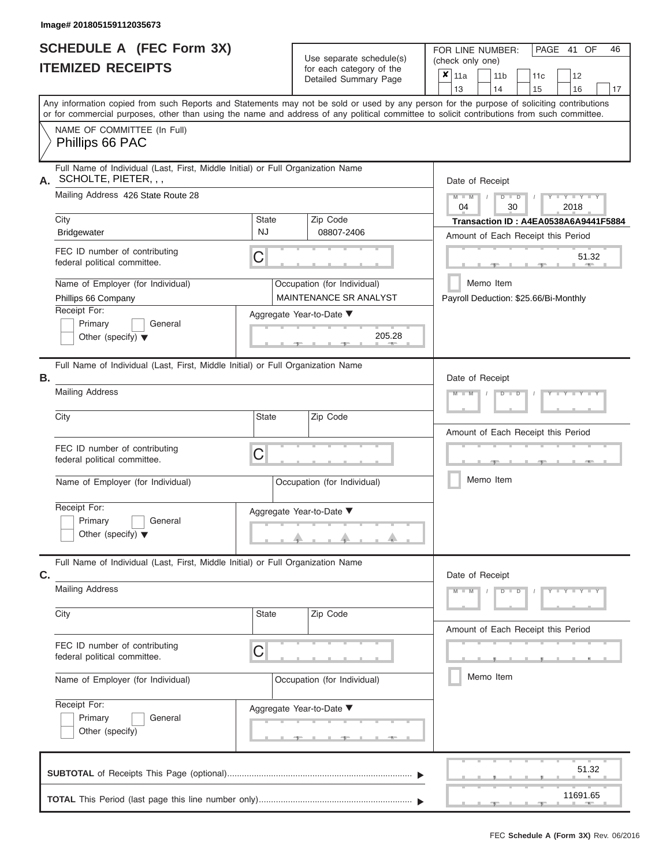|                          | <b>SCHEDULE A (FEC Form 3X)</b> |
|--------------------------|---------------------------------|
| <b>ITEMIZED RECEIPTS</b> |                                 |

Use separate schedule(s)<br>for each category of the

FOR LINE NUMBER:<br>(check only one)

PAGE 41 OF 46

|                                                                                                                                                                                              |                    | ioi caoii caiogoiy oi inc<br>Detailed Summary Page    | × | 11a             |            | 11 <sub>b</sub> |               | 11 <sub>c</sub> | 12                                                                         |    |
|----------------------------------------------------------------------------------------------------------------------------------------------------------------------------------------------|--------------------|-------------------------------------------------------|---|-----------------|------------|-----------------|---------------|-----------------|----------------------------------------------------------------------------|----|
| Any information copied from such Reports and Statements may not be sold or used by any person for the purpose of soliciting contributions                                                    |                    |                                                       |   | 13              |            | 14              |               | 15              | 16                                                                         | 17 |
| or for commercial purposes, other than using the name and address of any political committee to solicit contributions from such committee.<br>NAME OF COMMITTEE (In Full)<br>Phillips 66 PAC |                    |                                                       |   |                 |            |                 |               |                 |                                                                            |    |
| Full Name of Individual (Last, First, Middle Initial) or Full Organization Name<br>SCHOLTE, PIETER, , ,<br>А.                                                                                |                    |                                                       |   | Date of Receipt |            |                 |               |                 |                                                                            |    |
| Mailing Address 426 State Route 28                                                                                                                                                           |                    |                                                       |   | $M - M$<br>04   | $\sqrt{ }$ |                 | $D$ $D$<br>30 |                 | $Y - Y - Y$<br>2018                                                        |    |
| City<br><b>Bridgewater</b>                                                                                                                                                                   | State<br><b>NJ</b> | Zip Code<br>08807-2406                                |   |                 |            |                 |               |                 | Transaction ID: A4EA0538A6A9441F5884<br>Amount of Each Receipt this Period |    |
| FEC ID number of contributing<br>federal political committee.                                                                                                                                | С                  |                                                       |   |                 |            |                 |               |                 | 51.32<br><b>ATTEN</b>                                                      |    |
| Name of Employer (for Individual)<br>Phillips 66 Company                                                                                                                                     |                    | Occupation (for Individual)<br>MAINTENANCE SR ANALYST |   |                 |            | Memo Item       |               |                 | Payroll Deduction: \$25.66/Bi-Monthly                                      |    |
| Receipt For:<br>Primary<br>General<br>Other (specify) $\blacktriangledown$                                                                                                                   |                    | Aggregate Year-to-Date ▼<br>205.28                    |   |                 |            |                 |               |                 |                                                                            |    |
| Full Name of Individual (Last, First, Middle Initial) or Full Organization Name<br>Β.                                                                                                        |                    |                                                       |   | Date of Receipt |            |                 |               |                 |                                                                            |    |
| <b>Mailing Address</b>                                                                                                                                                                       |                    |                                                       |   | $M - M$         |            |                 | $D$ $D$       |                 |                                                                            |    |
| City                                                                                                                                                                                         | <b>State</b>       | Zip Code                                              |   |                 |            |                 |               |                 | Amount of Each Receipt this Period                                         |    |
| FEC ID number of contributing<br>federal political committee.                                                                                                                                | C                  |                                                       |   |                 |            |                 |               |                 | <b>ARCHITECT</b>                                                           |    |
| Name of Employer (for Individual)                                                                                                                                                            |                    | Occupation (for Individual)                           |   |                 |            | Memo Item       |               |                 |                                                                            |    |
| Receipt For:<br>Primary<br>General<br>Other (specify) $\blacktriangledown$                                                                                                                   |                    | Aggregate Year-to-Date ▼                              |   |                 |            |                 |               |                 |                                                                            |    |
| Full Name of Individual (Last, First, Middle Initial) or Full Organization Name<br>C.                                                                                                        |                    |                                                       |   | Date of Receipt |            |                 |               |                 |                                                                            |    |
| <b>Mailing Address</b>                                                                                                                                                                       |                    |                                                       |   | $M - M$         |            |                 | $D$ $D$       |                 | Y F Y F Y F Y                                                              |    |
| City                                                                                                                                                                                         | State              | Zip Code                                              |   |                 |            |                 |               |                 |                                                                            |    |
|                                                                                                                                                                                              |                    |                                                       |   |                 |            |                 |               |                 |                                                                            |    |
| FEC ID number of contributing<br>federal political committee.                                                                                                                                | С                  |                                                       |   |                 |            |                 |               |                 | Amount of Each Receipt this Period                                         |    |
| Name of Employer (for Individual)                                                                                                                                                            |                    | Occupation (for Individual)                           |   |                 |            | Memo Item       |               |                 |                                                                            |    |
| Receipt For:<br>Primary<br>General<br>Other (specify)                                                                                                                                        |                    | Aggregate Year-to-Date ▼<br>$-$                       |   |                 |            |                 |               |                 |                                                                            |    |
|                                                                                                                                                                                              |                    |                                                       |   |                 |            |                 |               |                 | 51.32                                                                      |    |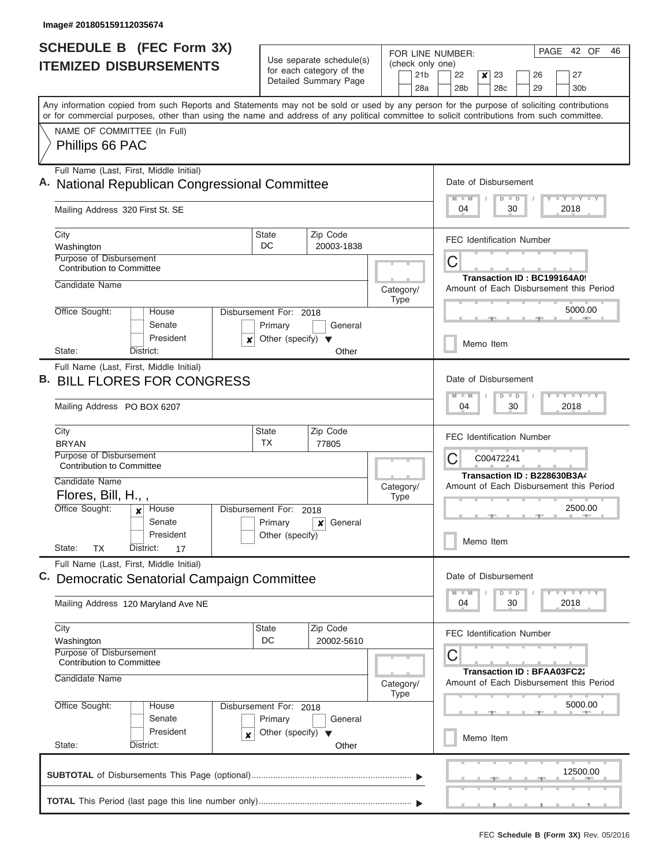| <b>SCHEDULE B (FEC Form 3X)</b><br><b>ITEMIZED DISBURSEMENTS</b>                                                                                                                                                                                                                        |                                                 | FOR LINE NUMBER:                                  |  |                          |                                                                                | PAGE 42 OF<br>Use separate schedule(s)  |           |  |               |                                   |                       | (check only one)      |  |  |  |  |  |  |  |  |  |  | 46 |
|-----------------------------------------------------------------------------------------------------------------------------------------------------------------------------------------------------------------------------------------------------------------------------------------|-------------------------------------------------|---------------------------------------------------|--|--------------------------|--------------------------------------------------------------------------------|-----------------------------------------|-----------|--|---------------|-----------------------------------|-----------------------|-----------------------|--|--|--|--|--|--|--|--|--|--|----|
|                                                                                                                                                                                                                                                                                         |                                                 | for each category of the<br>Detailed Summary Page |  | 21 <sub>b</sub><br>28a   | 22<br>$\boldsymbol{x}$<br>23<br>26<br>28 <sub>b</sub><br>29<br>28 <sub>c</sub> |                                         |           |  |               |                                   | 27<br>30 <sub>b</sub> |                       |  |  |  |  |  |  |  |  |  |  |    |
| Any information copied from such Reports and Statements may not be sold or used by any person for the purpose of soliciting contributions<br>or for commercial purposes, other than using the name and address of any political committee to solicit contributions from such committee. |                                                 |                                                   |  |                          |                                                                                |                                         |           |  |               |                                   |                       |                       |  |  |  |  |  |  |  |  |  |  |    |
| NAME OF COMMITTEE (In Full)                                                                                                                                                                                                                                                             |                                                 |                                                   |  |                          |                                                                                |                                         |           |  |               |                                   |                       |                       |  |  |  |  |  |  |  |  |  |  |    |
| Phillips 66 PAC                                                                                                                                                                                                                                                                         |                                                 |                                                   |  |                          |                                                                                |                                         |           |  |               |                                   |                       |                       |  |  |  |  |  |  |  |  |  |  |    |
| Full Name (Last, First, Middle Initial)<br>A. National Republican Congressional Committee                                                                                                                                                                                               |                                                 |                                                   |  |                          |                                                                                | Date of Disbursement<br>$M$ $M$         |           |  | $D$ $D$       |                                   |                       | Y I Y I Y I Y         |  |  |  |  |  |  |  |  |  |  |    |
| Mailing Address 320 First St. SE                                                                                                                                                                                                                                                        |                                                 |                                                   |  |                          |                                                                                | 04                                      |           |  | 30            |                                   |                       | 2018                  |  |  |  |  |  |  |  |  |  |  |    |
| City<br>Washington                                                                                                                                                                                                                                                                      | <b>State</b><br>DC                              | Zip Code<br>20003-1838                            |  |                          |                                                                                | <b>FEC Identification Number</b>        |           |  |               |                                   |                       |                       |  |  |  |  |  |  |  |  |  |  |    |
| <b>Purpose of Disbursement</b><br><b>Contribution to Committee</b>                                                                                                                                                                                                                      |                                                 |                                                   |  |                          |                                                                                | C                                       |           |  |               |                                   |                       |                       |  |  |  |  |  |  |  |  |  |  |    |
| Candidate Name                                                                                                                                                                                                                                                                          |                                                 |                                                   |  | Category/                |                                                                                | Amount of Each Disbursement this Period |           |  |               | Transaction ID: BC199164A09       |                       |                       |  |  |  |  |  |  |  |  |  |  |    |
| Office Sought:<br>House                                                                                                                                                                                                                                                                 | Disbursement For: 2018                          |                                                   |  | <b>Type</b>              |                                                                                |                                         |           |  |               | - 10                              |                       | 5000.00               |  |  |  |  |  |  |  |  |  |  |    |
| Senate<br>President<br>$\boldsymbol{x}$                                                                                                                                                                                                                                                 | Primary<br>Other (specify) $\blacktriangledown$ | General                                           |  |                          |                                                                                |                                         | Memo Item |  |               |                                   |                       |                       |  |  |  |  |  |  |  |  |  |  |    |
| State:<br>District:                                                                                                                                                                                                                                                                     |                                                 | Other                                             |  |                          |                                                                                |                                         |           |  |               |                                   |                       |                       |  |  |  |  |  |  |  |  |  |  |    |
| <b>BILL FLORES FOR CONGRESS</b><br>Mailing Address PO BOX 6207                                                                                                                                                                                                                          |                                                 |                                                   |  |                          |                                                                                | Date of Disbursement<br>$M - M$<br>04   |           |  | $D$ $D$<br>30 |                                   |                       | Y I Y I Y I Y<br>2018 |  |  |  |  |  |  |  |  |  |  |    |
| City<br><b>BRYAN</b>                                                                                                                                                                                                                                                                    | <b>State</b><br><b>TX</b>                       | Zip Code<br>77805                                 |  |                          |                                                                                | <b>FEC Identification Number</b>        |           |  |               |                                   |                       |                       |  |  |  |  |  |  |  |  |  |  |    |
| Purpose of Disbursement<br><b>Contribution to Committee</b>                                                                                                                                                                                                                             |                                                 |                                                   |  |                          |                                                                                | С                                       | C00472241 |  |               |                                   |                       |                       |  |  |  |  |  |  |  |  |  |  |    |
| Candidate Name<br>Flores, Bill, H.,,                                                                                                                                                                                                                                                    |                                                 |                                                   |  | Category/<br><b>Type</b> |                                                                                | Amount of Each Disbursement this Period |           |  |               | Transaction ID: B228630B3A4       |                       |                       |  |  |  |  |  |  |  |  |  |  |    |
| Office Sought:<br>House<br>$\boldsymbol{x}$<br>Senate                                                                                                                                                                                                                                   | Disbursement For: 2018<br>Primary               | General<br>x                                      |  |                          |                                                                                |                                         |           |  |               | $-1$                              |                       | 2500.00               |  |  |  |  |  |  |  |  |  |  |    |
| President<br>State:<br>ТX<br>District:<br>17                                                                                                                                                                                                                                            | Other (specify)                                 |                                                   |  |                          |                                                                                |                                         | Memo Item |  |               |                                   |                       |                       |  |  |  |  |  |  |  |  |  |  |    |
| Full Name (Last, First, Middle Initial)<br>Democratic Senatorial Campaign Committee                                                                                                                                                                                                     |                                                 |                                                   |  |                          |                                                                                | Date of Disbursement                    |           |  |               |                                   |                       |                       |  |  |  |  |  |  |  |  |  |  |    |
| Mailing Address 120 Maryland Ave NE                                                                                                                                                                                                                                                     |                                                 |                                                   |  |                          |                                                                                | $M - M$<br>04                           |           |  | $D$ $D$<br>30 |                                   |                       | $+ Y + Y + Y$<br>2018 |  |  |  |  |  |  |  |  |  |  |    |
| City<br>Washington                                                                                                                                                                                                                                                                      | <b>State</b><br>DC                              | Zip Code<br>20002-5610                            |  |                          |                                                                                | <b>FEC Identification Number</b>        |           |  |               |                                   |                       |                       |  |  |  |  |  |  |  |  |  |  |    |
| Purpose of Disbursement<br><b>Contribution to Committee</b>                                                                                                                                                                                                                             |                                                 |                                                   |  |                          |                                                                                | С                                       |           |  |               | <b>Transaction ID: BFAA03FC22</b> |                       |                       |  |  |  |  |  |  |  |  |  |  |    |
| Candidate Name                                                                                                                                                                                                                                                                          |                                                 |                                                   |  | Category/<br><b>Type</b> |                                                                                | Amount of Each Disbursement this Period |           |  |               |                                   |                       |                       |  |  |  |  |  |  |  |  |  |  |    |
| Office Sought:<br>House<br>Senate                                                                                                                                                                                                                                                       | Disbursement For: 2018<br>Primary               | General                                           |  |                          |                                                                                |                                         |           |  |               |                                   |                       | 5000.00               |  |  |  |  |  |  |  |  |  |  |    |
| President<br>$\boldsymbol{x}$<br>State:<br>District:                                                                                                                                                                                                                                    | Other (specify) $\blacktriangledown$            | Other                                             |  |                          |                                                                                |                                         | Memo Item |  |               |                                   |                       |                       |  |  |  |  |  |  |  |  |  |  |    |
|                                                                                                                                                                                                                                                                                         |                                                 |                                                   |  |                          |                                                                                |                                         |           |  |               |                                   |                       | 12500.00              |  |  |  |  |  |  |  |  |  |  |    |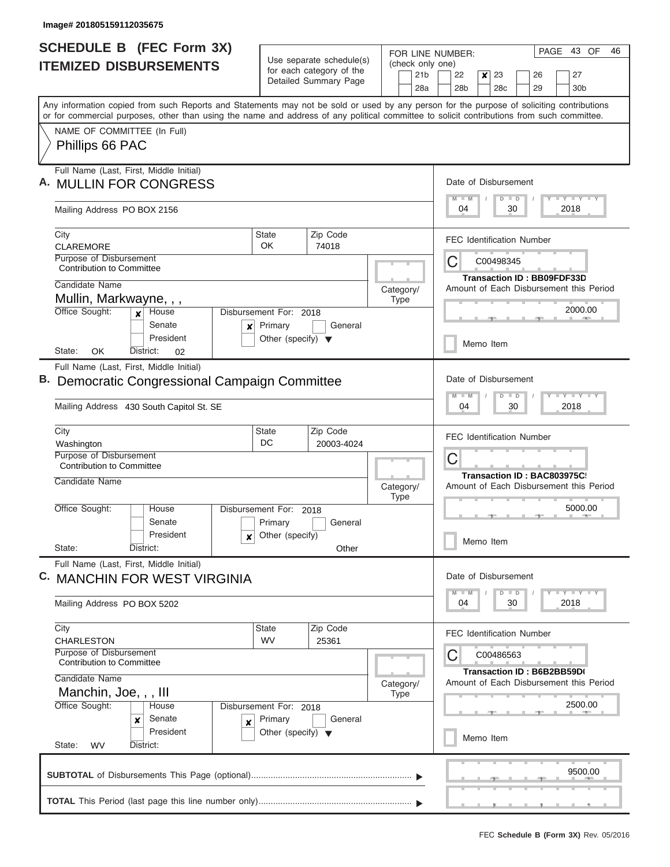| <b>SCHEDULE B (FEC Form 3X)</b><br><b>ITEMIZED DISBURSEMENTS</b>                                                                                                                                                                                                                        |                                                      | Use separate schedule(s)<br>for each category of the | FOR LINE NUMBER:<br>(check only one) | PAGE<br>43 OF<br>46                                                                         |
|-----------------------------------------------------------------------------------------------------------------------------------------------------------------------------------------------------------------------------------------------------------------------------------------|------------------------------------------------------|------------------------------------------------------|--------------------------------------|---------------------------------------------------------------------------------------------|
|                                                                                                                                                                                                                                                                                         |                                                      | Detailed Summary Page                                | 21 <sub>b</sub><br>28a               | 22<br>$\boldsymbol{x}$<br>23<br>27<br>26<br>28 <sub>b</sub><br>28c<br>29<br>30 <sub>b</sub> |
| Any information copied from such Reports and Statements may not be sold or used by any person for the purpose of soliciting contributions<br>or for commercial purposes, other than using the name and address of any political committee to solicit contributions from such committee. |                                                      |                                                      |                                      |                                                                                             |
| NAME OF COMMITTEE (In Full)<br>Phillips 66 PAC                                                                                                                                                                                                                                          |                                                      |                                                      |                                      |                                                                                             |
| Full Name (Last, First, Middle Initial)<br><b>MULLIN FOR CONGRESS</b>                                                                                                                                                                                                                   |                                                      |                                                      |                                      | Date of Disbursement<br><b>LY LY LY</b><br>$D$ $D$                                          |
| Mailing Address PO BOX 2156                                                                                                                                                                                                                                                             |                                                      |                                                      |                                      | 04<br>30<br>2018                                                                            |
| City<br><b>CLAREMORE</b>                                                                                                                                                                                                                                                                | <b>State</b><br>OK                                   | Zip Code<br>74018                                    |                                      | <b>FEC Identification Number</b>                                                            |
| Purpose of Disbursement<br><b>Contribution to Committee</b>                                                                                                                                                                                                                             |                                                      |                                                      |                                      | C<br>C00498345<br><b>Transaction ID: BB09FDF33D</b>                                         |
| Candidate Name<br>Mullin, Markwayne, , ,                                                                                                                                                                                                                                                |                                                      |                                                      | Category/<br><b>Type</b>             | Amount of Each Disbursement this Period                                                     |
| Office Sought:<br>$x$ House<br>Senate<br>×                                                                                                                                                                                                                                              | Disbursement For: 2018<br>Primary                    | General                                              |                                      | 2000.00                                                                                     |
| President<br>OK<br>State:<br>District:<br>02                                                                                                                                                                                                                                            | Other (specify) $\blacktriangledown$                 |                                                      |                                      | Memo Item                                                                                   |
| Full Name (Last, First, Middle Initial)<br>Democratic Congressional Campaign Committee<br>Mailing Address 430 South Capitol St. SE                                                                                                                                                      |                                                      |                                                      |                                      | Date of Disbursement<br>$-1 - Y - 1 - Y - 1 - Y$<br>$D$ $D$<br>04<br>2018<br>30             |
| City                                                                                                                                                                                                                                                                                    | <b>State</b>                                         | Zip Code                                             |                                      |                                                                                             |
| Washington<br>Purpose of Disbursement<br>Contribution to Committee                                                                                                                                                                                                                      | DC                                                   | 20003-4024                                           |                                      | <b>FEC Identification Number</b><br>C                                                       |
| Candidate Name                                                                                                                                                                                                                                                                          |                                                      |                                                      | Category/<br><b>Type</b>             | Transaction ID: BAC803975C<br>Amount of Each Disbursement this Period                       |
| Office Sought:<br>House<br>Senate<br>President<br>x                                                                                                                                                                                                                                     | Disbursement For: 2018<br>Primary<br>Other (specify) | General                                              |                                      | 5000.00<br>Memo Item                                                                        |
| State:<br>District:<br>Full Name (Last, First, Middle Initial)                                                                                                                                                                                                                          |                                                      | Other                                                |                                      |                                                                                             |
| C. MANCHIN FOR WEST VIRGINIA                                                                                                                                                                                                                                                            |                                                      |                                                      |                                      | Date of Disbursement<br>$Y - Y - Y - Y - Y$<br>$D$ $D$                                      |
| Mailing Address PO BOX 5202                                                                                                                                                                                                                                                             |                                                      |                                                      |                                      | 2018<br>04<br>30                                                                            |
| City<br><b>CHARLESTON</b>                                                                                                                                                                                                                                                               | State<br><b>WV</b>                                   | Zip Code<br>25361                                    |                                      | <b>FEC Identification Number</b>                                                            |
| Purpose of Disbursement<br><b>Contribution to Committee</b><br>Candidate Name                                                                                                                                                                                                           |                                                      |                                                      |                                      | С<br>C00486563<br>Transaction ID: B6B2BB59D(                                                |
| Manchin, Joe, , , III<br>Office Sought:<br>House                                                                                                                                                                                                                                        | Disbursement For: 2018                               |                                                      | Category/<br><b>Type</b>             | Amount of Each Disbursement this Period<br>2500.00                                          |
| Senate<br>x<br>X<br>President<br>State:<br><b>WV</b><br>District:                                                                                                                                                                                                                       | Primary<br>Other (specify) $\blacktriangledown$      | General                                              |                                      | Memo Item                                                                                   |
|                                                                                                                                                                                                                                                                                         |                                                      |                                                      |                                      | 9500.00                                                                                     |
|                                                                                                                                                                                                                                                                                         |                                                      |                                                      |                                      |                                                                                             |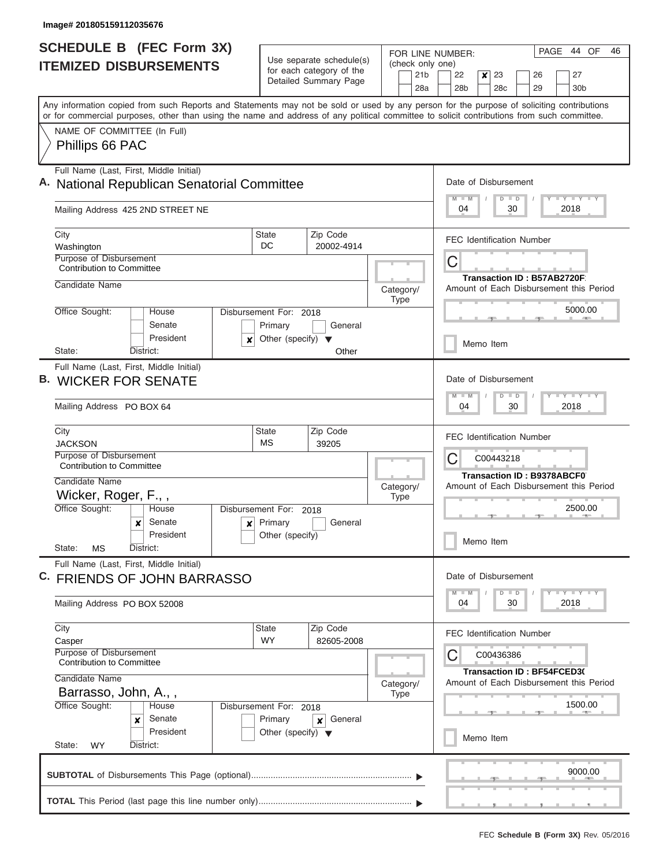I

| <b>SCHEDULE B (FEC Form 3X)</b><br><b>ITEMIZED DISBURSEMENTS</b>                                                                                                                                                                                                                        | Use separate schedule(s)                                        | FOR LINE NUMBER:<br>(check only one) | 44<br>OF<br>PAGE<br>46                                                                                                      |
|-----------------------------------------------------------------------------------------------------------------------------------------------------------------------------------------------------------------------------------------------------------------------------------------|-----------------------------------------------------------------|--------------------------------------|-----------------------------------------------------------------------------------------------------------------------------|
|                                                                                                                                                                                                                                                                                         | for each category of the<br>Detailed Summary Page               | 21 <sub>b</sub><br>28a               | 22<br>x<br>23<br>27<br>26<br>28b<br>28c<br>29<br>30b                                                                        |
| Any information copied from such Reports and Statements may not be sold or used by any person for the purpose of soliciting contributions<br>or for commercial purposes, other than using the name and address of any political committee to solicit contributions from such committee. |                                                                 |                                      |                                                                                                                             |
| NAME OF COMMITTEE (In Full)<br>Phillips 66 PAC                                                                                                                                                                                                                                          |                                                                 |                                      |                                                                                                                             |
| Full Name (Last, First, Middle Initial)<br>A. National Republican Senatorial Committee                                                                                                                                                                                                  |                                                                 |                                      | Date of Disbursement<br>$T - Y = Y + Y$<br>$\blacksquare$                                                                   |
| Mailing Address 425 2ND STREET NE                                                                                                                                                                                                                                                       |                                                                 |                                      | 2018<br>04<br>30                                                                                                            |
| City<br>Washington<br>Purpose of Disbursement                                                                                                                                                                                                                                           | Zip Code<br>State<br>DC<br>20002-4914                           |                                      | <b>FEC Identification Number</b>                                                                                            |
| Contribution to Committee<br>Candidate Name                                                                                                                                                                                                                                             |                                                                 | Category/                            | С<br><b>Transaction ID: B57AB2720F</b><br>Amount of Each Disbursement this Period                                           |
| Office Sought:<br>House<br>Senate                                                                                                                                                                                                                                                       | Disbursement For: 2018<br>Primary<br>General                    | <b>Type</b>                          | 5000.00                                                                                                                     |
| President<br>×<br>State:<br>District:                                                                                                                                                                                                                                                   | Other (specify) $\blacktriangledown$<br>Other                   |                                      | Memo Item                                                                                                                   |
| Full Name (Last, First, Middle Initial)<br><b>B. WICKER FOR SENATE</b><br>Mailing Address PO BOX 64                                                                                                                                                                                     |                                                                 |                                      | Date of Disbursement<br>$-Y - Y - I - Y$<br>$\overline{D}$<br>04<br>30<br>2018                                              |
| City<br><b>JACKSON</b>                                                                                                                                                                                                                                                                  | Zip Code<br><b>State</b><br><b>MS</b><br>39205                  |                                      | <b>FEC Identification Number</b>                                                                                            |
| Purpose of Disbursement<br><b>Contribution to Committee</b><br>Candidate Name                                                                                                                                                                                                           |                                                                 |                                      | С<br>C00443218<br><b>Transaction ID: B9378ABCF0</b>                                                                         |
| Wicker, Roger, F.,,                                                                                                                                                                                                                                                                     |                                                                 | Category/<br><b>Type</b>             | Amount of Each Disbursement this Period                                                                                     |
| Office Sought:<br>House<br>Senate<br>×<br>x<br>President<br>State:<br>MS<br>District:                                                                                                                                                                                                   | Disbursement For: 2018<br>Primary<br>General<br>Other (specify) |                                      | 2500.00<br>Memo Item                                                                                                        |
| Full Name (Last, First, Middle Initial)<br>C. FRIENDS OF JOHN BARRASSO                                                                                                                                                                                                                  |                                                                 |                                      | Date of Disbursement<br>$\mathbf{I}$ $\mathbf{Y}$ $\mathbf{I}$ $\mathbf{Y}$ $\mathbf{I}$ $\mathbf{Y}$<br>$M - M$<br>$D$ $D$ |
| Mailing Address PO BOX 52008                                                                                                                                                                                                                                                            |                                                                 |                                      | 30<br>2018<br>04                                                                                                            |
| City<br>Casper                                                                                                                                                                                                                                                                          | <b>State</b><br>Zip Code<br><b>WY</b><br>82605-2008             |                                      | <b>FEC Identification Number</b>                                                                                            |
| Purpose of Disbursement<br><b>Contribution to Committee</b><br>Candidate Name<br>Barrasso, John, A.,,                                                                                                                                                                                   |                                                                 | Category/                            | С<br>C00436386<br>Transaction ID: BF54FCED3(<br>Amount of Each Disbursement this Period                                     |
| Office Sought:<br>House<br>Senate<br>$\boldsymbol{x}$                                                                                                                                                                                                                                   | Disbursement For: 2018<br>Primary<br>General<br>x               | <b>Type</b>                          | 1500.00                                                                                                                     |
| President<br>State:<br><b>WY</b><br>District:                                                                                                                                                                                                                                           | Other (specify) $\blacktriangledown$                            |                                      | Memo Item                                                                                                                   |
|                                                                                                                                                                                                                                                                                         |                                                                 |                                      |                                                                                                                             |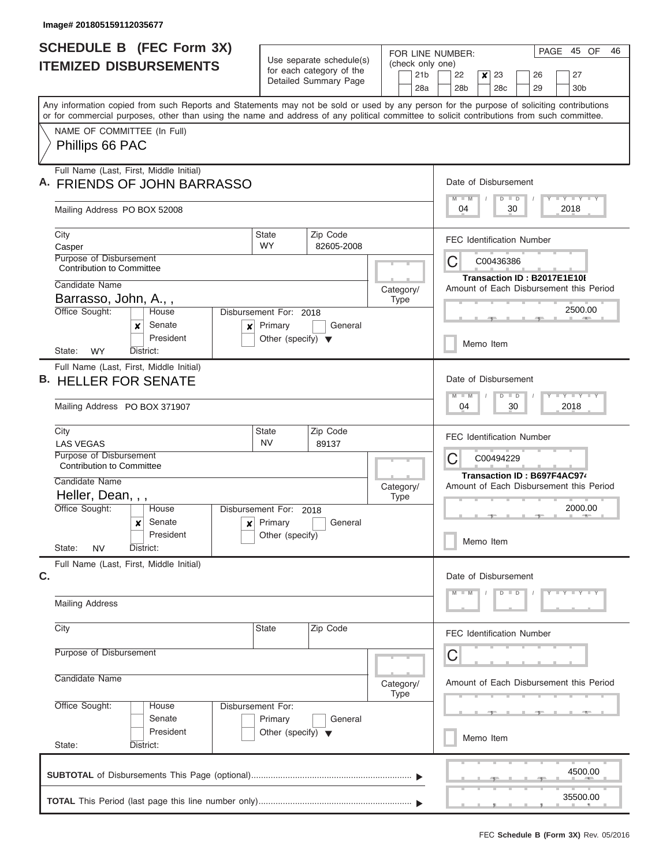| <b>SCHEDULE B (FEC Form 3X)</b><br><b>ITEMIZED DISBURSEMENTS</b>                                                                                                                                                                                                                        | Use separate schedule(s)<br>for each category of the<br>Detailed Summary Page        | 45 OF<br>PAGE<br>46<br>FOR LINE NUMBER:<br>(check only one) |                                                                                                         |  |
|-----------------------------------------------------------------------------------------------------------------------------------------------------------------------------------------------------------------------------------------------------------------------------------------|--------------------------------------------------------------------------------------|-------------------------------------------------------------|---------------------------------------------------------------------------------------------------------|--|
|                                                                                                                                                                                                                                                                                         |                                                                                      | 21 <sub>b</sub><br>28a                                      | 22<br>$\boldsymbol{x}$<br>23<br>26<br>27<br>28 <sub>b</sub><br>28 <sub>c</sub><br>29<br>30 <sub>b</sub> |  |
| Any information copied from such Reports and Statements may not be sold or used by any person for the purpose of soliciting contributions<br>or for commercial purposes, other than using the name and address of any political committee to solicit contributions from such committee. |                                                                                      |                                                             |                                                                                                         |  |
| NAME OF COMMITTEE (In Full)<br>Phillips 66 PAC                                                                                                                                                                                                                                          |                                                                                      |                                                             |                                                                                                         |  |
| Full Name (Last, First, Middle Initial)<br>A. FRIENDS OF JOHN BARRASSO                                                                                                                                                                                                                  | Date of Disbursement<br>$M$ $M$<br>Y FY FY FY<br>$\overline{D}$<br>$\blacksquare$    |                                                             |                                                                                                         |  |
| Mailing Address PO BOX 52008                                                                                                                                                                                                                                                            | 2018<br>04<br>30                                                                     |                                                             |                                                                                                         |  |
| City<br>Casper<br>Purpose of Disbursement<br><b>Contribution to Committee</b>                                                                                                                                                                                                           | Zip Code<br>State<br><b>WY</b><br>82605-2008                                         |                                                             | <b>FEC Identification Number</b><br>C<br>C00436386                                                      |  |
| Candidate Name<br>Barrasso, John, A.,,                                                                                                                                                                                                                                                  | Transaction ID: B2017E1E10I<br>Amount of Each Disbursement this Period               |                                                             |                                                                                                         |  |
| Office Sought:<br>House<br>Senate<br>x<br>×<br>President                                                                                                                                                                                                                                | Disbursement For: 2018<br>Primary<br>General<br>Other (specify) $\blacktriangledown$ |                                                             | 2500.00<br>Memo Item                                                                                    |  |
| <b>WY</b><br>District:<br>State:<br>Full Name (Last, First, Middle Initial)<br><b>B. HELLER FOR SENATE</b>                                                                                                                                                                              |                                                                                      |                                                             | Date of Disbursement                                                                                    |  |
| Mailing Address PO BOX 371907                                                                                                                                                                                                                                                           | $Y - Y - Y - Y - I - Y$<br>M<br>$-W$<br>D<br>$\blacksquare$<br>30<br>04<br>2018      |                                                             |                                                                                                         |  |
| City<br><b>LAS VEGAS</b><br>Purpose of Disbursement                                                                                                                                                                                                                                     | Zip Code<br><b>State</b><br><b>NV</b><br>89137                                       |                                                             | <b>FEC Identification Number</b><br>C<br>C00494229                                                      |  |
| Contribution to Committee<br>Candidate Name                                                                                                                                                                                                                                             | Transaction ID: B697F4AC974<br>Amount of Each Disbursement this Period               |                                                             |                                                                                                         |  |
| Heller, Dean, , ,<br>Office Sought:<br>House<br>Senate<br>×<br>$\boldsymbol{x}$<br>President                                                                                                                                                                                            | Disbursement For:<br>2018<br>Primary<br>General<br>Other (specify)                   | <b>Type</b>                                                 | 2000.00<br>- 7 -<br>Memo Item                                                                           |  |
| State:<br><b>NV</b><br>District:<br>Full Name (Last, First, Middle Initial)<br>C.                                                                                                                                                                                                       |                                                                                      |                                                             | Date of Disbursement                                                                                    |  |
| <b>Mailing Address</b>                                                                                                                                                                                                                                                                  |                                                                                      |                                                             | Y F Y F Y F Y<br>$M - M$<br>$D$ $D$                                                                     |  |
| City                                                                                                                                                                                                                                                                                    | <b>State</b><br>Zip Code                                                             |                                                             | <b>FEC Identification Number</b>                                                                        |  |
| Purpose of Disbursement                                                                                                                                                                                                                                                                 |                                                                                      |                                                             | C                                                                                                       |  |
| Candidate Name<br>Category/<br>Type                                                                                                                                                                                                                                                     |                                                                                      |                                                             | Amount of Each Disbursement this Period                                                                 |  |
| Office Sought:<br>Disbursement For:<br>House<br>Senate<br>President<br>State:<br>District:                                                                                                                                                                                              | Primary<br>General<br>Other (specify) $\blacktriangledown$                           |                                                             | $-1$<br>Memo Item                                                                                       |  |
|                                                                                                                                                                                                                                                                                         |                                                                                      |                                                             | 4500.00                                                                                                 |  |
|                                                                                                                                                                                                                                                                                         |                                                                                      |                                                             | 35500.00<br>, , ,                                                                                       |  |